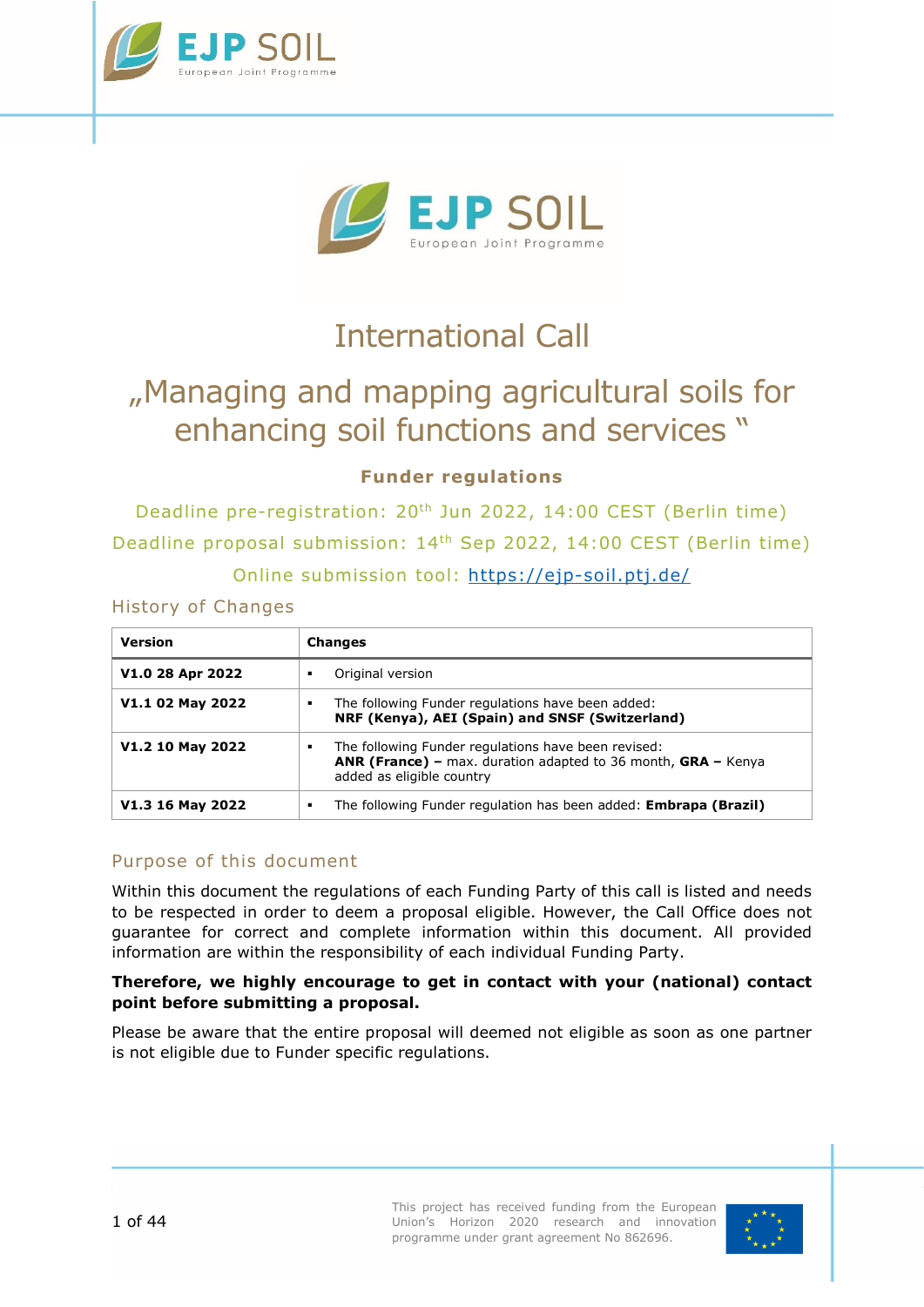



# International Call

# "Managing and mapping agricultural soils for enhancing soil functions and services "

# **Funder regulations**

Deadline pre-registration: 20<sup>th</sup> Jun 2022, 14:00 CEST (Berlin time) Deadline proposal submission: 14th Sep 2022, 14:00 CEST (Berlin time) Online submission tool:<https://ejp-soil.ptj.de/>

History of Changes

| <b>Version</b>   | <b>Changes</b>                                                                                                                                                |
|------------------|---------------------------------------------------------------------------------------------------------------------------------------------------------------|
| V1.0 28 Apr 2022 | Original version                                                                                                                                              |
| V1.1 02 May 2022 | The following Funder regulations have been added:<br>٠<br>NRF (Kenya), AEI (Spain) and SNSF (Switzerland)                                                     |
| V1.2 10 May 2022 | The following Funder regulations have been revised:<br>٠<br><b>ANR (France)</b> – max. duration adapted to 36 month, GRA – Kenya<br>added as eligible country |
| V1.3 16 May 2022 | The following Funder regulation has been added: Embrapa (Brazil)<br>٠                                                                                         |

# Purpose of this document

Within this document the regulations of each Funding Party of this call is listed and needs to be respected in order to deem a proposal eligible. However, the Call Office does not guarantee for correct and complete information within this document. All provided information are within the responsibility of each individual Funding Party.

#### **Therefore, we highly encourage to get in contact with your (national) contact point before submitting a proposal.**

Please be aware that the entire proposal will deemed not eligible as soon as one partner is not eligible due to Funder specific regulations.

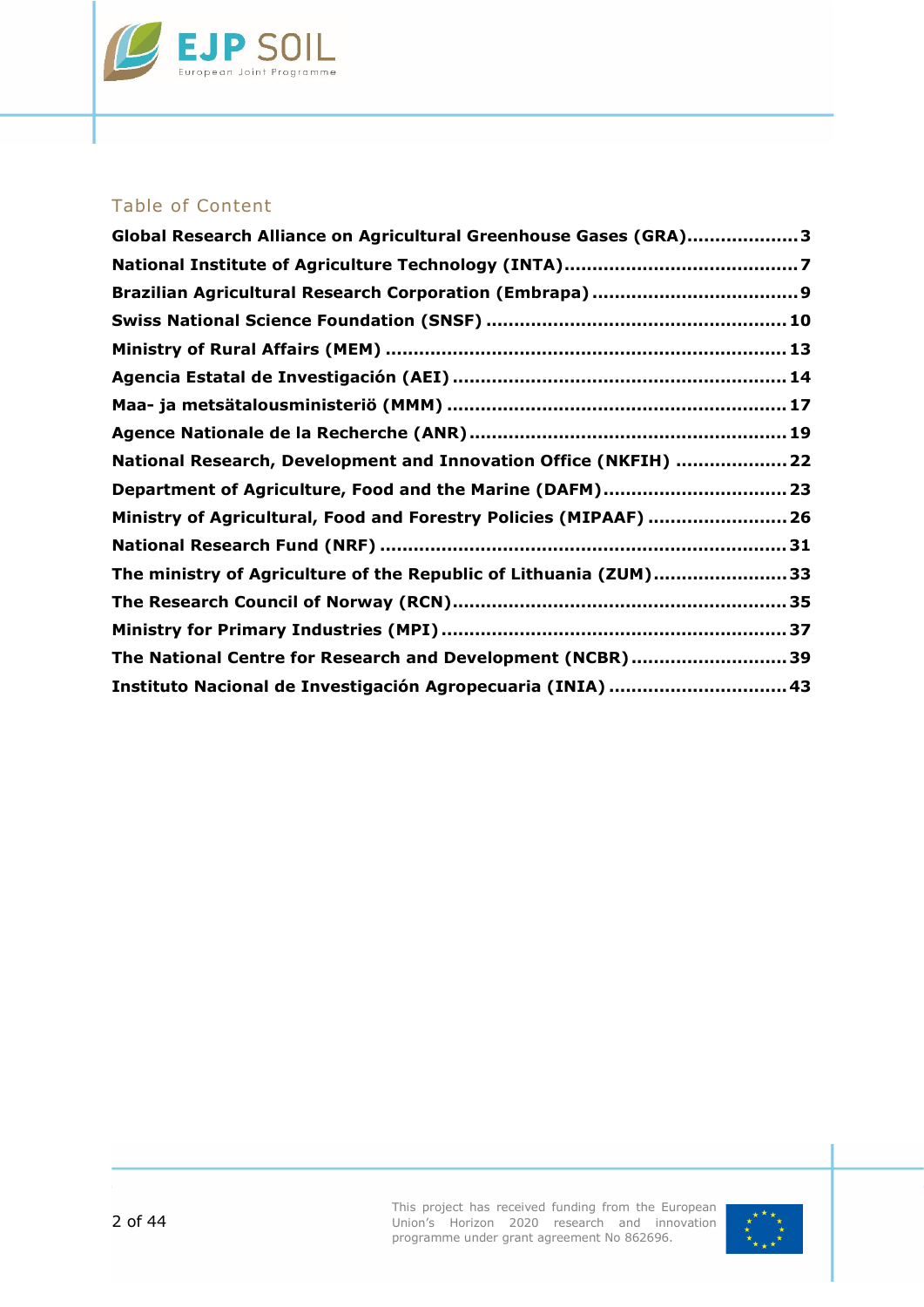

# Table of Content

| Global Research Alliance on Agricultural Greenhouse Gases (GRA)3  |  |
|-------------------------------------------------------------------|--|
|                                                                   |  |
|                                                                   |  |
|                                                                   |  |
|                                                                   |  |
|                                                                   |  |
|                                                                   |  |
|                                                                   |  |
| National Research, Development and Innovation Office (NKFIH)  22  |  |
| Department of Agriculture, Food and the Marine (DAFM) 23          |  |
| Ministry of Agricultural, Food and Forestry Policies (MIPAAF)  26 |  |
|                                                                   |  |
| The ministry of Agriculture of the Republic of Lithuania (ZUM)33  |  |
|                                                                   |  |
|                                                                   |  |
| The National Centre for Research and Development (NCBR)39         |  |
| Instituto Nacional de Investigación Agropecuaria (INIA)  43       |  |

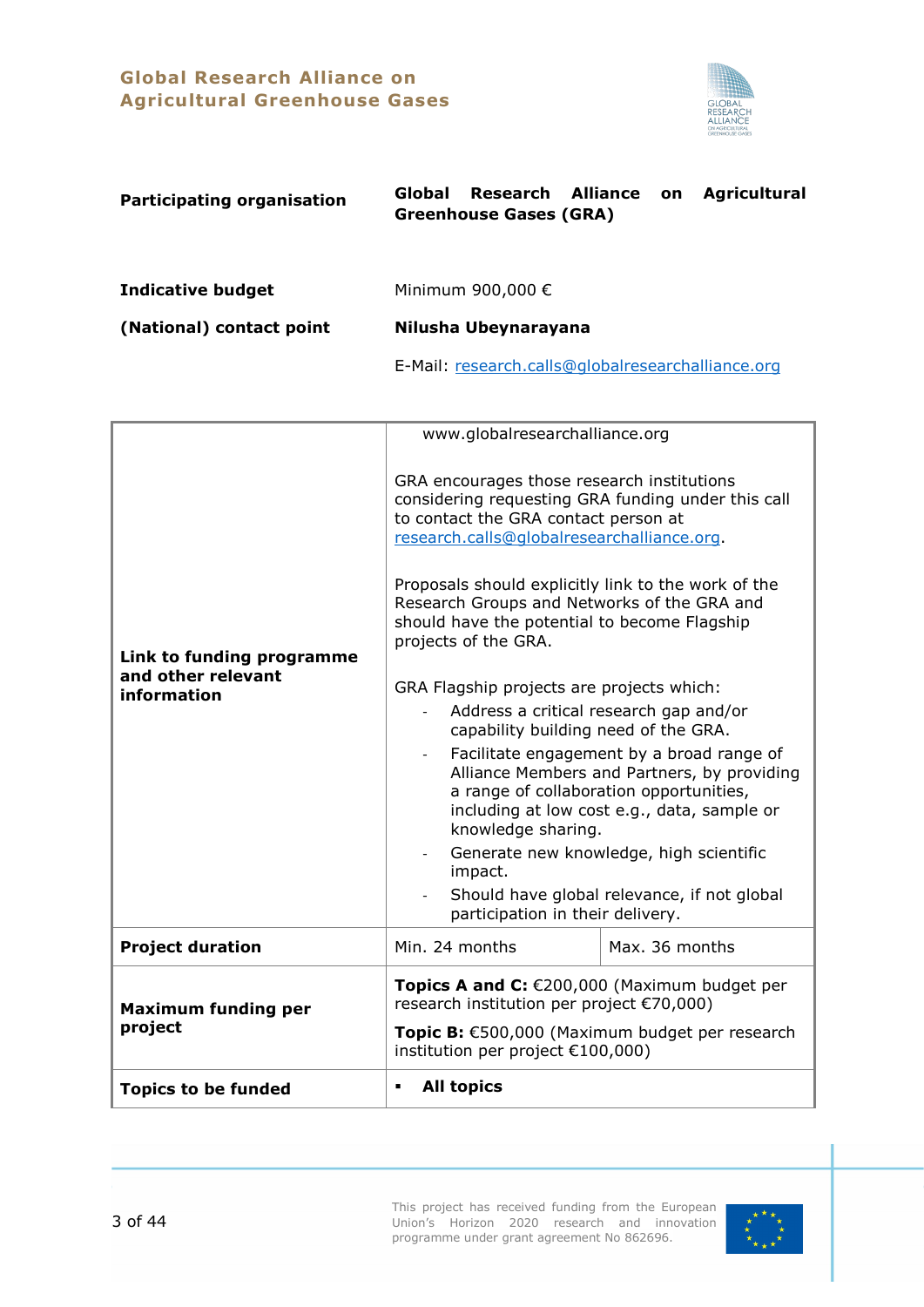# **Global Research Alliance on Agricultural Greenhouse Gases**



<span id="page-2-0"></span>

| <b>Participating organisation</b> | Research Alliance on Agricultural<br>Global<br><b>Greenhouse Gases (GRA)</b> |  |
|-----------------------------------|------------------------------------------------------------------------------|--|
| <b>Indicative budget</b>          | Minimum 900,000 €                                                            |  |
| (National) contact point          | Nilusha Ubeynarayana                                                         |  |
|                                   | E-Mail: research.calls@globalresearchalliance.org                            |  |

|                                                                | www.globalresearchalliance.org                                                                                                                                                                                                                                                                                                                                       |                |  |
|----------------------------------------------------------------|----------------------------------------------------------------------------------------------------------------------------------------------------------------------------------------------------------------------------------------------------------------------------------------------------------------------------------------------------------------------|----------------|--|
| Link to funding programme<br>and other relevant<br>information | GRA encourages those research institutions<br>considering requesting GRA funding under this call<br>to contact the GRA contact person at<br>research.calls@globalresearchalliance.org.<br>Proposals should explicitly link to the work of the<br>Research Groups and Networks of the GRA and<br>should have the potential to become Flagship<br>projects of the GRA. |                |  |
|                                                                | GRA Flagship projects are projects which:                                                                                                                                                                                                                                                                                                                            |                |  |
|                                                                | Address a critical research gap and/or<br>capability building need of the GRA.                                                                                                                                                                                                                                                                                       |                |  |
|                                                                | Facilitate engagement by a broad range of<br>Alliance Members and Partners, by providing<br>a range of collaboration opportunities,<br>including at low cost e.g., data, sample or<br>knowledge sharing.                                                                                                                                                             |                |  |
|                                                                | Generate new knowledge, high scientific<br>impact.                                                                                                                                                                                                                                                                                                                   |                |  |
|                                                                | Should have global relevance, if not global<br>participation in their delivery.                                                                                                                                                                                                                                                                                      |                |  |
| <b>Project duration</b>                                        | Min. 24 months                                                                                                                                                                                                                                                                                                                                                       | Max. 36 months |  |
| <b>Maximum funding per</b><br>project                          | Topics A and C: €200,000 (Maximum budget per<br>research institution per project €70,000)<br>Topic B: €500,000 (Maximum budget per research<br>institution per project €100,000)                                                                                                                                                                                     |                |  |
| <b>Topics to be funded</b>                                     | <b>All topics</b><br>٠                                                                                                                                                                                                                                                                                                                                               |                |  |

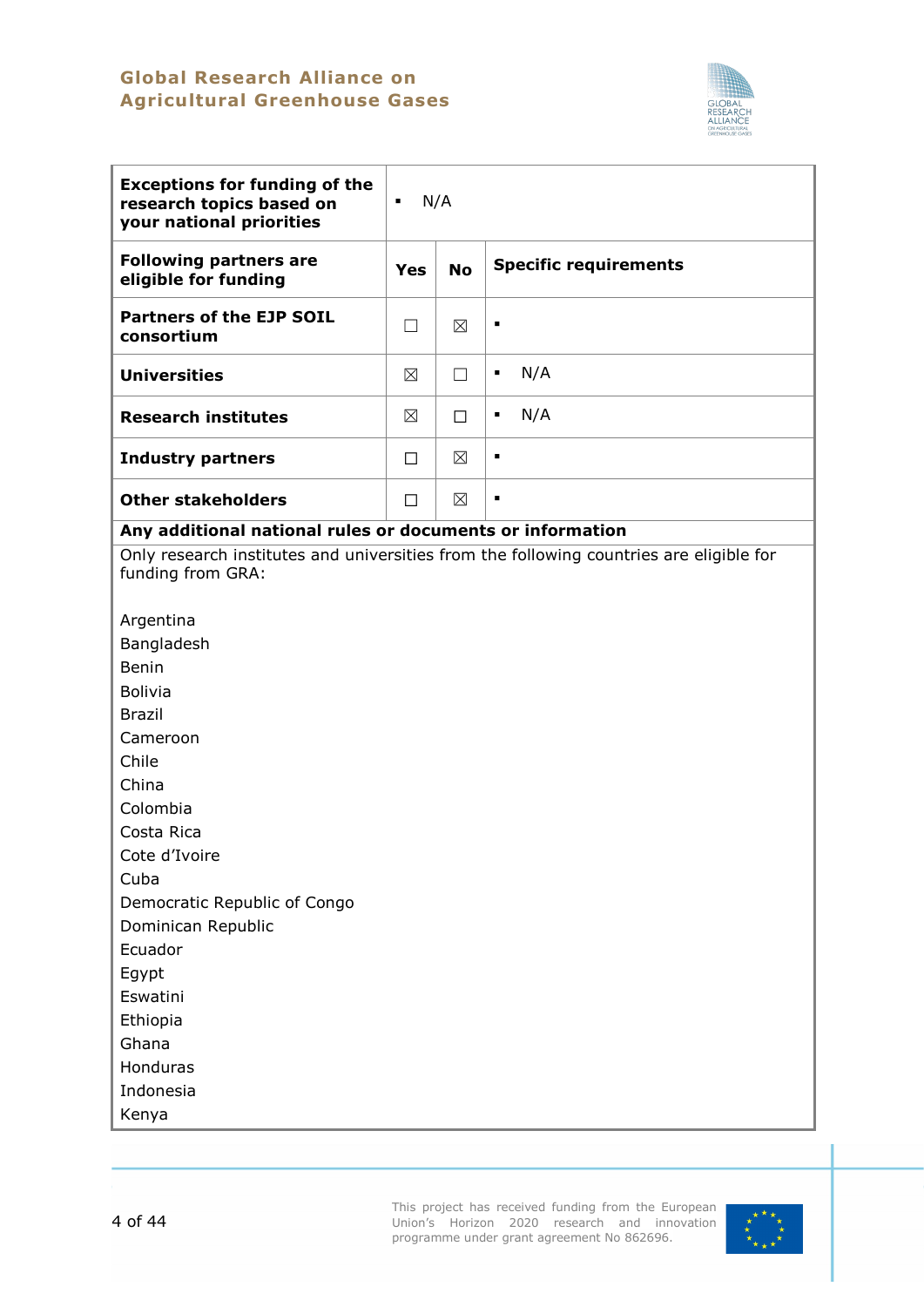# **Global Research Alliance on Agricultural Greenhouse Gases**



| <b>Exceptions for funding of the</b><br>research topics based on<br>your national priorities                                                                                                                                                                                         | N/A<br>٠    |             |                              |
|--------------------------------------------------------------------------------------------------------------------------------------------------------------------------------------------------------------------------------------------------------------------------------------|-------------|-------------|------------------------------|
| <b>Following partners are</b><br>eligible for funding                                                                                                                                                                                                                                | Yes         | <b>No</b>   | <b>Specific requirements</b> |
| <b>Partners of the EJP SOIL</b><br>consortium                                                                                                                                                                                                                                        | $\Box$      | $\boxtimes$ | ٠                            |
| <b>Universities</b>                                                                                                                                                                                                                                                                  | $\boxtimes$ | П           | N/A<br>٠                     |
| <b>Research institutes</b>                                                                                                                                                                                                                                                           | ⊠           | $\Box$      | N/A<br>٠                     |
| <b>Industry partners</b>                                                                                                                                                                                                                                                             | $\Box$      | ⊠           | ٠                            |
| <b>Other stakeholders</b>                                                                                                                                                                                                                                                            | $\Box$      | $\boxtimes$ | ٠                            |
| funding from GRA:<br>Argentina<br>Bangladesh<br>Benin<br><b>Bolivia</b><br><b>Brazil</b><br>Cameroon<br>Chile<br>China<br>Colombia<br>Costa Rica<br>Cote d'Ivoire<br>Cuba<br>Democratic Republic of Congo<br>Dominican Republic<br>Ecuador<br>Egypt<br>Eswatini<br>Ethiopia<br>Ghana |             |             |                              |
| Honduras<br>Indonesia<br>Kenya                                                                                                                                                                                                                                                       |             |             |                              |

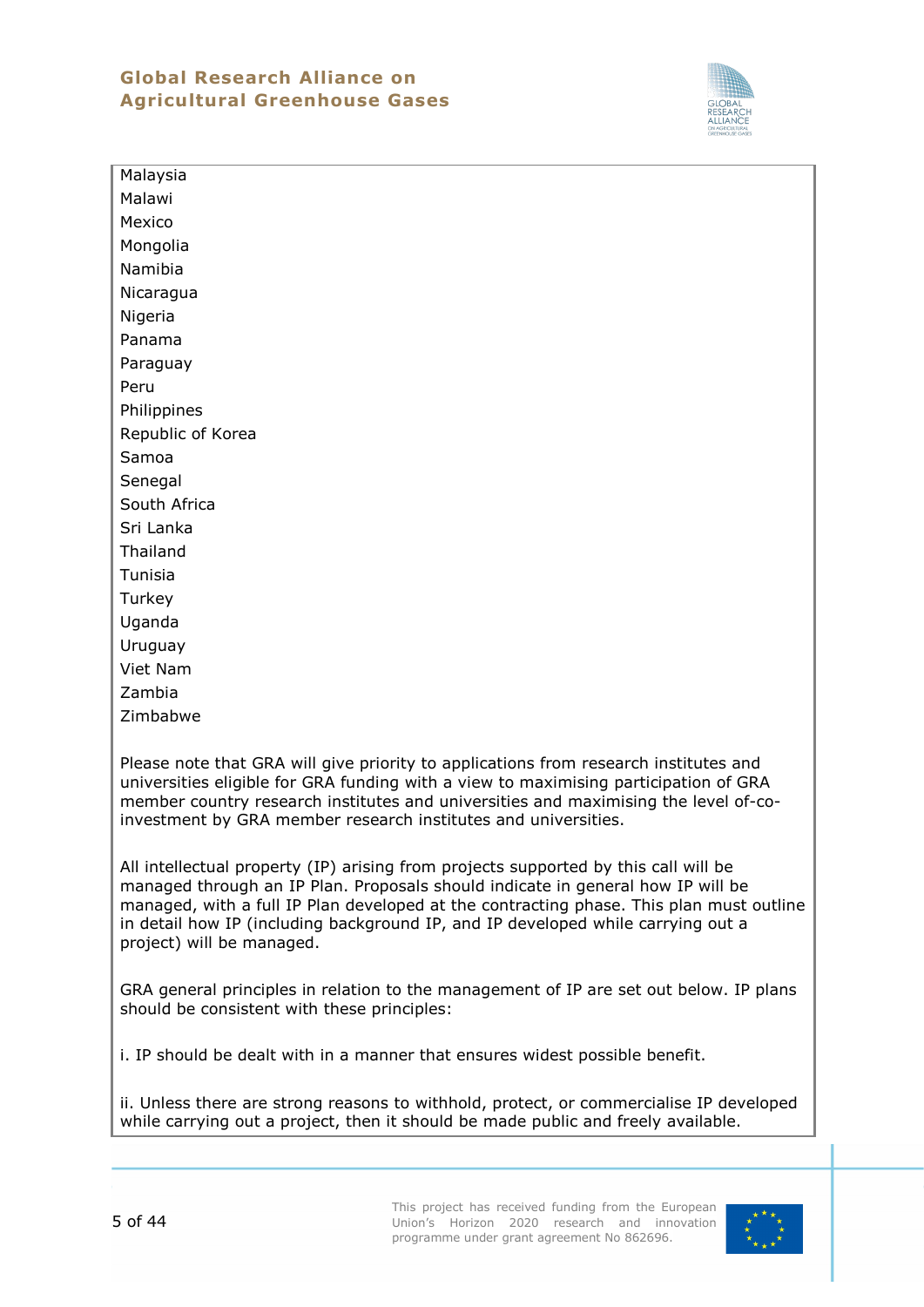# **Global Research Alliance on Agricultural Greenhouse Gases**



Malaysia Malawi Mexico Mongolia Namibia Nicaragua Nigeria Panama Paraguay Peru **Philippines** Republic of Korea Samoa **Senegal** South Africa Sri Lanka Thailand Tunisia **Turkey** Uganda Uruguay Viet Nam Zambia Zimbabwe

Please note that GRA will give priority to applications from research institutes and universities eligible for GRA funding with a view to maximising participation of GRA member country research institutes and universities and maximising the level of-coinvestment by GRA member research institutes and universities.

All intellectual property (IP) arising from projects supported by this call will be managed through an IP Plan. Proposals should indicate in general how IP will be managed, with a full IP Plan developed at the contracting phase. This plan must outline in detail how IP (including background IP, and IP developed while carrying out a project) will be managed.

GRA general principles in relation to the management of IP are set out below. IP plans should be consistent with these principles:

i. IP should be dealt with in a manner that ensures widest possible benefit.

ii. Unless there are strong reasons to withhold, protect, or commercialise IP developed while carrying out a project, then it should be made public and freely available.

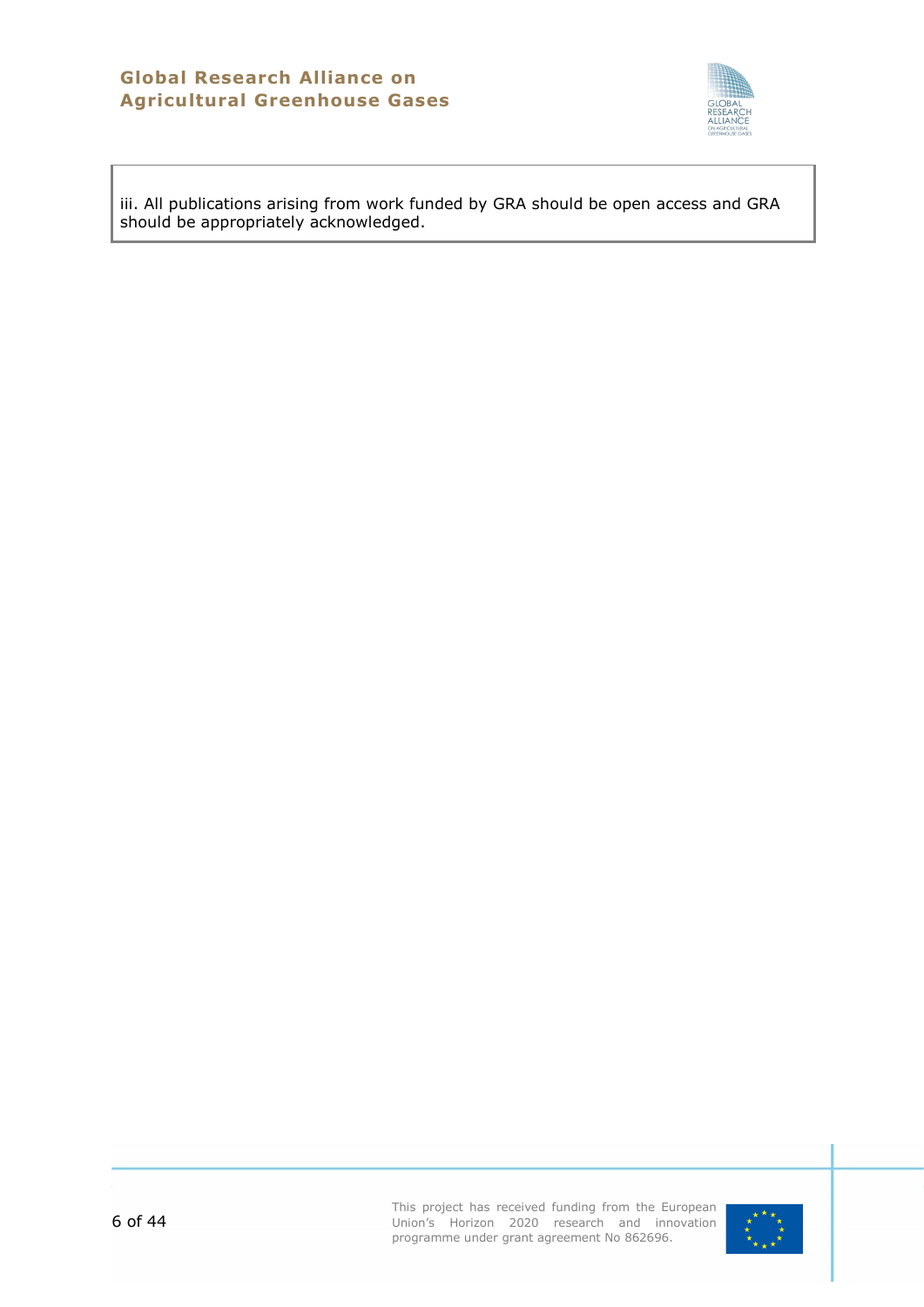

iii. All publications arising from work funded by GRA should be open access and GRA should be appropriately acknowledged.

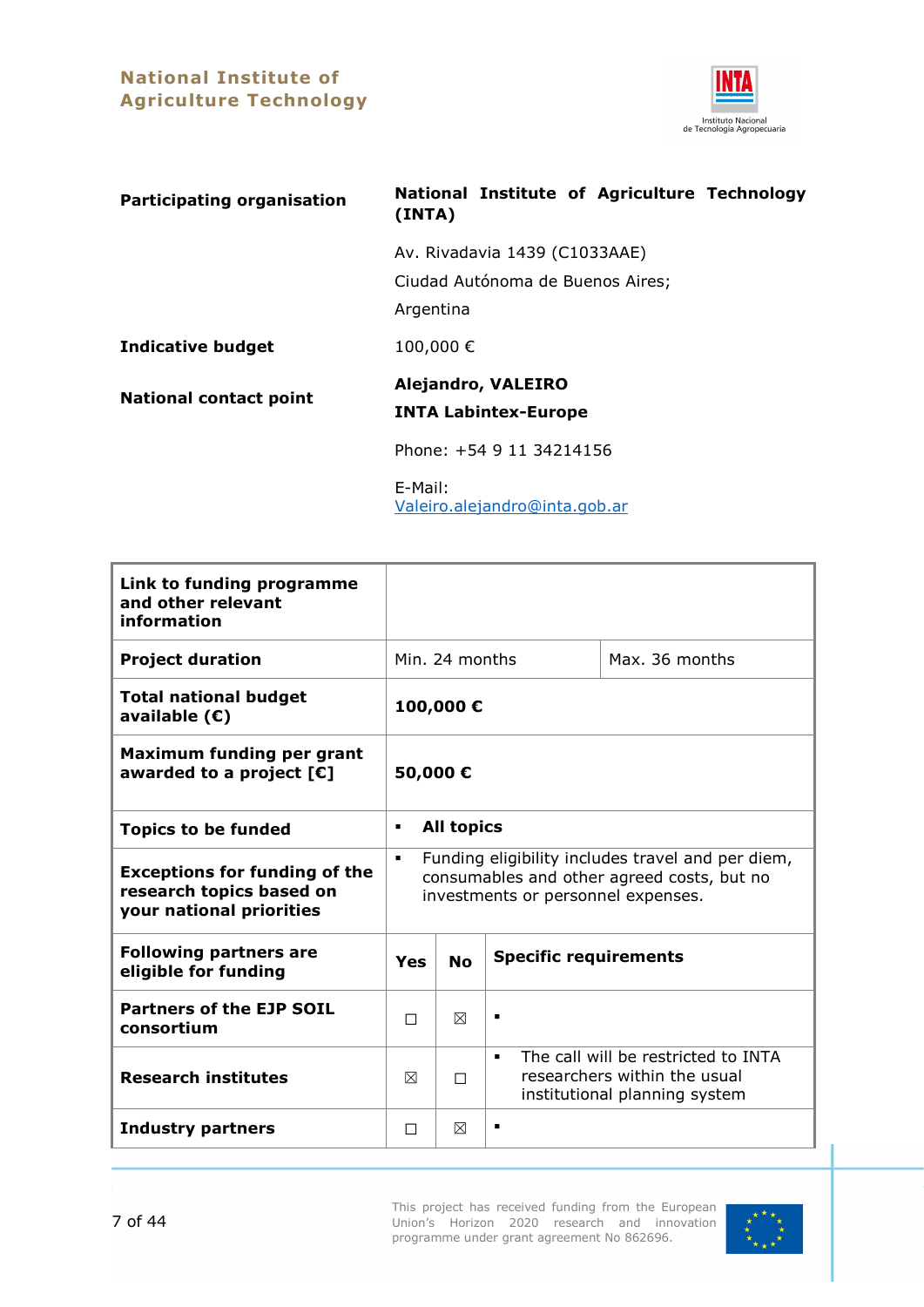

<span id="page-6-0"></span>

| <b>Participating organisation</b> | National Institute of Agriculture Technology<br>(INTA)                         |
|-----------------------------------|--------------------------------------------------------------------------------|
|                                   | Av. Rivadavia 1439 (C1033AAE)<br>Ciudad Autónoma de Buenos Aires;<br>Argentina |
| <b>Indicative budget</b>          | 100,000€                                                                       |
| <b>National contact point</b>     | <b>Alejandro, VALEIRO</b><br><b>INTA Labintex-Europe</b>                       |
|                                   | Phone: +54 9 11 34214156                                                       |
|                                   | E-Mail:<br>Valeiro.alejandro@inta.gob.ar                                       |

| Link to funding programme<br>and other relevant<br>information                               |                                                                                                                                                         |                |                |                |
|----------------------------------------------------------------------------------------------|---------------------------------------------------------------------------------------------------------------------------------------------------------|----------------|----------------|----------------|
| <b>Project duration</b>                                                                      |                                                                                                                                                         | Min. 24 months |                | Max. 36 months |
| <b>Total national budget</b><br>available $(E)$                                              |                                                                                                                                                         | 100,000€       |                |                |
| Maximum funding per grant<br>awarded to a project $[\mathbf{\epsilon}]$                      | 50,000€                                                                                                                                                 |                |                |                |
| <b>Topics to be funded</b>                                                                   | <b>All topics</b><br>$\blacksquare$                                                                                                                     |                |                |                |
| <b>Exceptions for funding of the</b><br>research topics based on<br>your national priorities | Funding eligibility includes travel and per diem,<br>$\blacksquare$<br>consumables and other agreed costs, but no<br>investments or personnel expenses. |                |                |                |
| <b>Following partners are</b><br>eligible for funding                                        | <b>Specific requirements</b><br><b>No</b><br>Yes                                                                                                        |                |                |                |
| <b>Partners of the EJP SOIL</b><br>consortium                                                | П                                                                                                                                                       | $\boxtimes$    | $\blacksquare$ |                |
| <b>Research institutes</b>                                                                   | The call will be restricted to INTA<br>$\blacksquare$<br>researchers within the usual<br>⊠<br>П<br>institutional planning system                        |                |                |                |
| <b>Industry partners</b>                                                                     | П                                                                                                                                                       | ⊠              | ٠              |                |

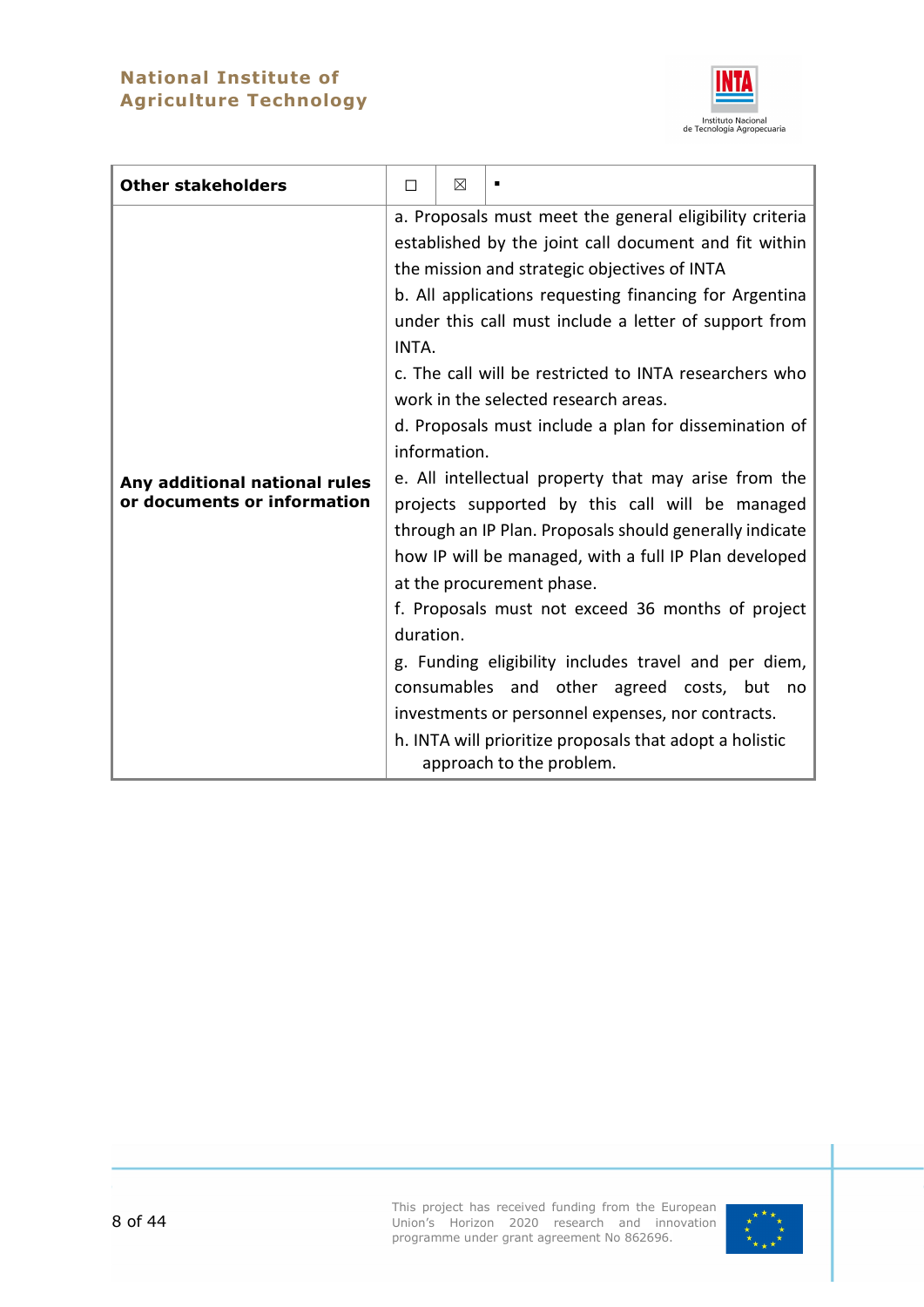# **National Institute of Agriculture Technology**



| <b>Other stakeholders</b>                                    | П                  | ⊠            |                                                                                                                                                                                                                                                                                                                                                                                                                                                                                                                                                                                                                                                                                                                                                                                                                                                                                                                                                                                                                   |
|--------------------------------------------------------------|--------------------|--------------|-------------------------------------------------------------------------------------------------------------------------------------------------------------------------------------------------------------------------------------------------------------------------------------------------------------------------------------------------------------------------------------------------------------------------------------------------------------------------------------------------------------------------------------------------------------------------------------------------------------------------------------------------------------------------------------------------------------------------------------------------------------------------------------------------------------------------------------------------------------------------------------------------------------------------------------------------------------------------------------------------------------------|
| Any additional national rules<br>or documents or information | INTA.<br>duration. | information. | a. Proposals must meet the general eligibility criteria<br>established by the joint call document and fit within<br>the mission and strategic objectives of INTA<br>b. All applications requesting financing for Argentina<br>under this call must include a letter of support from<br>c. The call will be restricted to INTA researchers who<br>work in the selected research areas.<br>d. Proposals must include a plan for dissemination of<br>e. All intellectual property that may arise from the<br>projects supported by this call will be managed<br>through an IP Plan. Proposals should generally indicate<br>how IP will be managed, with a full IP Plan developed<br>at the procurement phase.<br>f. Proposals must not exceed 36 months of project<br>g. Funding eligibility includes travel and per diem,<br>consumables and other agreed costs, but no<br>investments or personnel expenses, nor contracts.<br>h. INTA will prioritize proposals that adopt a holistic<br>approach to the problem. |

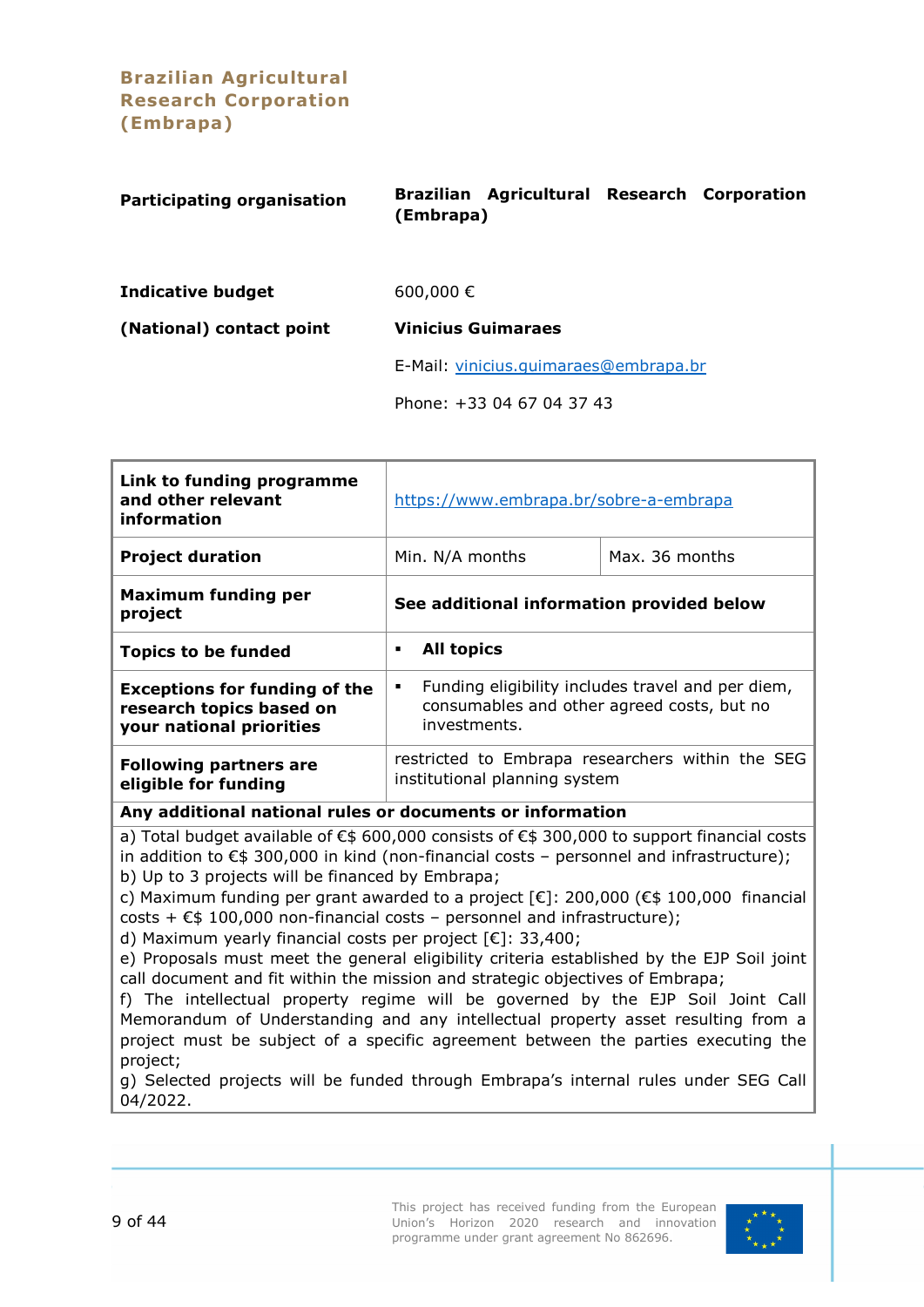**Brazilian Agricultural Research Corporation (Embrapa)**

<span id="page-8-0"></span>

| <b>Participating organisation</b> | Brazilian Agricultural Research Corporation<br>(Embrapa) |  |
|-----------------------------------|----------------------------------------------------------|--|
| <b>Indicative budget</b>          | 600,000 $\in$                                            |  |
| (National) contact point          | <b>Vinicius Guimaraes</b>                                |  |
|                                   | E-Mail: vinicius.quimaraes@embrapa.br                    |  |
|                                   | Phone: +33 04 67 04 37 43                                |  |

| Link to funding programme<br>and other relevant<br>information                               | https://www.embrapa.br/sobre-a-embrapa                                                                               |  |  |
|----------------------------------------------------------------------------------------------|----------------------------------------------------------------------------------------------------------------------|--|--|
| <b>Project duration</b>                                                                      | Max. 36 months<br>Min. N/A months                                                                                    |  |  |
| <b>Maximum funding per</b><br>project                                                        | See additional information provided below                                                                            |  |  |
| <b>Topics to be funded</b>                                                                   | <b>All topics</b><br>٠                                                                                               |  |  |
| <b>Exceptions for funding of the</b><br>research topics based on<br>your national priorities | Funding eligibility includes travel and per diem,<br>٠<br>consumables and other agreed costs, but no<br>investments. |  |  |
| <b>Following partners are</b><br>eligible for funding                                        | restricted to Embrapa researchers within the SEG<br>institutional planning system                                    |  |  |
| Any additional national rules or documents or information                                    |                                                                                                                      |  |  |

a) Total budget available of €\$ 600,000 consists of €\$ 300,000 to support financial costs in addition to  $\epsilon$ \$ 300,000 in kind (non-financial costs – personnel and infrastructure);

b) Up to 3 projects will be financed by Embrapa;

c) Maximum funding per grant awarded to a project  $\lceil \epsilon \rceil$ : 200,000  $\lceil \epsilon \rceil$  100,000 financial costs +  $E$ \$ 100,000 non-financial costs – personnel and infrastructure);

d) Maximum yearly financial costs per project [€]: 33,400;

e) Proposals must meet the general eligibility criteria established by the EJP Soil joint call document and fit within the mission and strategic objectives of Embrapa;

f) The intellectual property regime will be governed by the EJP Soil Joint Call Memorandum of Understanding and any intellectual property asset resulting from a project must be subject of a specific agreement between the parties executing the project;

g) Selected projects will be funded through Embrapa's internal rules under SEG Call 04/2022.

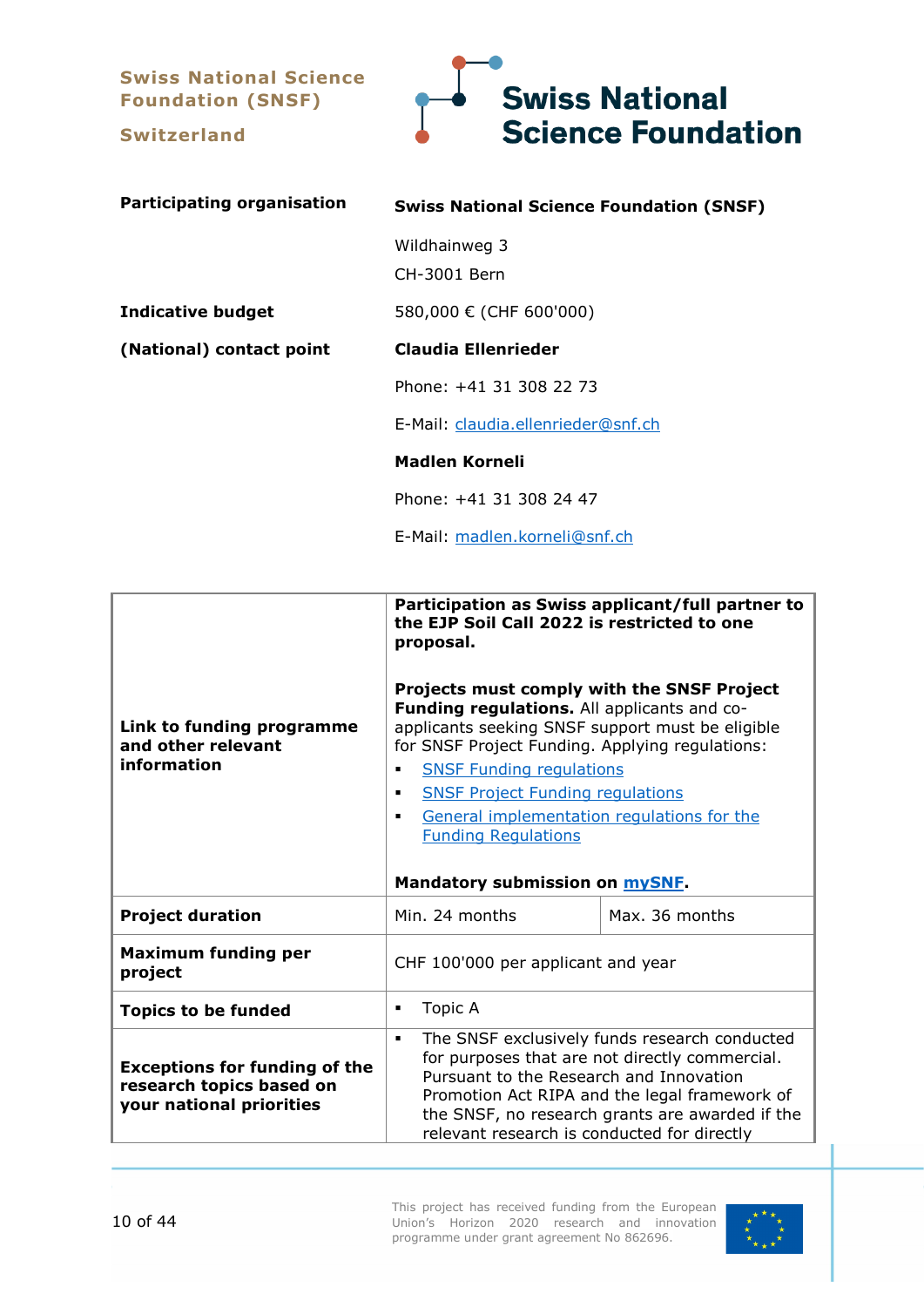**Swiss National Science Foundation (SNSF)**

**Switzerland**

<span id="page-9-0"></span>

| <b>Participating organisation</b> | <b>Swiss National Science Foundation (SNSF)</b> |
|-----------------------------------|-------------------------------------------------|
|                                   | Wildhainweg 3<br>CH-3001 Bern                   |
| <b>Indicative budget</b>          | 580,000 € (CHF 600'000)                         |
| (National) contact point          | Claudia Ellenrieder                             |
|                                   | Phone: +41 31 308 22 73                         |
|                                   | E-Mail: claudia.ellenrieder@snf.ch              |
|                                   | Madlen Korneli                                  |
|                                   | Phone: +41 31 308 24 47                         |
|                                   | E-Mail: madlen.korneli@snf.ch                   |

|                                                                                              | Participation as Swiss applicant/full partner to<br>the EJP Soil Call 2022 is restricted to one<br>proposal.                                                                                                                                                                                                                                                                                                                                               |                |  |  |
|----------------------------------------------------------------------------------------------|------------------------------------------------------------------------------------------------------------------------------------------------------------------------------------------------------------------------------------------------------------------------------------------------------------------------------------------------------------------------------------------------------------------------------------------------------------|----------------|--|--|
| Link to funding programme<br>and other relevant<br>information                               | Projects must comply with the SNSF Project<br>Funding regulations. All applicants and co-<br>applicants seeking SNSF support must be eligible<br>for SNSF Project Funding. Applying regulations:<br><b>SNSF Funding regulations</b><br>$\blacksquare$<br><b>SNSF Project Funding regulations</b><br>$\blacksquare$<br>General implementation regulations for the<br>$\blacksquare$<br><b>Funding Regulations</b><br>Mandatory submission on <b>mySNF</b> . |                |  |  |
| <b>Project duration</b>                                                                      | Min. 24 months                                                                                                                                                                                                                                                                                                                                                                                                                                             | Max. 36 months |  |  |
| <b>Maximum funding per</b><br>project                                                        | CHF 100'000 per applicant and year                                                                                                                                                                                                                                                                                                                                                                                                                         |                |  |  |
| <b>Topics to be funded</b>                                                                   | Topic A<br>$\blacksquare$                                                                                                                                                                                                                                                                                                                                                                                                                                  |                |  |  |
| <b>Exceptions for funding of the</b><br>research topics based on<br>your national priorities | The SNSF exclusively funds research conducted<br>$\blacksquare$<br>for purposes that are not directly commercial.<br>Pursuant to the Research and Innovation<br>Promotion Act RIPA and the legal framework of<br>the SNSF, no research grants are awarded if the<br>relevant research is conducted for directly                                                                                                                                            |                |  |  |

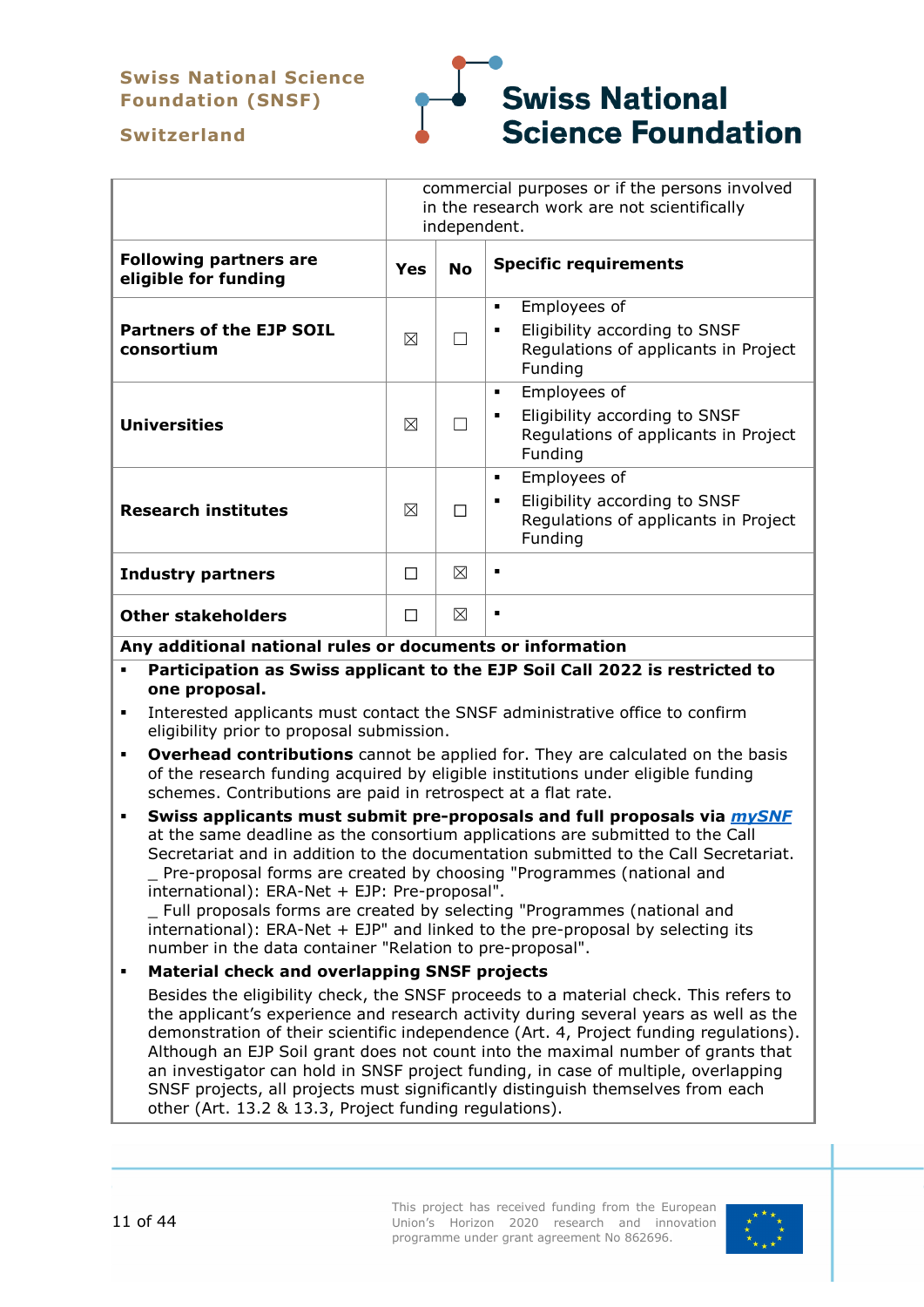# **Swiss National Science Foundation (SNSF)**



#### **Switzerland**

|                                                       | commercial purposes or if the persons involved<br>in the research work are not scientifically<br>independent. |   |                                                                                                            |
|-------------------------------------------------------|---------------------------------------------------------------------------------------------------------------|---|------------------------------------------------------------------------------------------------------------|
| <b>Following partners are</b><br>eligible for funding | <b>Specific requirements</b><br><b>No</b><br><b>Yes</b>                                                       |   |                                                                                                            |
| <b>Partners of the EJP SOIL</b><br>consortium         | ⊠                                                                                                             |   | Employees of<br>٠<br>Eligibility according to SNSF<br>٠<br>Regulations of applicants in Project<br>Funding |
| <b>Universities</b>                                   | ⊠                                                                                                             |   | Employees of<br>٠<br>Eligibility according to SNSF<br>٠<br>Regulations of applicants in Project<br>Funding |
| <b>Research institutes</b>                            | ⊠                                                                                                             |   | Employees of<br>٠<br>Eligibility according to SNSF<br>٠<br>Regulations of applicants in Project<br>Funding |
| <b>Industry partners</b>                              | П                                                                                                             | ⊠ | ٠                                                                                                          |
| <b>Other stakeholders</b>                             | П                                                                                                             | ⊠ |                                                                                                            |

**Any additional national rules or documents or information**

- **Participation as Swiss applicant to the EJP Soil Call 2022 is restricted to one proposal.**
- Interested applicants must contact the SNSF administrative office to confirm eligibility prior to proposal submission.
- **Overhead contributions** cannot be applied for. They are calculated on the basis of the research funding acquired by eligible institutions under eligible funding schemes. Contributions are paid in retrospect at a flat rate.
- **Swiss applicants must submit pre-proposals and full proposals via** *[mySNF](https://www.mysnf.ch/login.aspx?returnurl=%2fdefault.aspx)* at the same deadline as the consortium applications are submitted to the Call Secretariat and in addition to the documentation submitted to the Call Secretariat. Pre-proposal forms are created by choosing "Programmes (national and international): ERA-Net + EJP: Pre-proposal".

\_ Full proposals forms are created by selecting "Programmes (national and international): ERA-Net + EJP" and linked to the pre-proposal by selecting its number in the data container "Relation to pre-proposal".

#### **Material check and overlapping SNSF projects**

Besides the eligibility check, the SNSF proceeds to a material check. This refers to the applicant's experience and research activity during several years as well as the demonstration of their scientific independence (Art. 4, Project funding regulations). Although an EJP Soil grant does not count into the maximal number of grants that an investigator can hold in SNSF project funding, in case of multiple, overlapping SNSF projects, all projects must significantly distinguish themselves from each other (Art. 13.2 & 13.3, Project funding regulations).

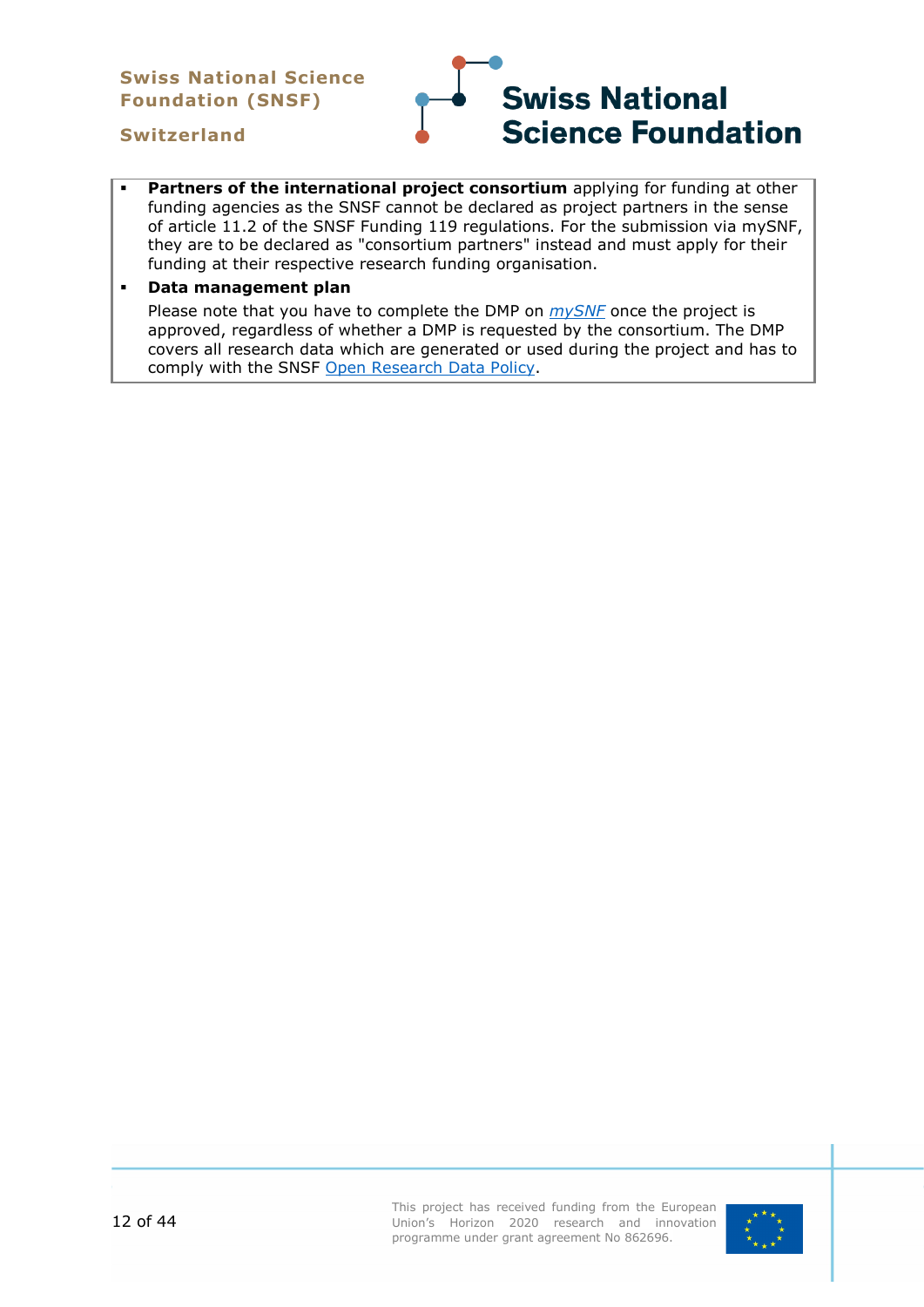#### **Swiss National Science Foundation (SNSF)**

# **Swiss National Science Foundation**

#### **Switzerland**

 **Partners of the international project consortium** applying for funding at other funding agencies as the SNSF cannot be declared as project partners in the sense of article 11.2 of the SNSF Funding 119 regulations. For the submission via mySNF, they are to be declared as "consortium partners" instead and must apply for their funding at their respective research funding organisation.

#### **Data management plan**

Please note that you have to complete the DMP on *[mySNF](https://www.mysnf.ch/login.aspx?returnurl=%2fdefault.aspx)* once the project is approved, regardless of whether a DMP is requested by the consortium. The DMP covers all research data which are generated or used during the project and has to comply with the SNSF [Open Research Data Policy.](https://www.snf.ch/en/dMILj9t4LNk8NwyR/topic/open-research-data)

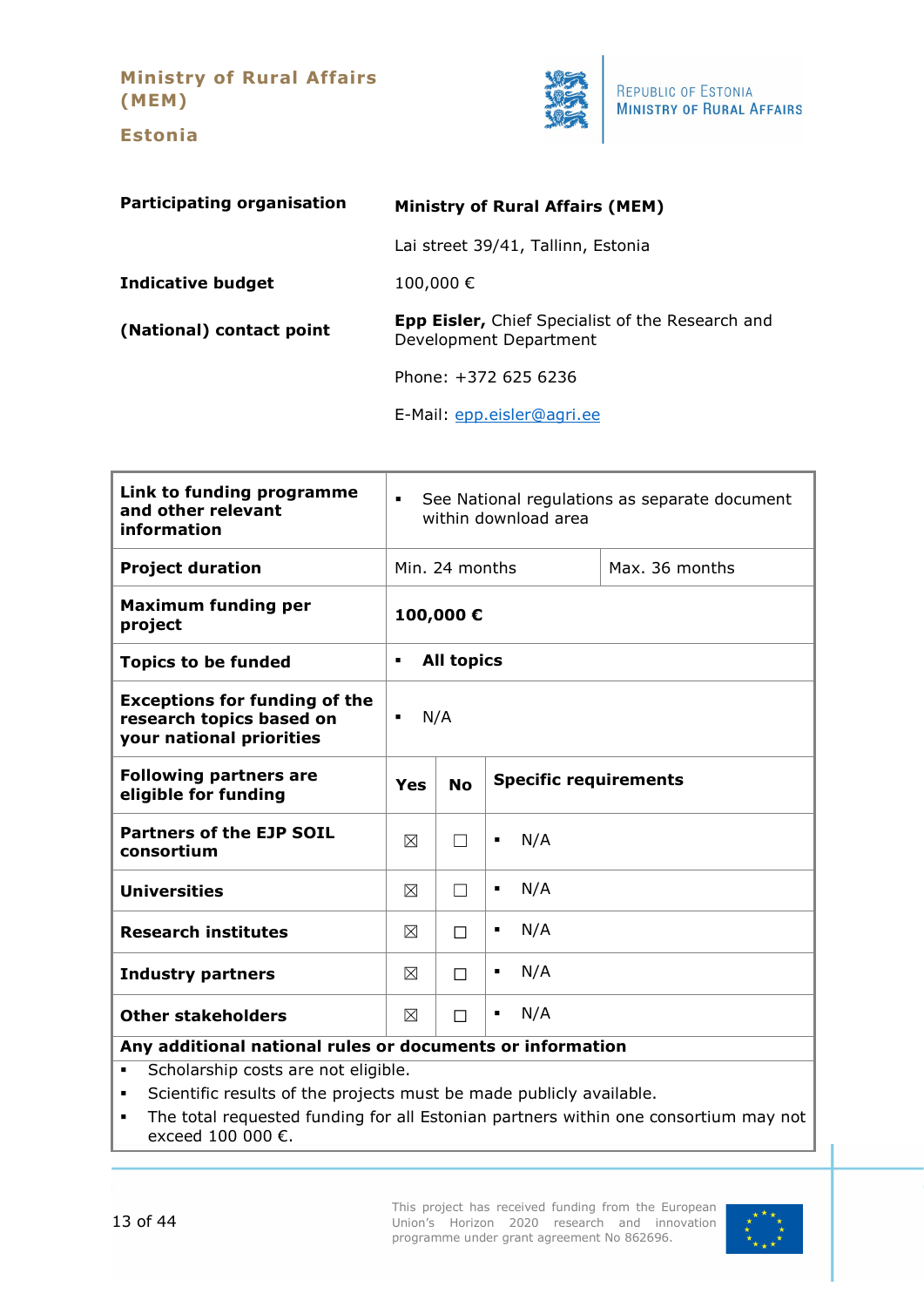**Ministry of Rural Affairs (MEM)**

**Estonia**

<span id="page-12-0"></span>

| <b>Participating organisation</b> | <b>Ministry of Rural Affairs (MEM)</b>                                            |  |
|-----------------------------------|-----------------------------------------------------------------------------------|--|
|                                   | Lai street 39/41, Tallinn, Estonia                                                |  |
| <b>Indicative budget</b>          | 100,000€                                                                          |  |
| (National) contact point          | <b>Epp Eisler, Chief Specialist of the Research and</b><br>Development Department |  |
|                                   | Phone: +372 625 6236                                                              |  |
|                                   | E-Mail: epp.eisler@agri.ee                                                        |  |

| Link to funding programme<br>and other relevant<br>information                               | See National regulations as separate document<br>$\blacksquare$<br>within download area |                   |          |                |
|----------------------------------------------------------------------------------------------|-----------------------------------------------------------------------------------------|-------------------|----------|----------------|
| <b>Project duration</b>                                                                      |                                                                                         | Min. 24 months    |          | Max. 36 months |
| <b>Maximum funding per</b><br>project                                                        |                                                                                         | 100,000€          |          |                |
| <b>Topics to be funded</b>                                                                   | $\blacksquare$                                                                          | <b>All topics</b> |          |                |
| <b>Exceptions for funding of the</b><br>research topics based on<br>your national priorities | N/A<br>٠                                                                                |                   |          |                |
| <b>Following partners are</b><br>eligible for funding                                        | <b>Specific requirements</b><br><b>No</b><br>Yes                                        |                   |          |                |
| <b>Partners of the EJP SOIL</b><br>consortium                                                | ⊠                                                                                       |                   | N/A<br>٠ |                |
| <b>Universities</b>                                                                          | ⊠                                                                                       | П                 | N/A<br>٠ |                |
| <b>Research institutes</b>                                                                   | ⊠                                                                                       | П                 | N/A<br>٠ |                |
| <b>Industry partners</b>                                                                     | ⊠                                                                                       | П                 | N/A<br>٠ |                |
| <b>Other stakeholders</b>                                                                    | ⊠                                                                                       | П                 | N/A<br>٠ |                |
| Any additional national rules or documents or information                                    |                                                                                         |                   |          |                |

**Scholarship costs are not eligible.** 

Scientific results of the projects must be made publicly available.

 The total requested funding for all Estonian partners within one consortium may not exceed 100 000 €.

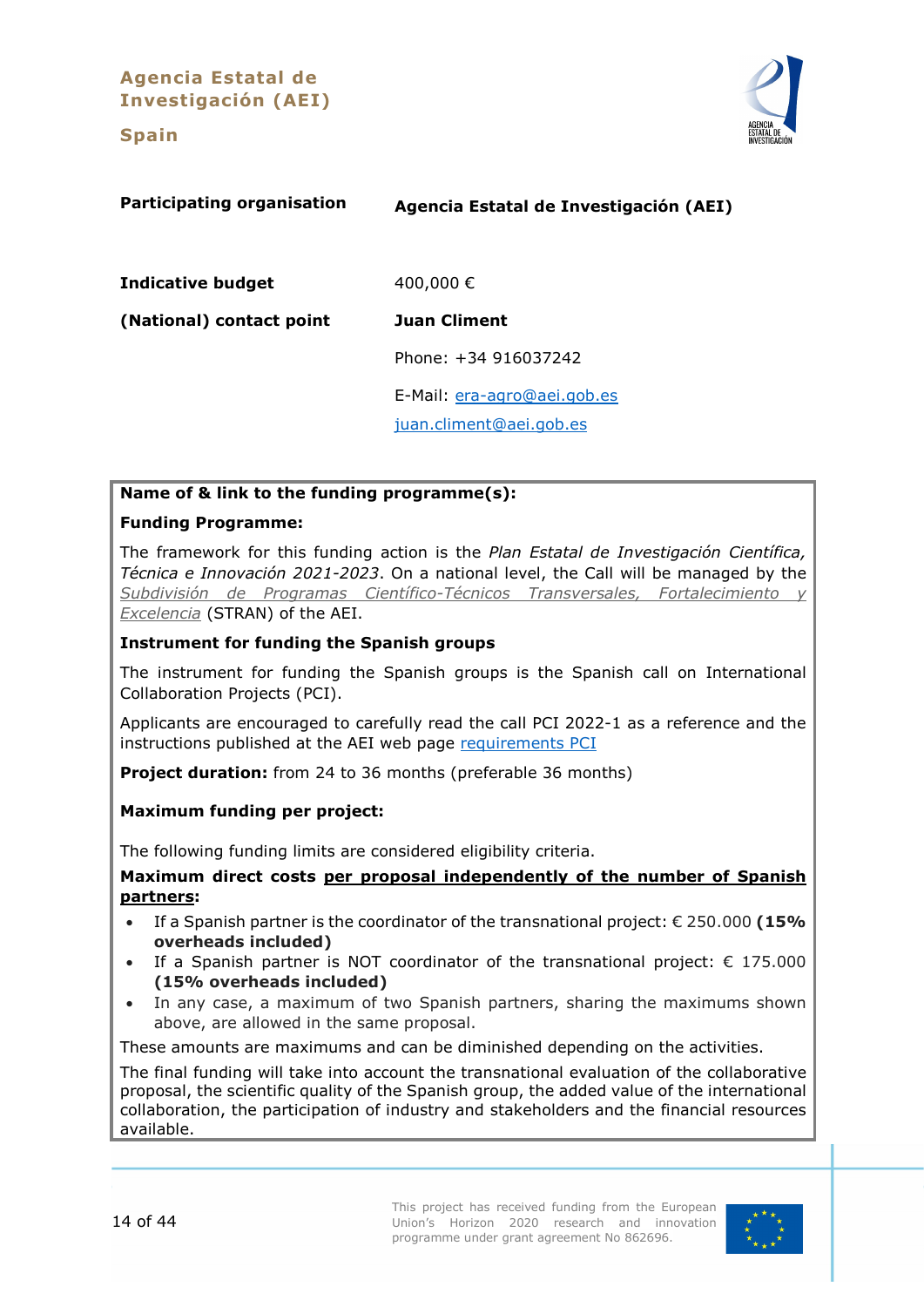**Agencia Estatal de Investigación (AEI)**

#### **Spain**



<span id="page-13-0"></span>

| <b>Participating organisation</b> | Agencia Estatal de Investigación (AEI) |
|-----------------------------------|----------------------------------------|
| <b>Indicative budget</b>          | 400,000€                               |
| (National) contact point          | <b>Juan Climent</b>                    |
|                                   | Phone: +34 916037242                   |
|                                   | E-Mail: era-agro@aei.gob.es            |
|                                   | juan.climent@aei.gob.es                |

# **Name of & link to the funding programme(s):**

#### **Funding Programme:**

The framework for this funding action is the *Plan Estatal de Investigación Científica, Técnica e Innovación 2021-2023*. On a national level, the Call will be managed by the *[Subdivisión de Programas Científico-Técnicos Transversales, Fortalecimiento y](http://www.ciencia.gob.es/portal/site/MICINN/menuitem.8ce192e94ba842bea3bc811001432ea0/?vgnextoid=702ab68c910c1410VgnVCM1000001d04140aRCRD&vgnextchannel=07f839f740db2410VgnVCM1000001d04140aRCRD)  [Excelencia](http://www.ciencia.gob.es/portal/site/MICINN/menuitem.8ce192e94ba842bea3bc811001432ea0/?vgnextoid=702ab68c910c1410VgnVCM1000001d04140aRCRD&vgnextchannel=07f839f740db2410VgnVCM1000001d04140aRCRD)* (STRAN) of the AEI.

#### **Instrument for funding the Spanish groups**

The instrument for funding the Spanish groups is the Spanish call on International Collaboration Projects (PCI).

Applicants are encouraged to carefully read the call PCI 2022-1 as a reference and the instructions published at the AEI web page [requirements PCI](https://www.aei.gob.es/sites/default/files/convocatory_info/2021-11/Resolucion-RequisitosPCI-STRAN_firmado.pdf)

**Project duration:** from 24 to 36 months (preferable 36 months)

#### **Maximum funding per project:**

The following funding limits are considered eligibility criteria.

#### **Maximum direct costs per proposal independently of the number of Spanish partners:**

- If a Spanish partner is the coordinator of the transnational project: € 250.000 **(15% overheads included)**
- If a Spanish partner is NOT coordinator of the transnational project:  $\epsilon$  175.000 **(15% overheads included)**
- In any case, a maximum of two Spanish partners, sharing the maximums shown above, are allowed in the same proposal.

These amounts are maximums and can be diminished depending on the activities.

The final funding will take into account the transnational evaluation of the collaborative proposal, the scientific quality of the Spanish group, the added value of the international collaboration, the participation of industry and stakeholders and the financial resources available.

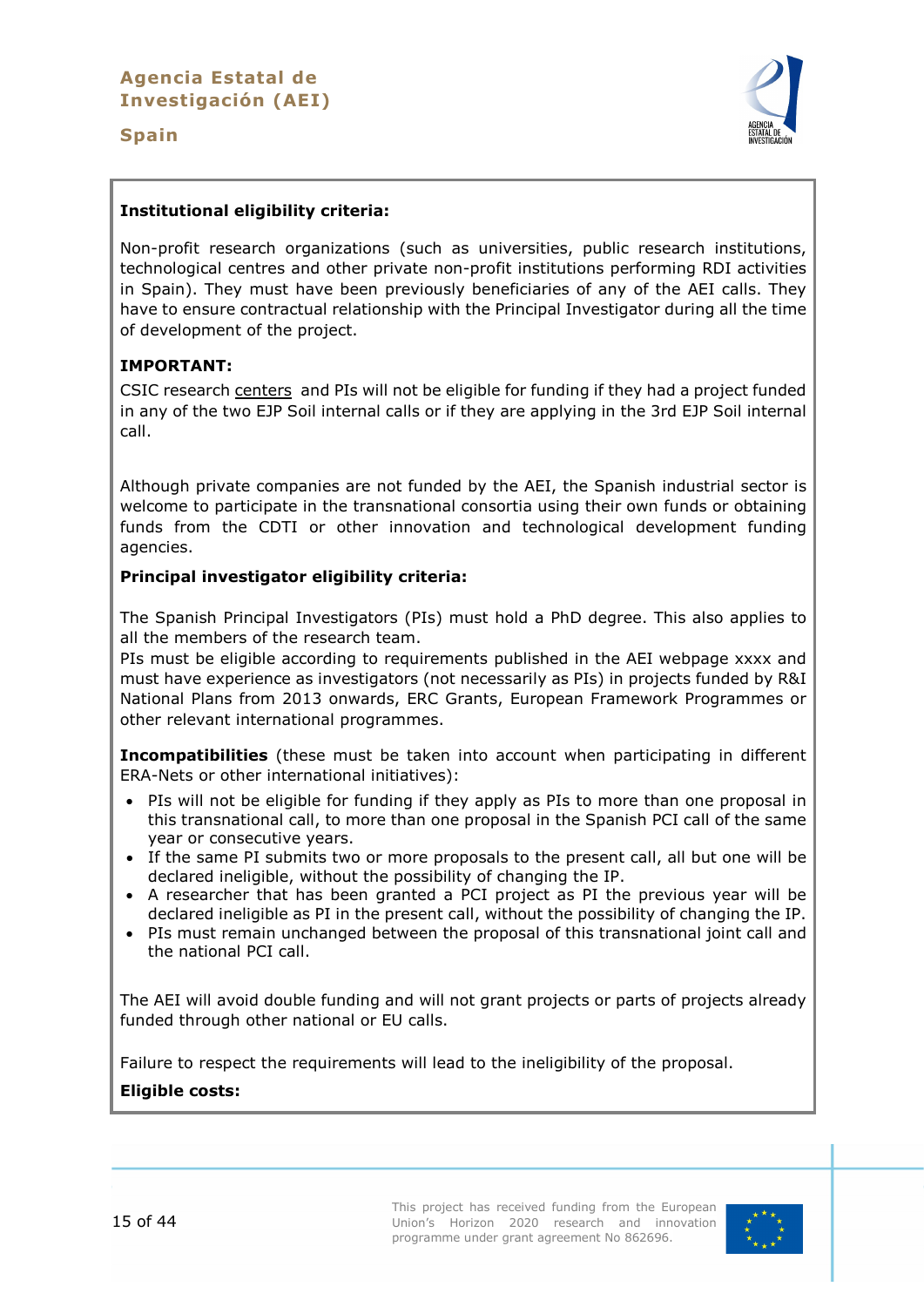#### **Spain**



#### **Institutional eligibility criteria:**

Non-profit research organizations (such as universities, public research institutions, technological centres and other private non-profit institutions performing RDI activities in Spain). They must have been previously beneficiaries of any of the AEI calls. They have to ensure contractual relationship with the Principal Investigator during all the time of development of the project.

#### **IMPORTANT:**

CSIC research centers and PIs will not be eligible for funding if they had a project funded in any of the two EJP Soil internal calls or if they are applying in the 3rd EJP Soil internal call.

Although private companies are not funded by the AEI, the Spanish industrial sector is welcome to participate in the transnational consortia using their own funds or obtaining funds from the CDTI or other innovation and technological development funding agencies.

#### **Principal investigator eligibility criteria:**

The Spanish Principal Investigators (PIs) must hold a PhD degree. This also applies to all the members of the research team.

PIs must be eligible according to requirements published in the AEI webpage xxxx and must have experience as investigators (not necessarily as PIs) in projects funded by R&I National Plans from 2013 onwards, ERC Grants, European Framework Programmes or other relevant international programmes.

**Incompatibilities** (these must be taken into account when participating in different ERA-Nets or other international initiatives):

- PIs will not be eligible for funding if they apply as PIs to more than one proposal in this transnational call, to more than one proposal in the Spanish PCI call of the same year or consecutive years.
- If the same PI submits two or more proposals to the present call, all but one will be declared ineligible, without the possibility of changing the IP.
- A researcher that has been granted a PCI project as PI the previous year will be declared ineligible as PI in the present call, without the possibility of changing the IP.
- PIs must remain unchanged between the proposal of this transnational joint call and the national PCI call.

The AEI will avoid double funding and will not grant projects or parts of projects already funded through other national or EU calls.

Failure to respect the requirements will lead to the ineligibility of the proposal.

#### **Eligible costs:**

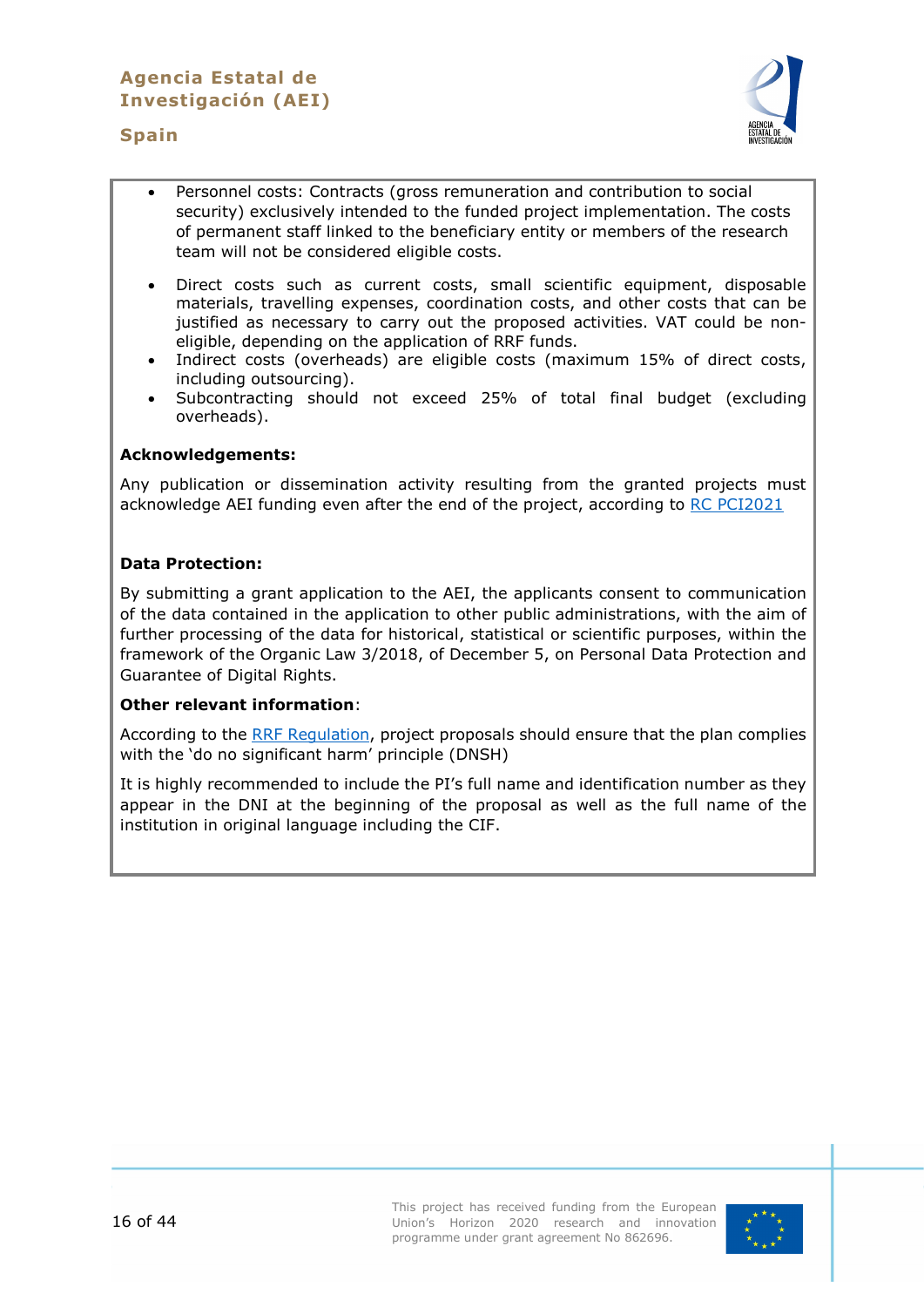#### **Spain**



- Personnel costs: Contracts (gross remuneration and contribution to social security) exclusively intended to the funded project implementation. The costs of permanent staff linked to the beneficiary entity or members of the research team will not be considered eligible costs.
- Direct costs such as current costs, small scientific equipment, disposable materials, travelling expenses, coordination costs, and other costs that can be justified as necessary to carry out the proposed activities. VAT could be noneligible, depending on the application of RRF funds.
- Indirect costs (overheads) are eligible costs (maximum 15% of direct costs, including outsourcing).
- Subcontracting should not exceed 25% of total final budget (excluding overheads).

#### **Acknowledgements:**

Any publication or dissemination activity resulting from the granted projects must acknowledge AEI funding even after the end of the project, according to [RC PCI2021](https://www.aei.gob.es/sites/default/files/convocatory_info/2021-10/RESOLUCION_CONCESION_PCI2021_1_FIRMADA.pdf)

#### **Data Protection:**

By submitting a grant application to the AEI, the applicants consent to communication of the data contained in the application to other public administrations, with the aim of further processing of the data for historical, statistical or scientific purposes, within the framework of the Organic Law 3/2018, of December 5, on Personal Data Protection and Guarantee of Digital Rights.

#### **Other relevant information**:

According to the [RRF Regulation,](https://ec.europa.eu/info/sites/default/files/c2021_1054_en.pdf) project proposals should ensure that the plan complies with the 'do no significant harm' principle (DNSH)

It is highly recommended to include the PI's full name and identification number as they appear in the DNI at the beginning of the proposal as well as the full name of the institution in original language including the CIF.

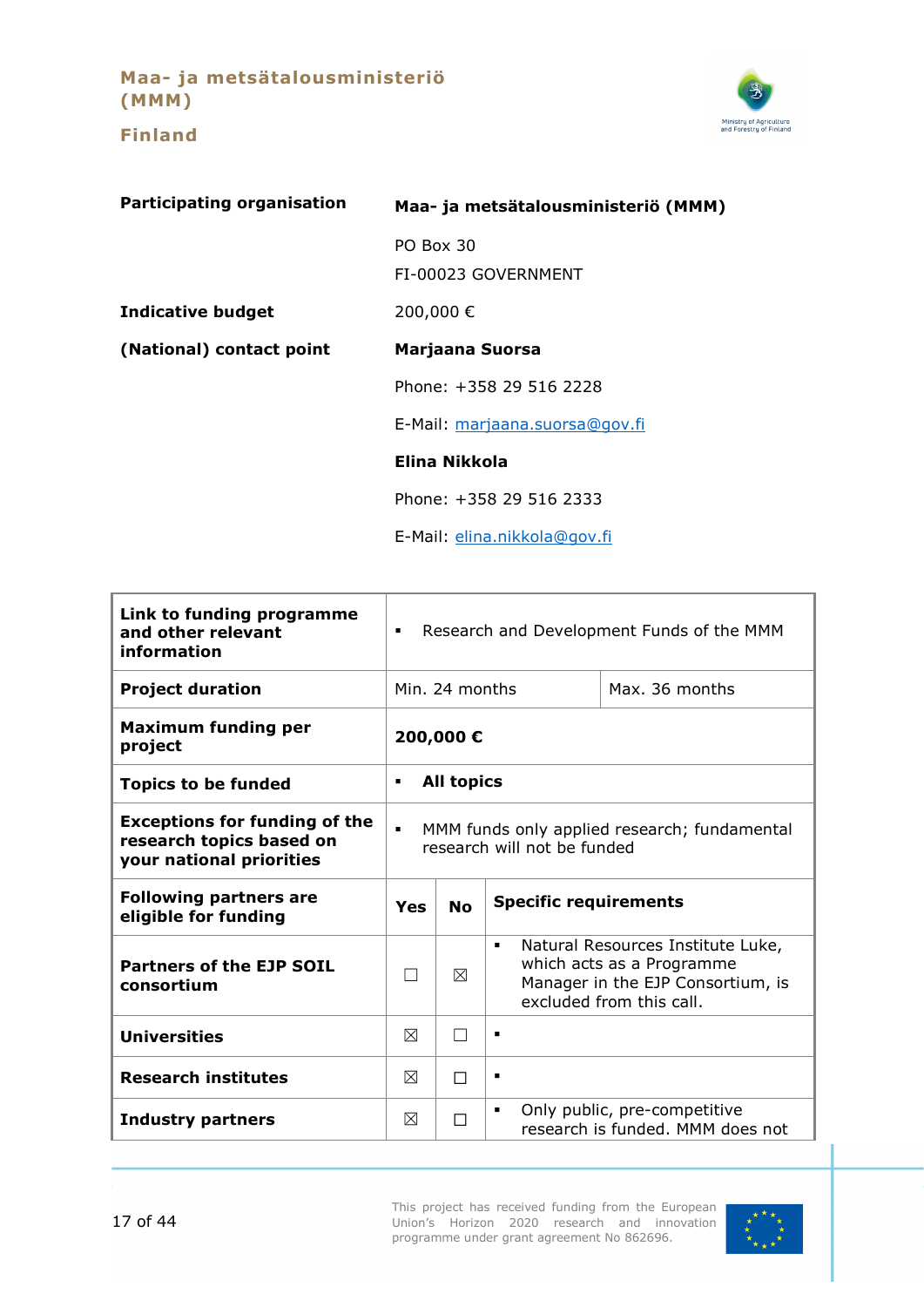**Maa- ja metsätalousministeriö (MMM)**

**Finland**



<span id="page-16-0"></span>

| <b>Participating organisation</b> | Maa- ja metsätalousministeriö (MMM) |  |
|-----------------------------------|-------------------------------------|--|
|                                   | PO Box 30                           |  |
|                                   | FI-00023 GOVERNMENT                 |  |
| <b>Indicative budget</b>          | 200,000€                            |  |
| (National) contact point          | Marjaana Suorsa                     |  |
|                                   | Phone: +358 29 516 2228             |  |
|                                   | E-Mail: marjaana.suorsa@gov.fi      |  |
|                                   | Elina Nikkola                       |  |
|                                   | Phone: +358 29 516 2333             |  |
|                                   | E-Mail: elina.nikkola@qov.fi        |  |

| Link to funding programme<br>and other relevant<br>information                               | Research and Development Funds of the MMM<br>$\blacksquare$                                   |                          |                                                                                                                                                   |
|----------------------------------------------------------------------------------------------|-----------------------------------------------------------------------------------------------|--------------------------|---------------------------------------------------------------------------------------------------------------------------------------------------|
| <b>Project duration</b>                                                                      |                                                                                               | Min. 24 months           | Max. 36 months                                                                                                                                    |
| <b>Maximum funding per</b><br>project                                                        | 200,000€                                                                                      |                          |                                                                                                                                                   |
| <b>Topics to be funded</b>                                                                   | <b>All topics</b><br>$\blacksquare$                                                           |                          |                                                                                                                                                   |
| <b>Exceptions for funding of the</b><br>research topics based on<br>your national priorities | $\blacksquare$<br>MMM funds only applied research; fundamental<br>research will not be funded |                          |                                                                                                                                                   |
| <b>Following partners are</b><br>eligible for funding                                        | <b>Specific requirements</b><br><b>No</b><br>Yes                                              |                          |                                                                                                                                                   |
| <b>Partners of the EJP SOIL</b><br>consortium                                                |                                                                                               | ⊠                        | Natural Resources Institute Luke,<br>$\blacksquare$<br>which acts as a Programme<br>Manager in the EJP Consortium, is<br>excluded from this call. |
| <b>Universities</b>                                                                          | $\boxtimes$                                                                                   | $\overline{\phantom{0}}$ | п                                                                                                                                                 |
| <b>Research institutes</b>                                                                   | ⊠                                                                                             | П                        | п                                                                                                                                                 |
| <b>Industry partners</b>                                                                     | ⊠                                                                                             | П                        | Only public, pre-competitive<br>٠<br>research is funded. MMM does not                                                                             |

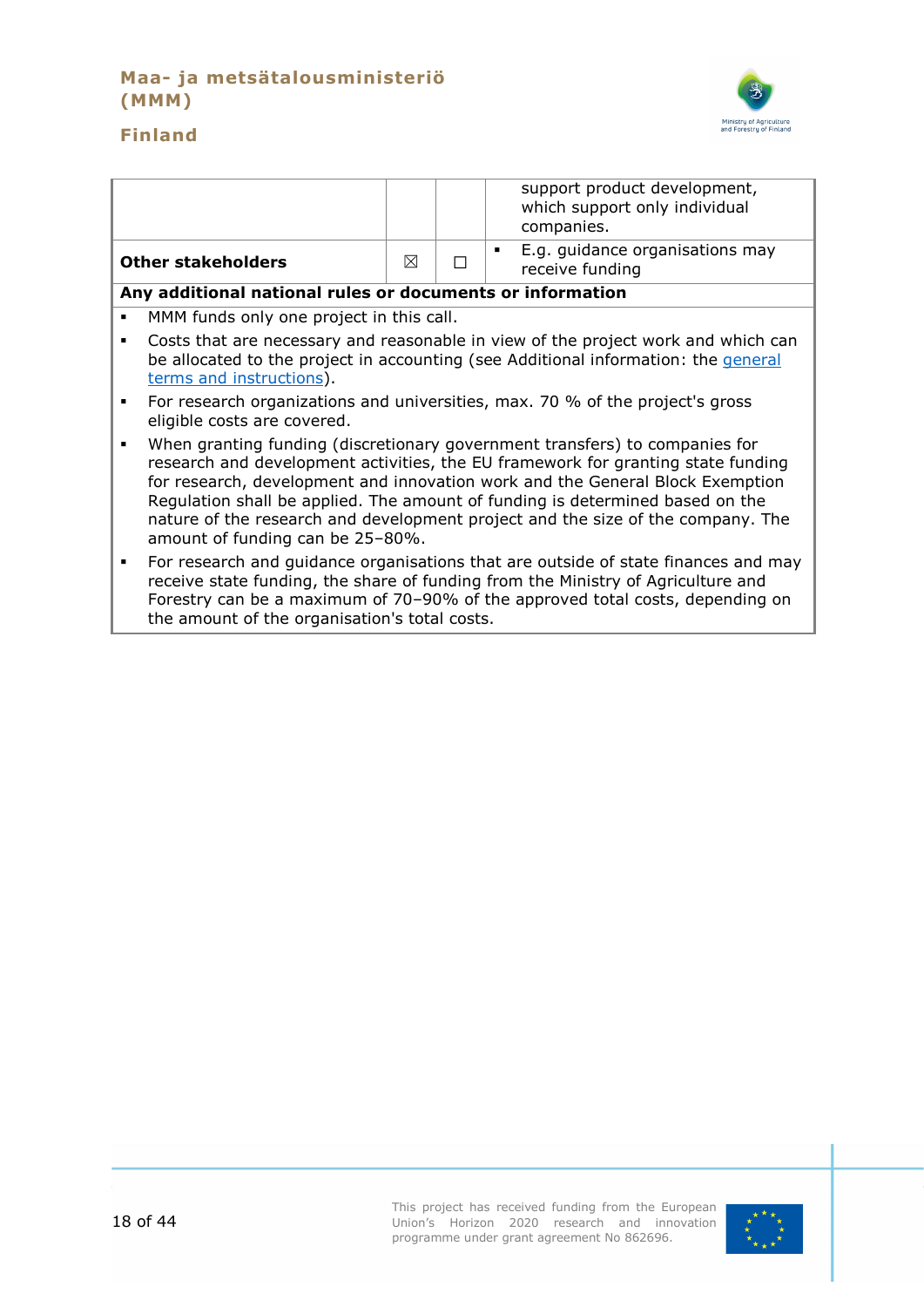# **Maa- ja metsätalousministeriö (MMM)**



# **Finland**

|   |                                                                                                                                                                                                                                                                                                                                                                                                                                                          |   |   | support product development,<br>which support only individual<br>companies. |
|---|----------------------------------------------------------------------------------------------------------------------------------------------------------------------------------------------------------------------------------------------------------------------------------------------------------------------------------------------------------------------------------------------------------------------------------------------------------|---|---|-----------------------------------------------------------------------------|
|   | <b>Other stakeholders</b>                                                                                                                                                                                                                                                                                                                                                                                                                                | ⊠ | П | E.g. guidance organisations may<br>٠<br>receive funding                     |
|   | Any additional national rules or documents or information                                                                                                                                                                                                                                                                                                                                                                                                |   |   |                                                                             |
| ٠ | MMM funds only one project in this call.                                                                                                                                                                                                                                                                                                                                                                                                                 |   |   |                                                                             |
| ٠ | Costs that are necessary and reasonable in view of the project work and which can<br>be allocated to the project in accounting (see Additional information: the general<br>terms and instructions).                                                                                                                                                                                                                                                      |   |   |                                                                             |
| ٠ | For research organizations and universities, max. 70 % of the project's gross<br>eligible costs are covered.                                                                                                                                                                                                                                                                                                                                             |   |   |                                                                             |
| ٠ | When granting funding (discretionary government transfers) to companies for<br>research and development activities, the EU framework for granting state funding<br>for research, development and innovation work and the General Block Exemption<br>Regulation shall be applied. The amount of funding is determined based on the<br>nature of the research and development project and the size of the company. The<br>amount of funding can be 25-80%. |   |   |                                                                             |
| ٠ | For research and guidance organisations that are outside of state finances and may<br>receive state funding, the share of funding from the Ministry of Agriculture and<br>Forestry can be a maximum of 70-90% of the approved total costs, depending on                                                                                                                                                                                                  |   |   |                                                                             |

the amount of the organisation's total costs.

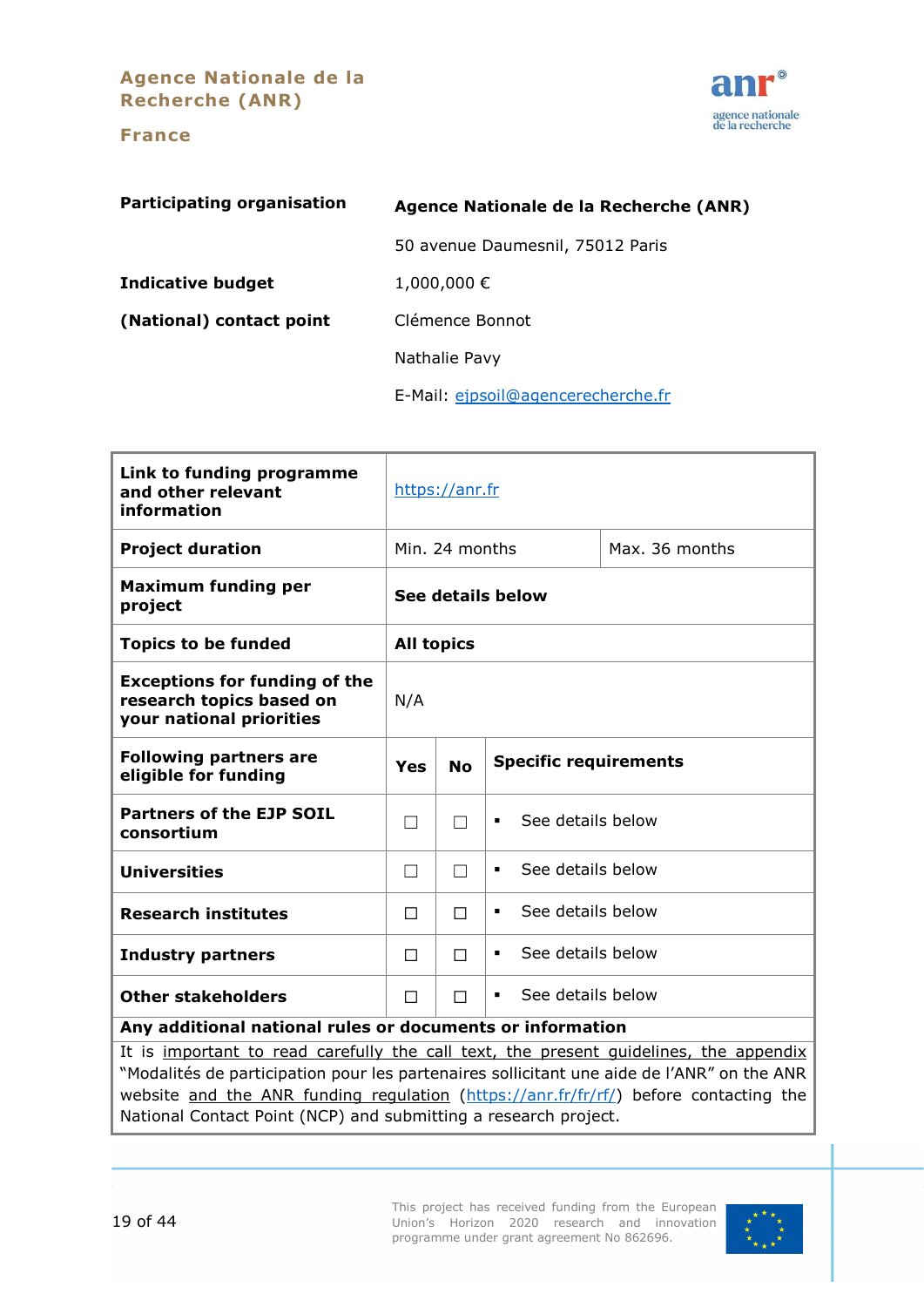**Agence Nationale de la Recherche (ANR)**

#### **France**



<span id="page-18-0"></span>

| <b>Participating organisation</b> | Agence Nationale de la Recherche (ANR) |  |  |
|-----------------------------------|----------------------------------------|--|--|
|                                   | 50 avenue Daumesnil, 75012 Paris       |  |  |
| Indicative budget                 | 1,000,000€                             |  |  |
| (National) contact point          | Clémence Bonnot                        |  |  |
|                                   | Nathalie Pavy                          |  |  |
|                                   | E-Mail: ejpsoil@agencerecherche.fr     |  |  |

| Link to funding programme<br>and other relevant<br>information                                    | https://anr.fr                                   |                   |                                     |                |  |
|---------------------------------------------------------------------------------------------------|--------------------------------------------------|-------------------|-------------------------------------|----------------|--|
| <b>Project duration</b>                                                                           |                                                  | Min. 24 months    |                                     | Max. 36 months |  |
| <b>Maximum funding per</b><br>project                                                             | See details below                                |                   |                                     |                |  |
| <b>Topics to be funded</b>                                                                        |                                                  | <b>All topics</b> |                                     |                |  |
| <b>Exceptions for funding of the</b><br>research topics based on<br>your national priorities      | N/A                                              |                   |                                     |                |  |
| <b>Following partners are</b><br>eligible for funding                                             | <b>Specific requirements</b><br><b>No</b><br>Yes |                   |                                     |                |  |
| <b>Partners of the EJP SOIL</b><br>consortium                                                     | $\blacksquare$                                   |                   | See details below<br>$\blacksquare$ |                |  |
| <b>Universities</b>                                                                               | П                                                |                   | See details below<br>٠              |                |  |
| <b>Research institutes</b>                                                                        | See details below<br>$\blacksquare$<br>П<br>П    |                   |                                     |                |  |
| <b>Industry partners</b>                                                                          | $\Box$                                           | П                 | See details below<br>٠              |                |  |
| <b>Other stakeholders</b>                                                                         | See details below<br>П<br>П                      |                   |                                     |                |  |
| Any additional national rules or documents or information                                         |                                                  |                   |                                     |                |  |
| It is important to read carefully the call text, the present quidelines, the appendix             |                                                  |                   |                                     |                |  |
| "Modalités de participation pour les partenaires sollicitant une aide de l'ANR" on the ANR $\mid$ |                                                  |                   |                                     |                |  |

website <u>and the ANR funding regulation</u> [\(https://anr.fr/fr/rf/\)](https://anr.fr/fr/rf/) before contacting the National Contact Point (NCP) and submitting a research project.

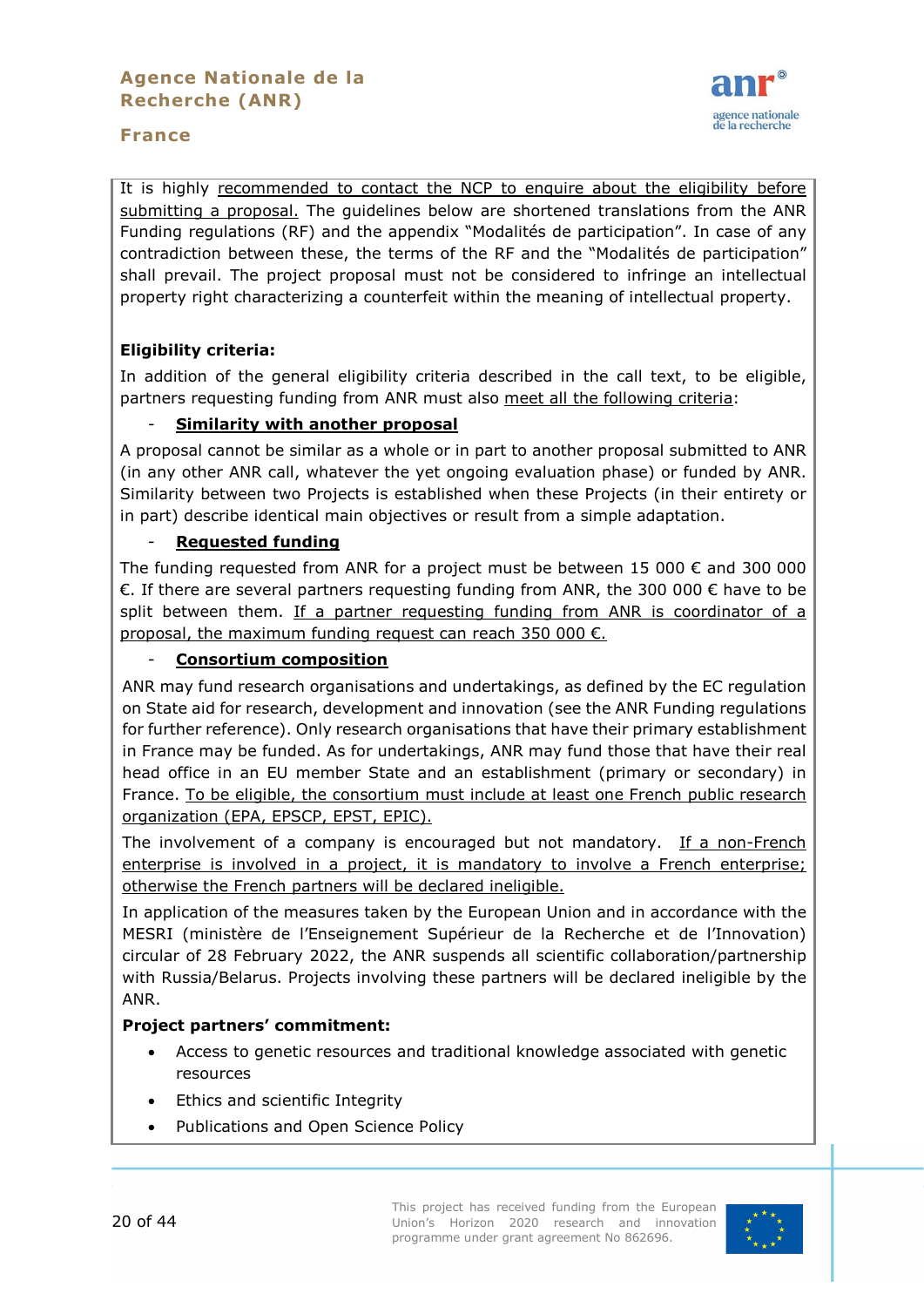



It is highly recommended to contact the NCP to enquire about the eligibility before submitting a proposal. The guidelines below are shortened translations from the ANR Funding regulations (RF) and the appendix "Modalités de participation". In case of any contradiction between these, the terms of the RF and the "Modalités de participation" shall prevail. The project proposal must not be considered to infringe an intellectual property right characterizing a counterfeit within the meaning of intellectual property.

# **Eligibility criteria:**

In addition of the general eligibility criteria described in the call text, to be eligible, partners requesting funding from ANR must also meet all the following criteria:

#### - **Similarity with another proposal**

A proposal cannot be similar as a whole or in part to another proposal submitted to ANR (in any other ANR call, whatever the yet ongoing evaluation phase) or funded by ANR. Similarity between two Projects is established when these Projects (in their entirety or in part) describe identical main objectives or result from a simple adaptation.

#### - **Requested funding**

The funding requested from ANR for a project must be between 15 000  $\epsilon$  and 300 000 €. If there are several partners requesting funding from ANR, the 300 000 € have to be split between them. If a partner requesting funding from ANR is coordinator of a proposal, the maximum funding request can reach 350 000  $\epsilon$ .

#### **Consortium composition**

ANR may fund research organisations and undertakings, as defined by the EC regulation on State aid for research, development and innovation (see the ANR Funding regulations for further reference). Only research organisations that have their primary establishment in France may be funded. As for undertakings, ANR may fund those that have their real head office in an EU member State and an establishment (primary or secondary) in France. To be eligible, the consortium must include at least one French public research organization (EPA, EPSCP, EPST, EPIC).

The involvement of a company is encouraged but not mandatory. If a non-French enterprise is involved in a project, it is mandatory to involve a French enterprise; otherwise the French partners will be declared ineligible.

In application of the measures taken by the European Union and in accordance with the MESRI (ministère de l'Enseignement Supérieur de la Recherche et de l'Innovation) circular of 28 February 2022, the ANR suspends all scientific collaboration/partnership with Russia/Belarus. Projects involving these partners will be declared ineligible by the ANR.

#### **Project partners' commitment:**

- Access to genetic resources and traditional knowledge associated with genetic resources
- Ethics and scientific Integrity
- Publications and Open Science Policy

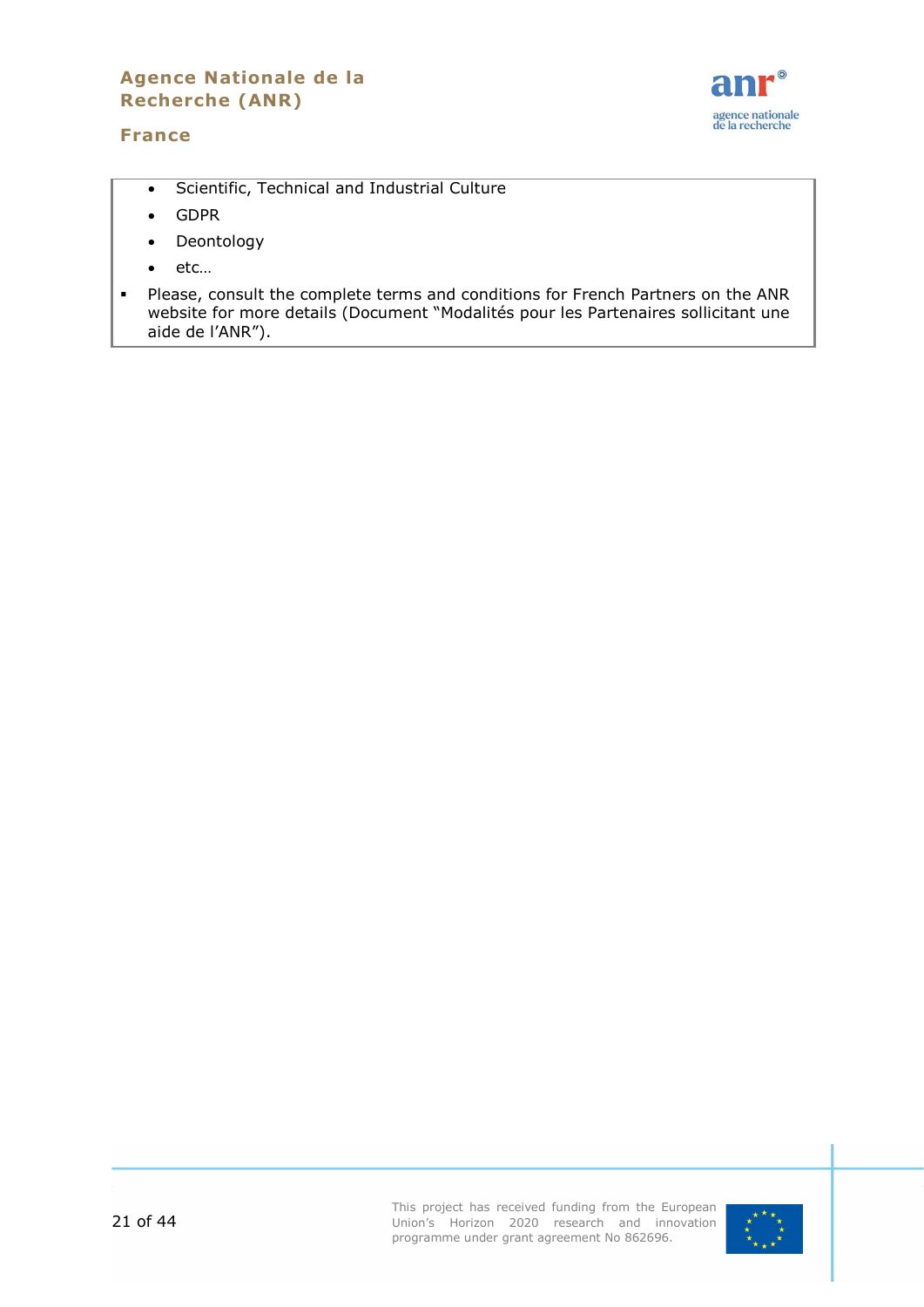# **Agence Nationale de la Recherche (ANR)**

#### **France**



- Scientific, Technical and Industrial Culture
- GDPR
- Deontology
- etc…
- Please, consult the complete terms and conditions for French Partners on the ANR website for more details (Document "Modalités pour les Partenaires sollicitant une aide de l'ANR").

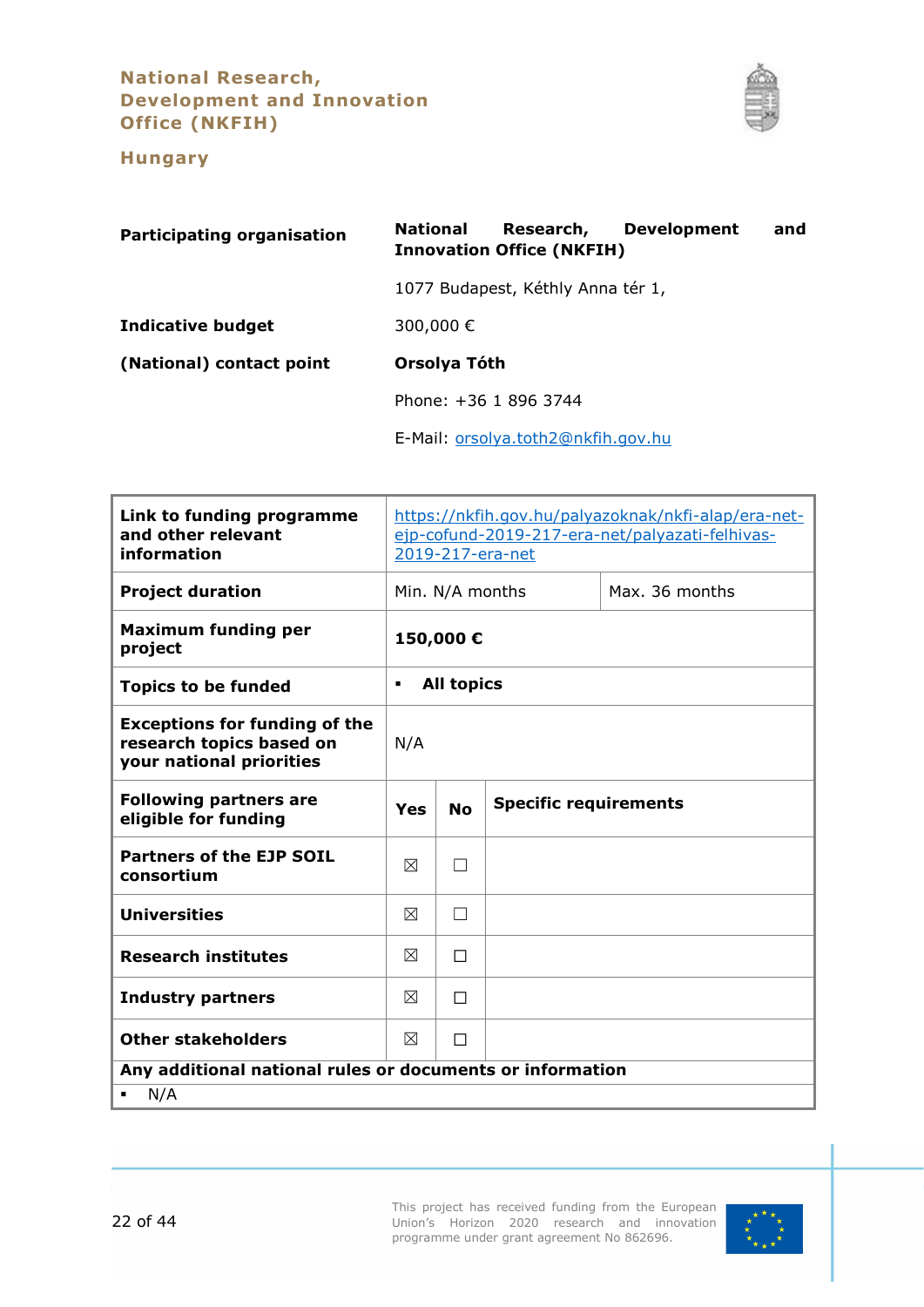# **National Research, Development and Innovation Office (NKFIH)**



# **Hungary**

<span id="page-21-0"></span>

| <b>Participating organisation</b> | <b>Development</b><br><b>National</b><br>Research,<br>and<br><b>Innovation Office (NKFIH)</b> |
|-----------------------------------|-----------------------------------------------------------------------------------------------|
|                                   | 1077 Budapest, Kéthly Anna tér 1,                                                             |
| <b>Indicative budget</b>          | 300,000€                                                                                      |
| (National) contact point          | Orsolya Tóth                                                                                  |
|                                   | Phone: +36 1 896 3744                                                                         |
|                                   | E-Mail: orsolya.toth2@nkfih.gov.hu                                                            |

| Link to funding programme<br>and other relevant<br>information                               | https://nkfih.gov.hu/palyazoknak/nkfi-alap/era-net-<br>ejp-cofund-2019-217-era-net/palyazati-felhivas-<br>2019-217-era-net |                                   |  |  |
|----------------------------------------------------------------------------------------------|----------------------------------------------------------------------------------------------------------------------------|-----------------------------------|--|--|
| <b>Project duration</b>                                                                      |                                                                                                                            | Max. 36 months<br>Min. N/A months |  |  |
| <b>Maximum funding per</b><br>project                                                        | 150,000€                                                                                                                   |                                   |  |  |
| <b>Topics to be funded</b>                                                                   | <b>All topics</b><br>$\blacksquare$                                                                                        |                                   |  |  |
| <b>Exceptions for funding of the</b><br>research topics based on<br>your national priorities | N/A                                                                                                                        |                                   |  |  |
| <b>Following partners are</b><br>eligible for funding                                        | <b>Specific requirements</b><br><b>No</b><br>Yes                                                                           |                                   |  |  |
| <b>Partners of the EJP SOIL</b><br>consortium                                                | ⊠                                                                                                                          |                                   |  |  |
| <b>Universities</b>                                                                          | ⊠                                                                                                                          |                                   |  |  |
| <b>Research institutes</b>                                                                   | ⊠                                                                                                                          | П                                 |  |  |
| <b>Industry partners</b>                                                                     | ⊠                                                                                                                          | П                                 |  |  |
| <b>Other stakeholders</b>                                                                    | $\boxtimes$<br>П                                                                                                           |                                   |  |  |
| Any additional national rules or documents or information<br>N/A                             |                                                                                                                            |                                   |  |  |

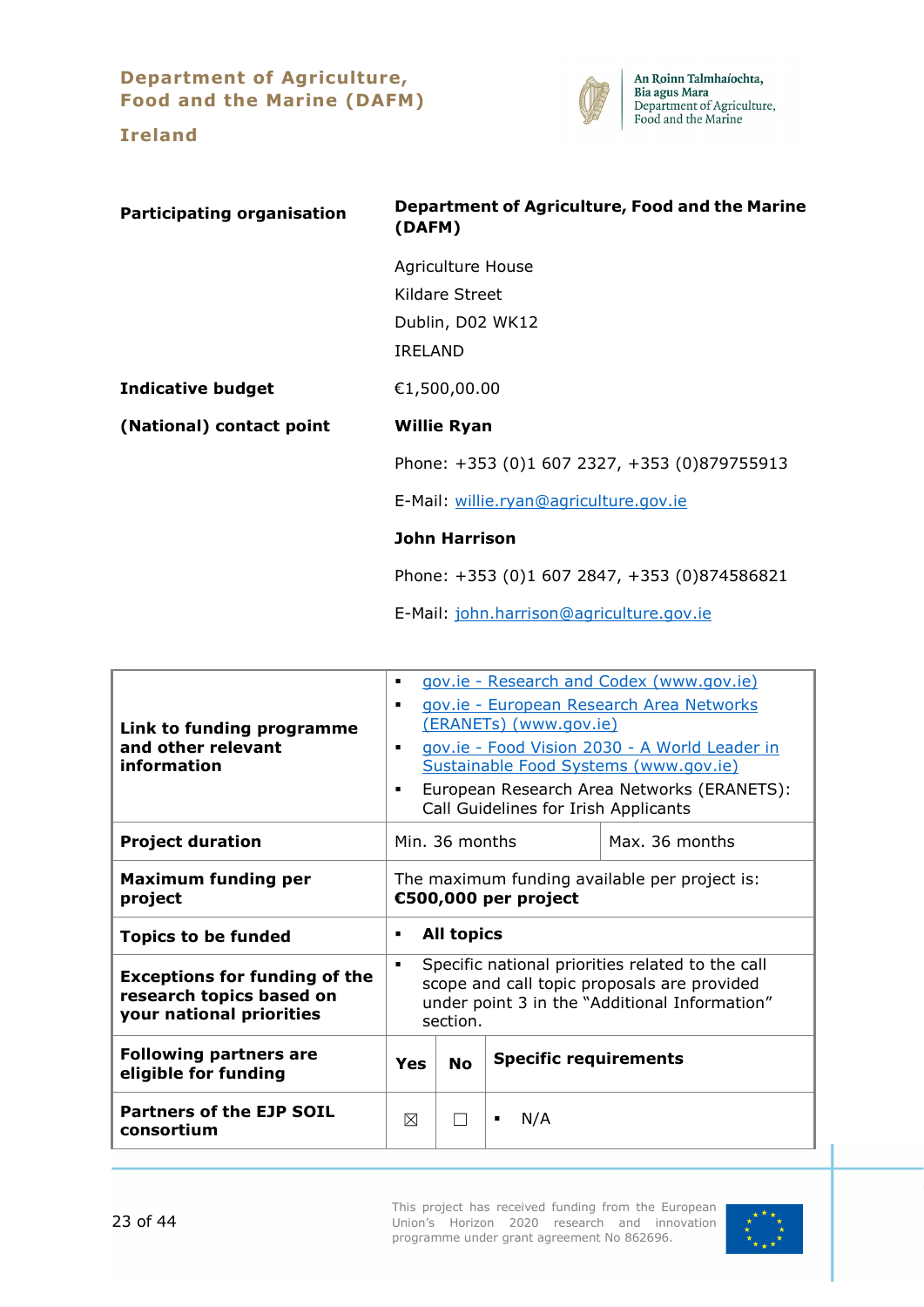**Department of Agriculture, Food and the Marine (DAFM)**



<span id="page-22-0"></span>

| <b>Participating organisation</b> | Department of Agriculture, Food and the Marine<br>(DAFM) |  |  |
|-----------------------------------|----------------------------------------------------------|--|--|
|                                   | <b>Agriculture House</b>                                 |  |  |
|                                   | Kildare Street                                           |  |  |
|                                   | Dublin, D02 WK12                                         |  |  |
|                                   | <b>IRELAND</b>                                           |  |  |
| <b>Indicative budget</b>          | €1,500,00.00                                             |  |  |
| (National) contact point          | <b>Willie Ryan</b>                                       |  |  |
|                                   | Phone: +353 (0)1 607 2327, +353 (0)879755913             |  |  |
|                                   | E-Mail: willie.ryan@agriculture.gov.ie                   |  |  |
|                                   | <b>John Harrison</b>                                     |  |  |
|                                   | Phone: +353 (0)1 607 2847, +353 (0)874586821             |  |  |

E-Mail: [john.harrison@agriculture.gov.ie](mailto:john.harrison@agriculture.gov.ie)

| Link to funding programme<br>and other relevant<br>information                               | ٠<br>$\blacksquare$<br>$\blacksquare$<br>٠                                                                                                                        |                                  | (ERANETs) (www.gov.ie)<br>Call Guidelines for Irish Applicants | gov.ie - Research and Codex (www.gov.ie)<br>gov.ie - European Research Area Networks<br>gov.ie - Food Vision 2030 - A World Leader in<br>Sustainable Food Systems (www.gov.ie)<br>European Research Area Networks (ERANETS): |  |
|----------------------------------------------------------------------------------------------|-------------------------------------------------------------------------------------------------------------------------------------------------------------------|----------------------------------|----------------------------------------------------------------|------------------------------------------------------------------------------------------------------------------------------------------------------------------------------------------------------------------------------|--|
| <b>Project duration</b>                                                                      |                                                                                                                                                                   | Min. 36 months<br>Max. 36 months |                                                                |                                                                                                                                                                                                                              |  |
| <b>Maximum funding per</b><br>project                                                        | The maximum funding available per project is:<br>€500,000 per project                                                                                             |                                  |                                                                |                                                                                                                                                                                                                              |  |
| <b>Topics to be funded</b>                                                                   | <b>All topics</b><br>٠                                                                                                                                            |                                  |                                                                |                                                                                                                                                                                                                              |  |
| <b>Exceptions for funding of the</b><br>research topics based on<br>your national priorities | Specific national priorities related to the call<br>٠<br>scope and call topic proposals are provided<br>under point 3 in the "Additional Information"<br>section. |                                  |                                                                |                                                                                                                                                                                                                              |  |
| <b>Following partners are</b><br>eligible for funding                                        | Yes                                                                                                                                                               | <b>No</b>                        | <b>Specific requirements</b>                                   |                                                                                                                                                                                                                              |  |
| <b>Partners of the EJP SOIL</b><br>consortium                                                | ⊠                                                                                                                                                                 |                                  | N/A                                                            |                                                                                                                                                                                                                              |  |

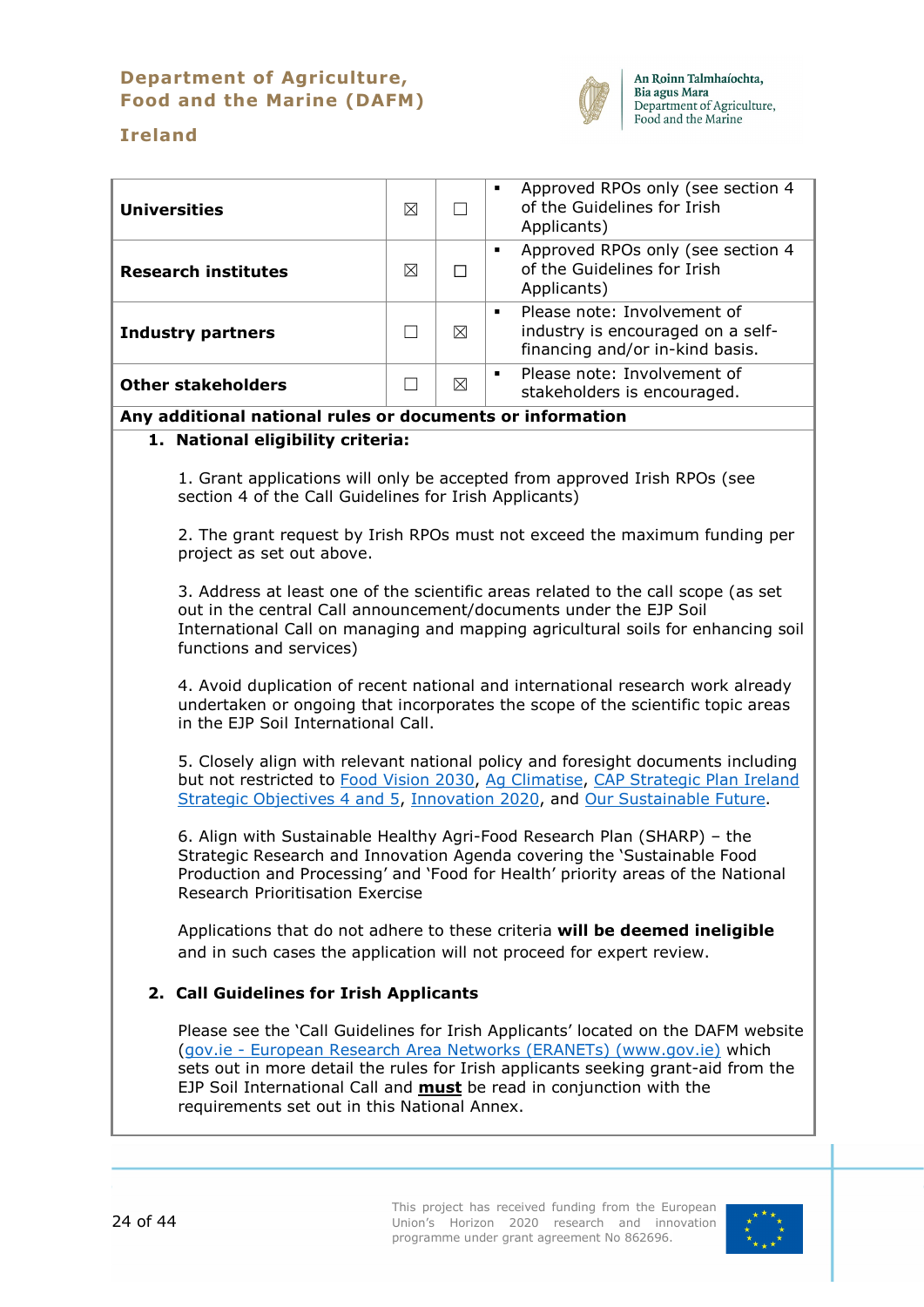# **Department of Agriculture, Food and the Marine (DAFM)**



# **Ireland**

| <b>Universities</b>                                                                                                                                                                                                                                                                                                                                                             | ⊠       | П           | Approved RPOs only (see section 4<br>$\blacksquare$<br>of the Guidelines for Irish<br>Applicants)                     |  |  |
|---------------------------------------------------------------------------------------------------------------------------------------------------------------------------------------------------------------------------------------------------------------------------------------------------------------------------------------------------------------------------------|---------|-------------|-----------------------------------------------------------------------------------------------------------------------|--|--|
| <b>Research institutes</b>                                                                                                                                                                                                                                                                                                                                                      | ⊠       | П           | Approved RPOs only (see section 4<br>$\blacksquare$<br>of the Guidelines for Irish<br>Applicants)                     |  |  |
| <b>Industry partners</b>                                                                                                                                                                                                                                                                                                                                                        | $\perp$ | $\boxtimes$ | Please note: Involvement of<br>$\blacksquare$<br>industry is encouraged on a self-<br>financing and/or in-kind basis. |  |  |
| <b>Other stakeholders</b>                                                                                                                                                                                                                                                                                                                                                       | $\Box$  | ⊠           | Please note: Involvement of<br>П<br>stakeholders is encouraged.                                                       |  |  |
| Any additional national rules or documents or information                                                                                                                                                                                                                                                                                                                       |         |             |                                                                                                                       |  |  |
| 1. National eligibility criteria:                                                                                                                                                                                                                                                                                                                                               |         |             |                                                                                                                       |  |  |
| section 4 of the Call Guidelines for Irish Applicants)                                                                                                                                                                                                                                                                                                                          |         |             | 1. Grant applications will only be accepted from approved Irish RPOs (see                                             |  |  |
| project as set out above.                                                                                                                                                                                                                                                                                                                                                       |         |             | 2. The grant request by Irish RPOs must not exceed the maximum funding per                                            |  |  |
| 3. Address at least one of the scientific areas related to the call scope (as set<br>out in the central Call announcement/documents under the EJP Soil<br>International Call on managing and mapping agricultural soils for enhancing soil<br>functions and services)                                                                                                           |         |             |                                                                                                                       |  |  |
| 4. Avoid duplication of recent national and international research work already<br>undertaken or ongoing that incorporates the scope of the scientific topic areas<br>in the EJP Soil International Call.                                                                                                                                                                       |         |             |                                                                                                                       |  |  |
| 5. Closely align with relevant national policy and foresight documents including<br>but not restricted to Food Vision 2030, Ag Climatise, CAP Strategic Plan Ireland<br>Strategic Objectives 4 and 5, Innovation 2020, and Our Sustainable Future.                                                                                                                              |         |             |                                                                                                                       |  |  |
| 6. Align with Sustainable Healthy Agri-Food Research Plan (SHARP) - the<br>Strategic Research and Innovation Agenda covering the 'Sustainable Food<br>Production and Processing' and 'Food for Health' priority areas of the National<br><b>Research Prioritisation Exercise</b>                                                                                                |         |             |                                                                                                                       |  |  |
| Applications that do not adhere to these criteria will be deemed ineligible<br>and in such cases the application will not proceed for expert review.                                                                                                                                                                                                                            |         |             |                                                                                                                       |  |  |
| 2. Call Guidelines for Irish Applicants                                                                                                                                                                                                                                                                                                                                         |         |             |                                                                                                                       |  |  |
| Please see the 'Call Guidelines for Irish Applicants' located on the DAFM website<br>(gov.ie - European Research Area Networks (ERANETs) (www.gov.ie) which<br>sets out in more detail the rules for Irish applicants seeking grant-aid from the<br>EJP Soil International Call and <b>must</b> be read in conjunction with the<br>requirements set out in this National Annex. |         |             |                                                                                                                       |  |  |
|                                                                                                                                                                                                                                                                                                                                                                                 |         |             |                                                                                                                       |  |  |

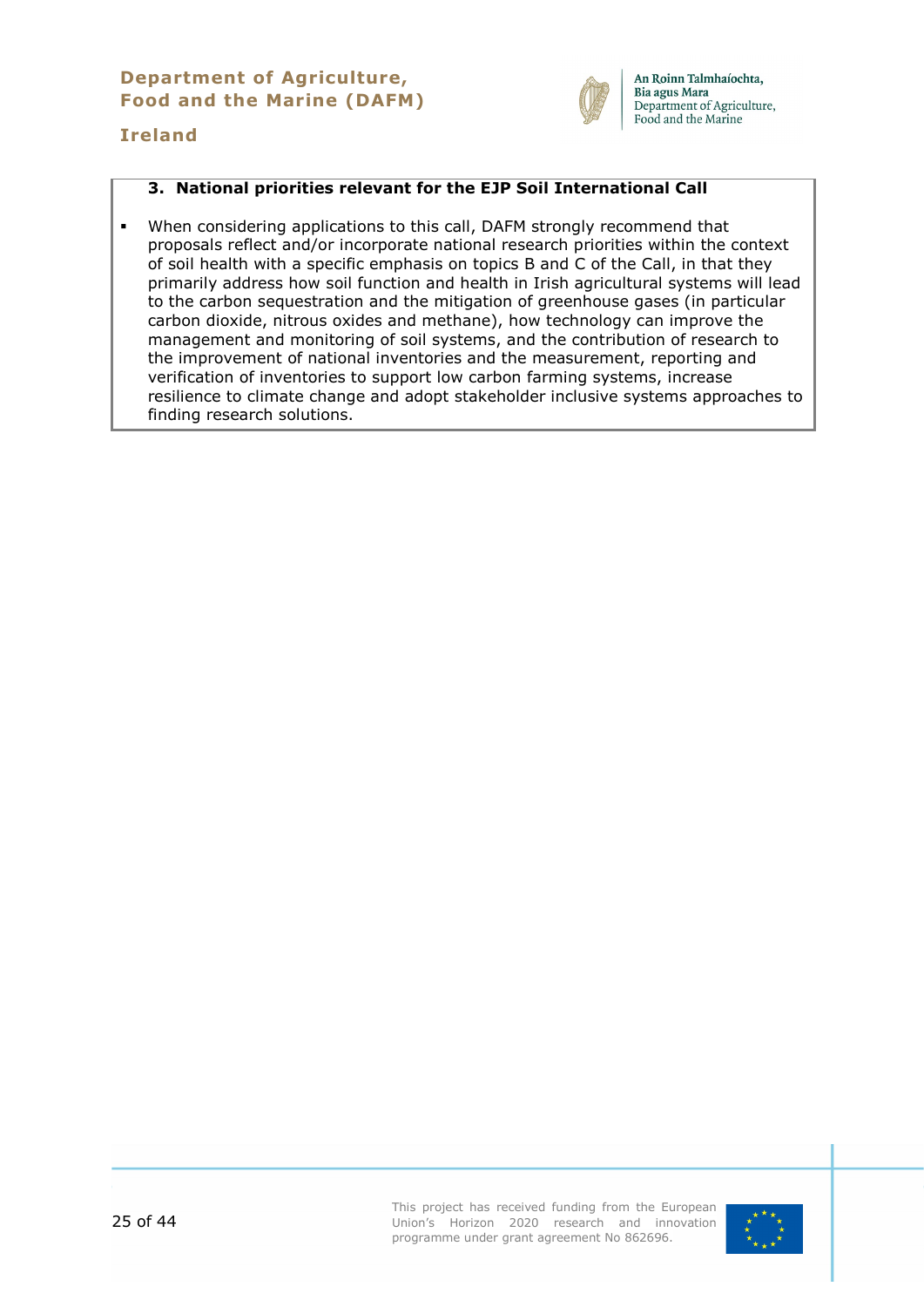#### **Department of Agriculture, Food and the Marine (DAFM)**



An Roinn Talmhaíochta, Bia agus Mara Department of Agriculture, Food and the Marine

# **Ireland**

#### **3. National priorities relevant for the EJP Soil International Call**

 When considering applications to this call, DAFM strongly recommend that proposals reflect and/or incorporate national research priorities within the context of soil health with a specific emphasis on topics B and C of the Call, in that they primarily address how soil function and health in Irish agricultural systems will lead to the carbon sequestration and the mitigation of greenhouse gases (in particular carbon dioxide, nitrous oxides and methane), how technology can improve the management and monitoring of soil systems, and the contribution of research to the improvement of national inventories and the measurement, reporting and verification of inventories to support low carbon farming systems, increase resilience to climate change and adopt stakeholder inclusive systems approaches to finding research solutions.

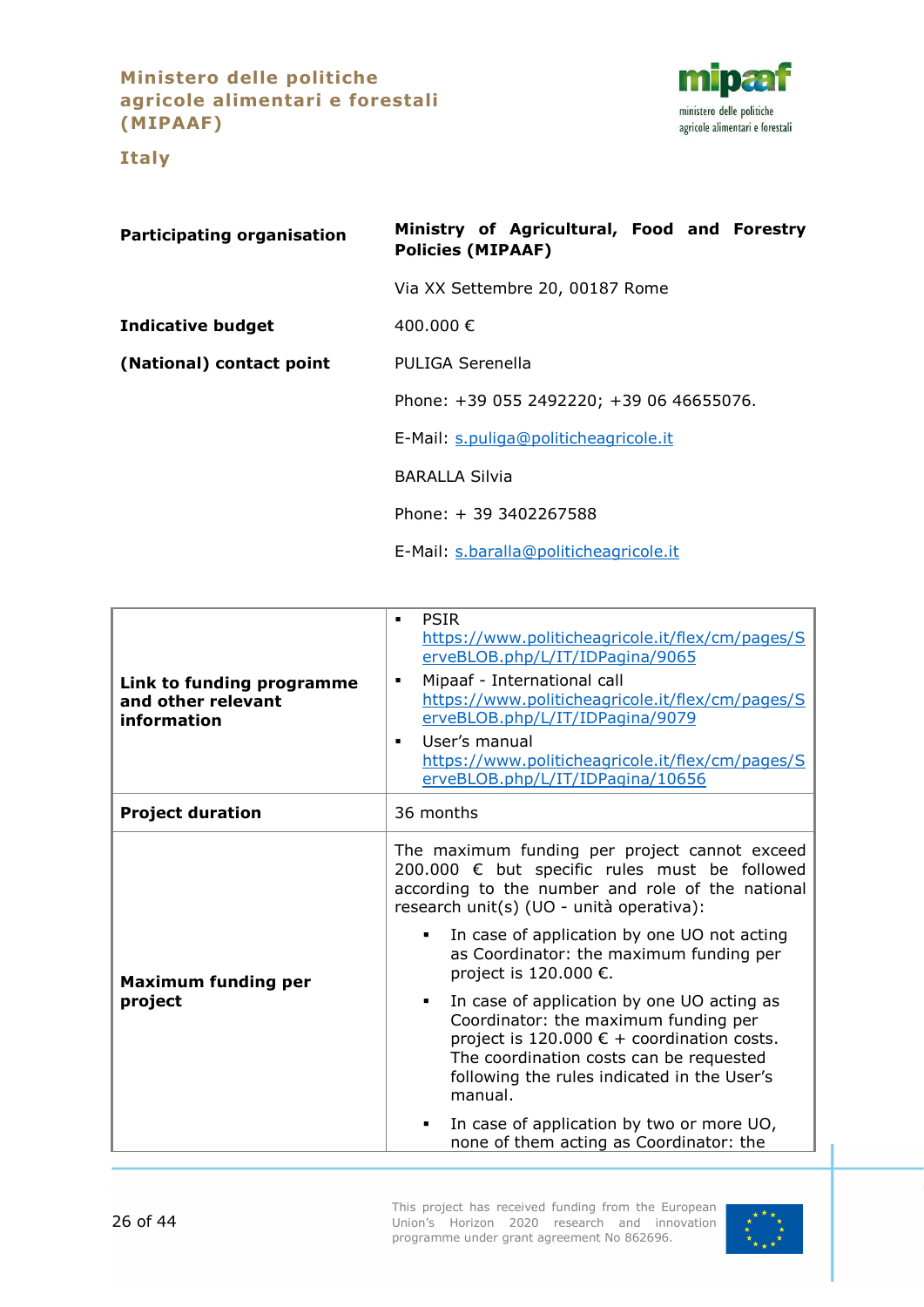**Ministero delle politiche agricole alimentari e forestali (MIPAAF)**

**Italy**



<span id="page-25-0"></span>**Participating organisation Ministry of Agricultural, Food and Forestry Policies (MIPAAF)** Via XX Settembre 20, 00187 Rome **Indicative budget** 400.000 € **(National) contact point** PULIGA Serenella Phone: +39 055 2492220; +39 06 46655076. E-Mail: [s.puliga@politicheagricole.it](mailto:s.puliga@politicheagricole.it) BARALLA Silvia Phone: + 39 3402267588 E-Mail: [s.baralla@politicheagricole.it](mailto:s.baralla@politicheagricole.it)

| Link to funding programme<br>and other relevant<br>information | <b>PSIR</b><br>$\blacksquare$<br>https://www.politicheagricole.it/flex/cm/pages/S<br>erveBLOB.php/L/IT/IDPagina/9065<br>Mipaaf - International call<br>٠<br>https://www.politicheagricole.it/flex/cm/pages/S<br>erveBLOB.php/L/IT/IDPagina/9079<br>User's manual<br>$\blacksquare$<br>https://www.politicheagricole.it/flex/cm/pages/S<br>erveBLOB.php/L/IT/IDPagina/10656 |
|----------------------------------------------------------------|----------------------------------------------------------------------------------------------------------------------------------------------------------------------------------------------------------------------------------------------------------------------------------------------------------------------------------------------------------------------------|
| <b>Project duration</b>                                        | 36 months                                                                                                                                                                                                                                                                                                                                                                  |
| <b>Maximum funding per</b>                                     | The maximum funding per project cannot exceed<br>200.000 € but specific rules must be followed<br>according to the number and role of the national<br>research unit(s) (UO - unità operativa):<br>In case of application by one UO not acting<br>as Coordinator: the maximum funding per<br>project is 120.000 €.                                                          |
| project                                                        | In case of application by one UO acting as<br>٠<br>Coordinator: the maximum funding per<br>project is 120.000 € + coordination costs.<br>The coordination costs can be requested<br>following the rules indicated in the User's<br>manual.                                                                                                                                 |
|                                                                | In case of application by two or more UO,<br>٠<br>none of them acting as Coordinator: the                                                                                                                                                                                                                                                                                  |

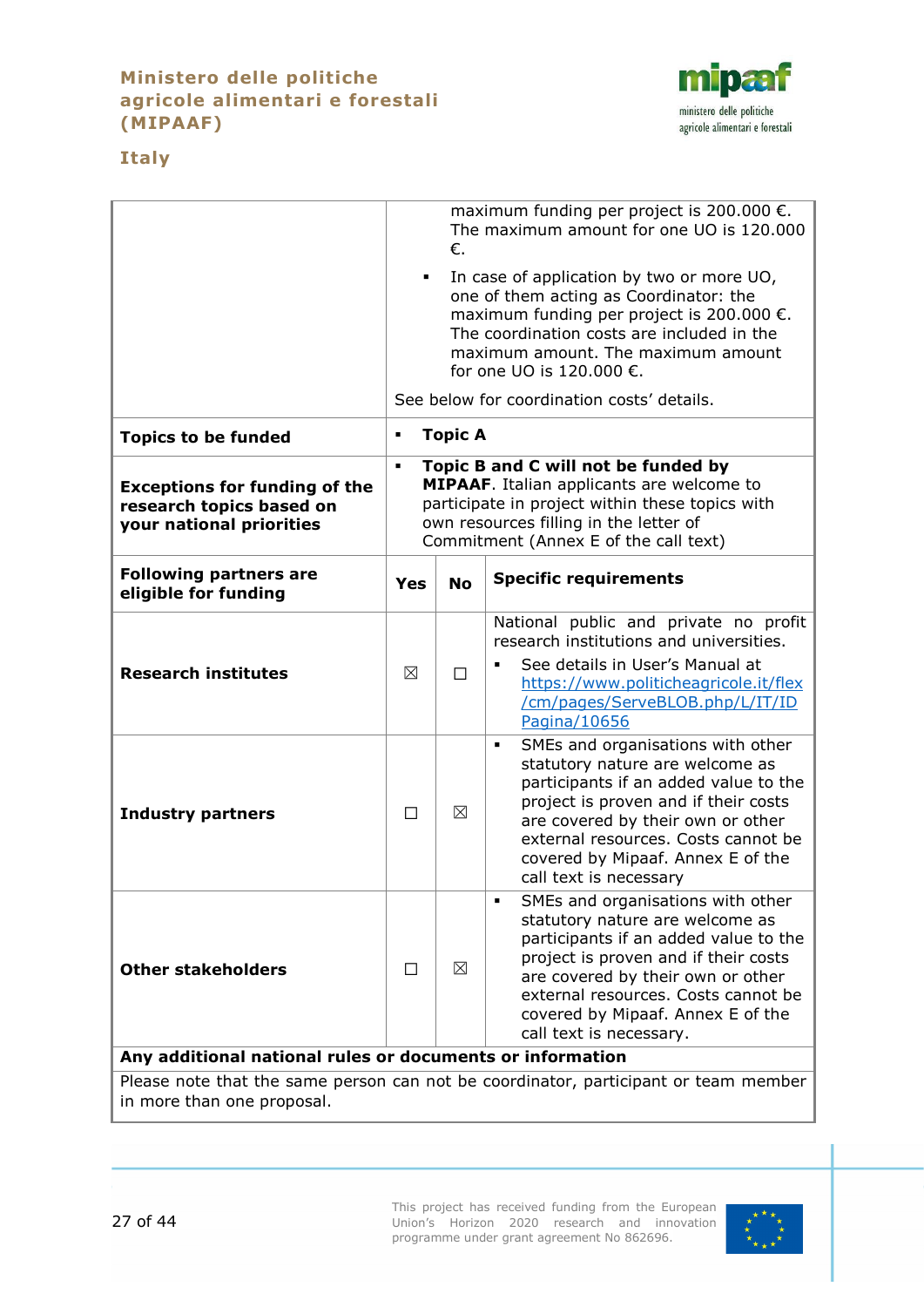# **Ministero delle politiche agricole alimentari e forestali (MIPAAF)**



# **Italy**

|                                                                                              | maximum funding per project is 200.000 $\epsilon$ .<br>The maximum amount for one UO is 120.000<br>€.                                                                                                                                                                                                         |                |                                                                                                                                                                                                                                                                                                       |  |
|----------------------------------------------------------------------------------------------|---------------------------------------------------------------------------------------------------------------------------------------------------------------------------------------------------------------------------------------------------------------------------------------------------------------|----------------|-------------------------------------------------------------------------------------------------------------------------------------------------------------------------------------------------------------------------------------------------------------------------------------------------------|--|
|                                                                                              | In case of application by two or more UO,<br>٠<br>one of them acting as Coordinator: the<br>maximum funding per project is 200.000 $\epsilon$ .<br>The coordination costs are included in the<br>maximum amount. The maximum amount<br>for one UO is 120.000 €.<br>See below for coordination costs' details. |                |                                                                                                                                                                                                                                                                                                       |  |
| <b>Topics to be funded</b>                                                                   | ٠                                                                                                                                                                                                                                                                                                             | <b>Topic A</b> |                                                                                                                                                                                                                                                                                                       |  |
| <b>Exceptions for funding of the</b><br>research topics based on<br>your national priorities | Topic B and C will not be funded by<br>٠<br><b>MIPAAF.</b> Italian applicants are welcome to<br>participate in project within these topics with<br>own resources filling in the letter of<br>Commitment (Annex E of the call text)                                                                            |                |                                                                                                                                                                                                                                                                                                       |  |
| <b>Following partners are</b><br>eligible for funding                                        | Yes                                                                                                                                                                                                                                                                                                           | <b>No</b>      | <b>Specific requirements</b>                                                                                                                                                                                                                                                                          |  |
| <b>Research institutes</b>                                                                   | ⊠                                                                                                                                                                                                                                                                                                             | П              | National public and private no profit<br>research institutions and universities.<br>See details in User's Manual at<br>https://www.politicheagricole.it/flex<br>/cm/pages/ServeBLOB.php/L/IT/ID<br>Pagina/10656                                                                                       |  |
| <b>Industry partners</b>                                                                     | □                                                                                                                                                                                                                                                                                                             | ⊠              | SMEs and organisations with other<br>٠<br>statutory nature are welcome as<br>participants if an added value to the<br>project is proven and if their costs<br>are covered by their own or other<br>external resources. Costs cannot be<br>covered by Mipaaf. Annex E of the<br>call text is necessary |  |
| <b>Other stakeholders</b>                                                                    | П                                                                                                                                                                                                                                                                                                             | ⊠              | SMEs and organisations with other<br>statutory nature are welcome as<br>participants if an added value to the<br>project is proven and if their costs<br>are covered by their own or other<br>external resources. Costs cannot be<br>covered by Mipaaf. Annex E of the<br>call text is necessary.     |  |
| Any additional national rules or documents or information                                    |                                                                                                                                                                                                                                                                                                               |                |                                                                                                                                                                                                                                                                                                       |  |

Please note that the same person can not be coordinator, participant or team member in more than one proposal.

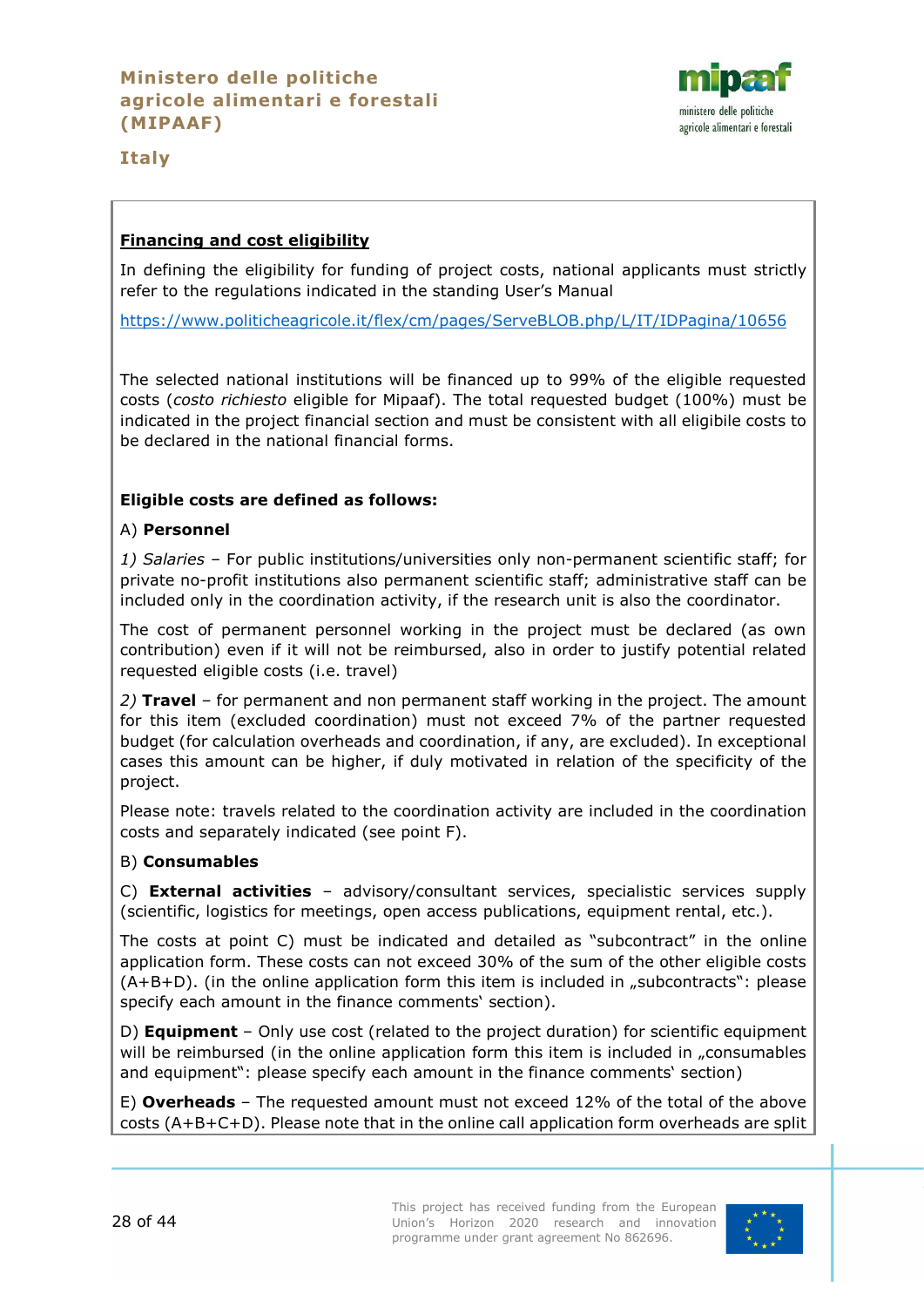

**Italy**

# **Financing and cost eligibility**

In defining the eligibility for funding of project costs, national applicants must strictly refer to the regulations indicated in the standing User's Manual

<https://www.politicheagricole.it/flex/cm/pages/ServeBLOB.php/L/IT/IDPagina/10656>

The selected national institutions will be financed up to 99% of the eligible requested costs (*costo richiesto* eligible for Mipaaf). The total requested budget (100%) must be indicated in the project financial section and must be consistent with all eligibile costs to be declared in the national financial forms.

# **Eligible costs are defined as follows:**

# A) **Personnel**

*1) Salaries –* For public institutions/universities only non-permanent scientific staff; for private no-profit institutions also permanent scientific staff; administrative staff can be included only in the coordination activity, if the research unit is also the coordinator.

The cost of permanent personnel working in the project must be declared (as own contribution) even if it will not be reimbursed, also in order to justify potential related requested eligible costs (i.e. travel)

*2)* **Travel** *–* for permanent and non permanent staff working in the project. The amount for this item (excluded coordination) must not exceed 7% of the partner requested budget (for calculation overheads and coordination, if any, are excluded). In exceptional cases this amount can be higher, if duly motivated in relation of the specificity of the project.

Please note: travels related to the coordination activity are included in the coordination costs and separately indicated (see point F).

# B) **Consumables**

C) **External activities** – advisory/consultant services, specialistic services supply (scientific, logistics for meetings, open access publications, equipment rental, etc.).

The costs at point C) must be indicated and detailed as "subcontract" in the online application form. These costs can not exceed 30% of the sum of the other eligible costs  $(A+B+D)$ . (in the online application form this item is included in "subcontracts": please specify each amount in the finance comments' section).

D) **Equipment** – Only use cost (related to the project duration) for scientific equipment will be reimbursed (in the online application form this item is included in "consumables and equipment": please specify each amount in the finance comments' section)

E) **Overheads** – The requested amount must not exceed 12% of the total of the above costs (A+B+C+D). Please note that in the online call application form overheads are split

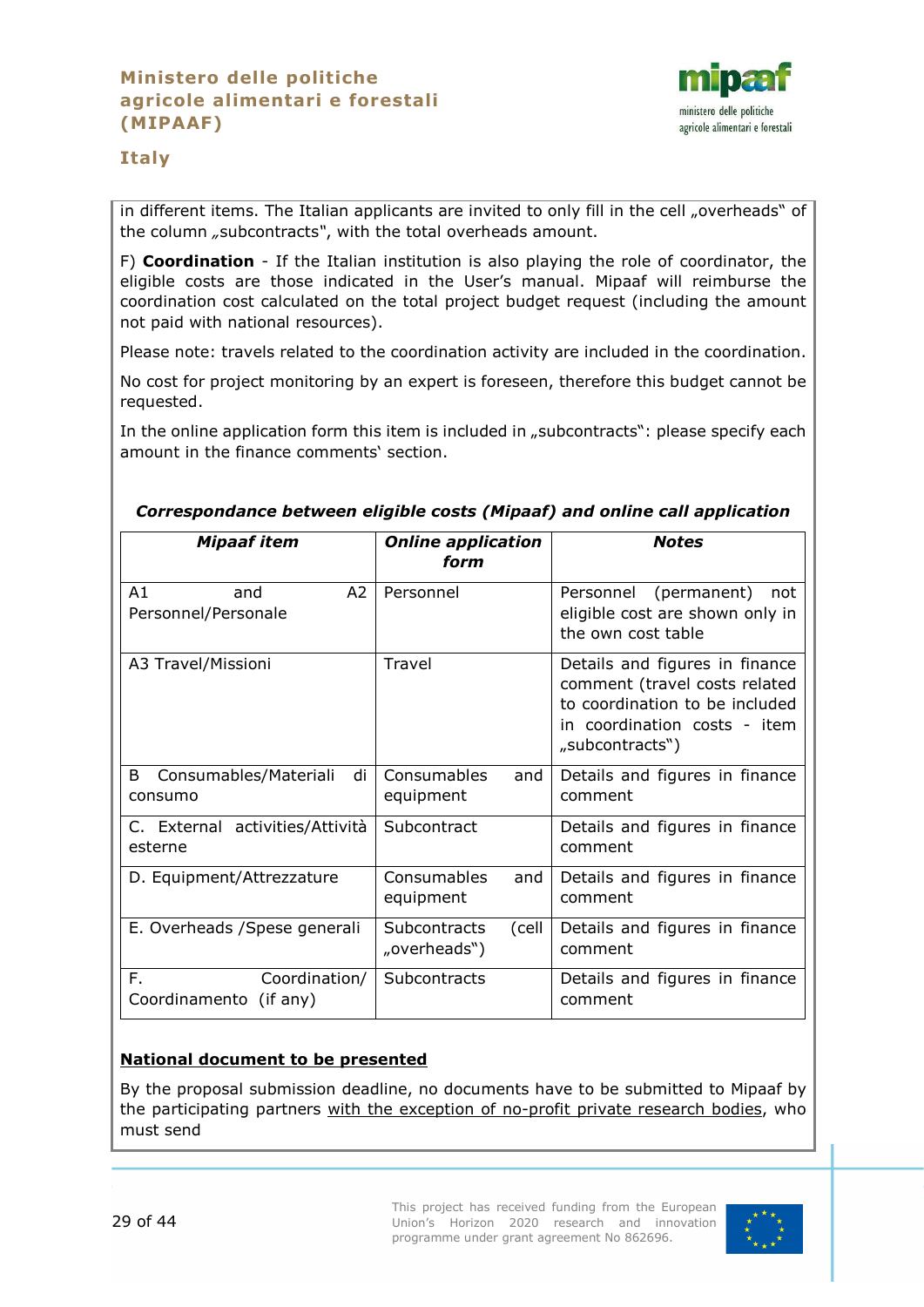

# **Italy**

in different items. The Italian applicants are invited to only fill in the cell "overheads" of the column *"*subcontracts*"*, with the total overheads amount.

F) **Coordination** - If the Italian institution is also playing the role of coordinator, the eligible costs are those indicated in the User's manual. Mipaaf will reimburse the coordination cost calculated on the total project budget request (including the amount not paid with national resources).

Please note: travels related to the coordination activity are included in the coordination.

No cost for project monitoring by an expert is foreseen, therefore this budget cannot be requested.

In the online application form this item is included in "subcontracts": please specify each amount in the finance comments' section.

| <b>Mipaaf item</b>                            | <b>Online application</b><br>form      | <b>Notes</b>                                                                                                                                         |
|-----------------------------------------------|----------------------------------------|------------------------------------------------------------------------------------------------------------------------------------------------------|
| A2<br>A1<br>and<br>Personnel/Personale        | Personnel                              | Personnel (permanent)<br>not<br>eligible cost are shown only in<br>the own cost table                                                                |
| A3 Travel/Missioni                            | Travel                                 | Details and figures in finance<br>comment (travel costs related<br>to coordination to be included<br>in coordination costs - item<br>"subcontracts") |
| Consumables/Materiali<br>di<br>B<br>consumo   | <b>Consumables</b><br>and<br>equipment | Details and figures in finance<br>comment                                                                                                            |
| C. External activities/Attività<br>esterne    | Subcontract                            | Details and figures in finance<br>comment                                                                                                            |
| D. Equipment/Attrezzature                     | Consumables<br>and<br>equipment        | Details and figures in finance<br>comment                                                                                                            |
| E. Overheads / Spese generali                 | Subcontracts<br>(cell<br>"overheads")  | Details and figures in finance<br>comment                                                                                                            |
| F.<br>Coordination/<br>Coordinamento (if any) | <b>Subcontracts</b>                    | Details and figures in finance<br>comment                                                                                                            |

#### *Correspondance between eligible costs (Mipaaf) and online call application*

# **National document to be presented**

By the proposal submission deadline, no documents have to be submitted to Mipaaf by the participating partners with the exception of no-profit private research bodies, who must send

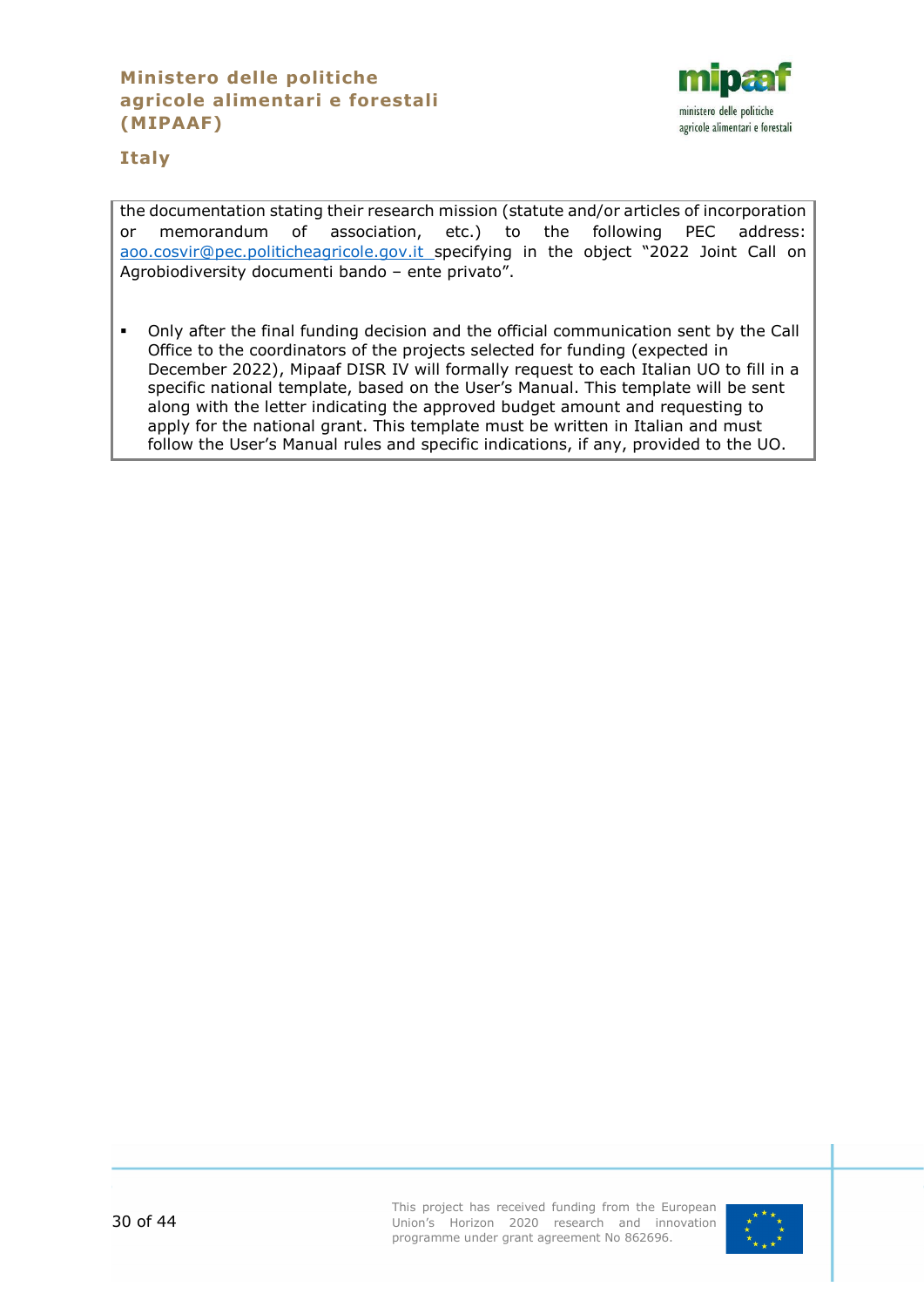# **Ministero delle politiche agricole alimentari e forestali (MIPAAF)**



# **Italy**

the documentation stating their research mission (statute and/or articles of incorporation or memorandum of association, etc.) to the following PEC address: [aoo.cosvir@pec.politicheagricole.gov.it](mailto:aoo.cosvir@pec.politicheagricole.gov.it) specifying in the object "2022 Joint Call on Agrobiodiversity documenti bando – ente privato".

 Only after the final funding decision and the official communication sent by the Call Office to the coordinators of the projects selected for funding (expected in December 2022), Mipaaf DISR IV will formally request to each Italian UO to fill in a specific national template, based on the User's Manual. This template will be sent along with the letter indicating the approved budget amount and requesting to apply for the national grant. This template must be written in Italian and must follow the User's Manual rules and specific indications, if any, provided to the UO.

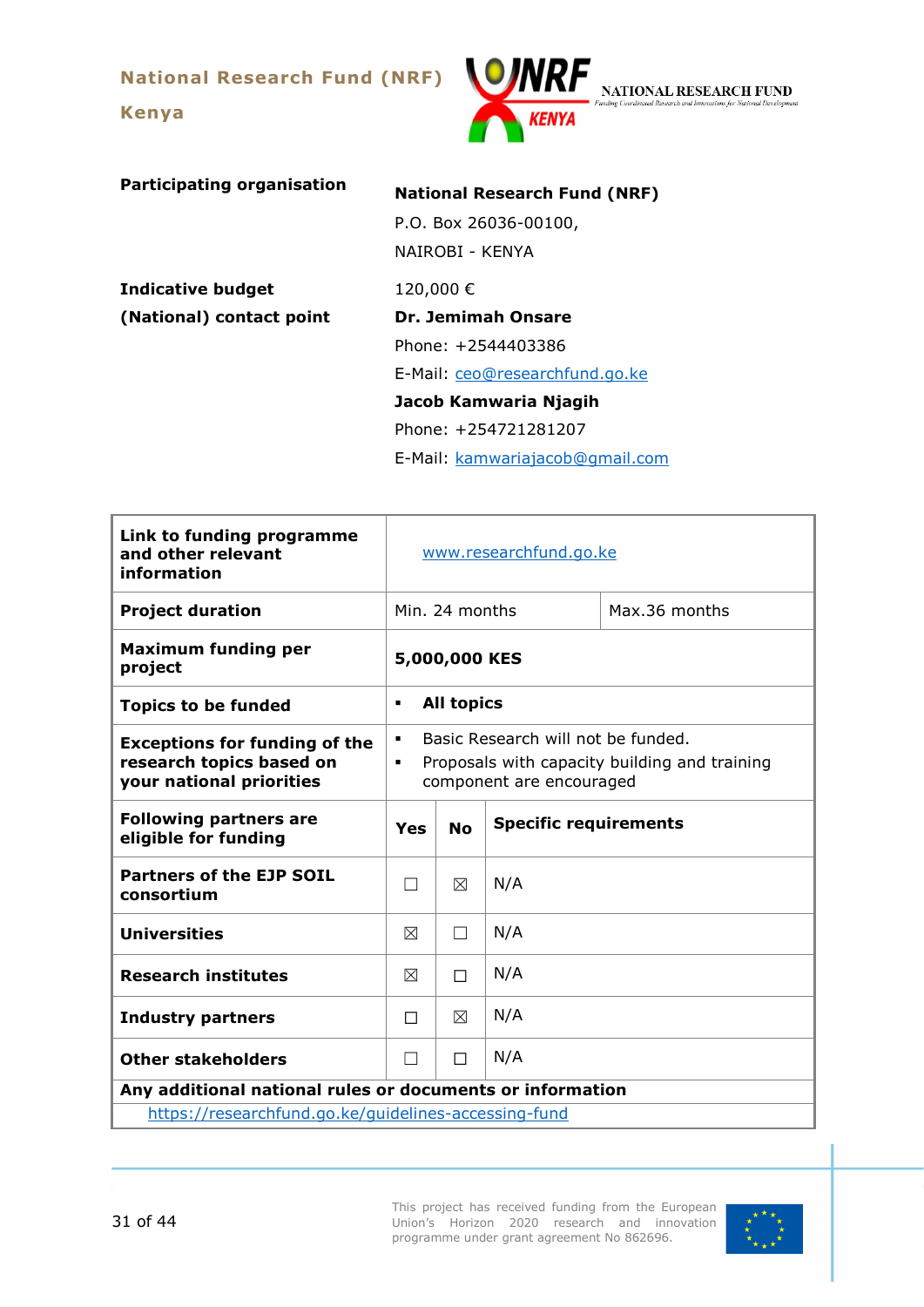**National Research Fund (NRF)**

**Kenya**

<span id="page-30-0"></span>

NATIONAL RESEARCH FUND

| <b>Participating organisation</b> | <b>National Research Fund (NRF)</b> |  |  |  |  |
|-----------------------------------|-------------------------------------|--|--|--|--|
|                                   | P.O. Box 26036-00100,               |  |  |  |  |
|                                   | NAIROBI - KFNYA                     |  |  |  |  |
| <b>Indicative budget</b>          | 120,000€                            |  |  |  |  |
| (National) contact point          | Dr. Jemimah Onsare                  |  |  |  |  |
|                                   | Phone: +2544403386                  |  |  |  |  |
|                                   | E-Mail: ceo@researchfund.go.ke      |  |  |  |  |
|                                   | Jacob Kamwaria Njagih               |  |  |  |  |
|                                   | Phone: +254721281207                |  |  |  |  |
|                                   | E-Mail: kamwariajacob@gmail.com     |  |  |  |  |

| Link to funding programme<br>and other relevant<br>information                               | www.researchfund.go.ke                           |                                                                                                                 |     |  |  |
|----------------------------------------------------------------------------------------------|--------------------------------------------------|-----------------------------------------------------------------------------------------------------------------|-----|--|--|
| <b>Project duration</b>                                                                      |                                                  | Min. 24 months<br>Max.36 months                                                                                 |     |  |  |
| <b>Maximum funding per</b><br>project                                                        |                                                  | 5,000,000 KES                                                                                                   |     |  |  |
| <b>Topics to be funded</b>                                                                   | ٠                                                | <b>All topics</b>                                                                                               |     |  |  |
| <b>Exceptions for funding of the</b><br>research topics based on<br>your national priorities | ٠<br>٠                                           | Basic Research will not be funded.<br>Proposals with capacity building and training<br>component are encouraged |     |  |  |
| <b>Following partners are</b><br>eligible for funding                                        | <b>Specific requirements</b><br><b>No</b><br>Yes |                                                                                                                 |     |  |  |
| <b>Partners of the EJP SOIL</b><br>consortium                                                |                                                  | ⊠                                                                                                               | N/A |  |  |
| <b>Universities</b>                                                                          | $\boxtimes$                                      | П                                                                                                               | N/A |  |  |
| <b>Research institutes</b>                                                                   | $\boxtimes$                                      | П                                                                                                               | N/A |  |  |
| <b>Industry partners</b>                                                                     | П                                                | ⊠                                                                                                               | N/A |  |  |
| <b>Other stakeholders</b>                                                                    | N/A<br>П<br>П                                    |                                                                                                                 |     |  |  |
| Any additional national rules or documents or information                                    |                                                  |                                                                                                                 |     |  |  |
| https://researchfund.go.ke/guidelines-accessing-fund                                         |                                                  |                                                                                                                 |     |  |  |

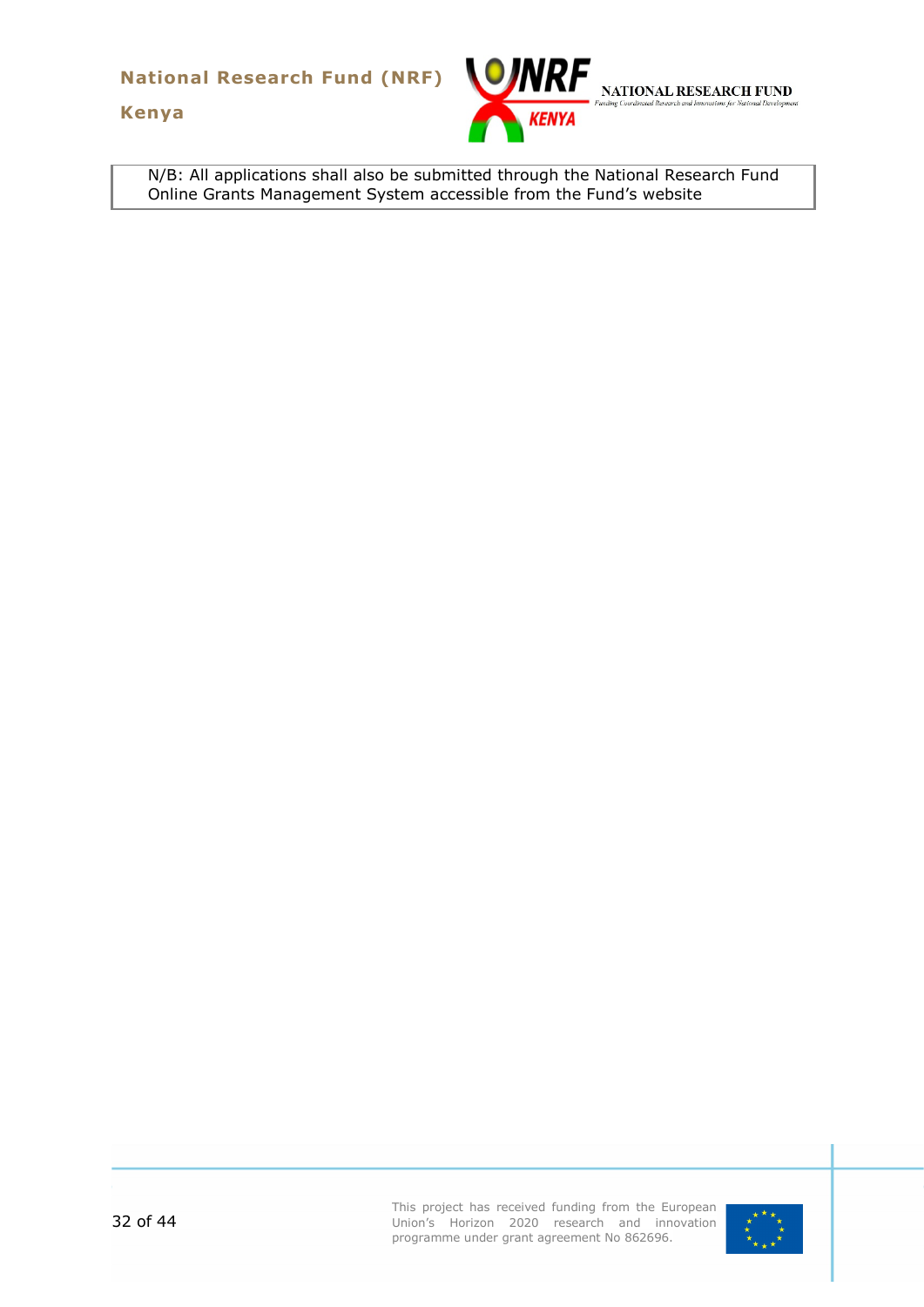**National Research Fund (NRF)**

**Kenya**



N/B: All applications shall also be submitted through the National Research Fund Online Grants Management System accessible from the Fund's website

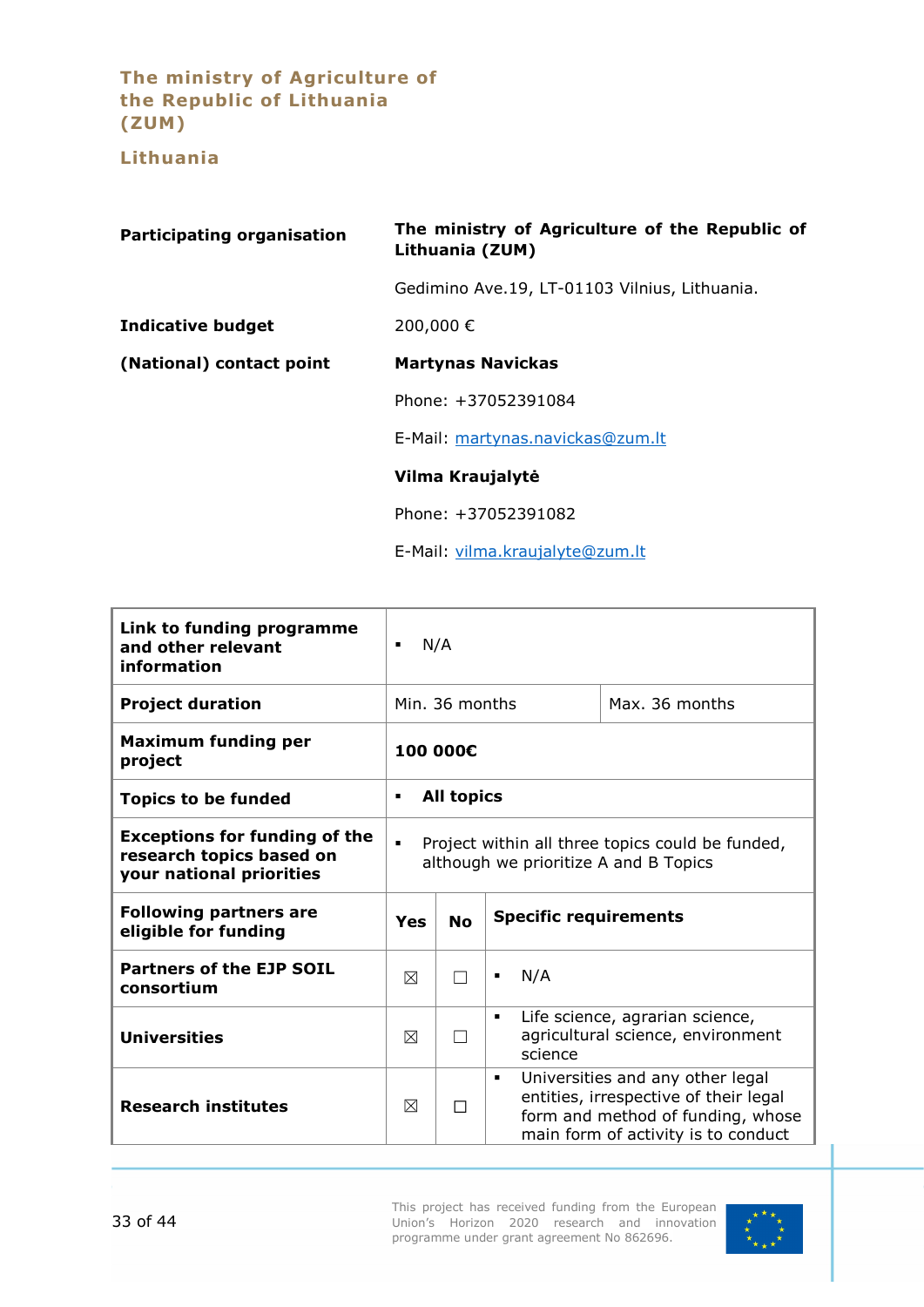**The ministry of Agriculture of the Republic of Lithuania (ZUM)**

**Lithuania**

<span id="page-32-0"></span>

| <b>Participating organisation</b> | The ministry of Agriculture of the Republic of<br>Lithuania (ZUM) |  |
|-----------------------------------|-------------------------------------------------------------------|--|
|                                   | Gedimino Ave.19, LT-01103 Vilnius, Lithuania.                     |  |
| <b>Indicative budget</b>          | 200,000€                                                          |  |
| (National) contact point          | <b>Martynas Navickas</b>                                          |  |
|                                   | Phone: +37052391084                                               |  |
|                                   | E-Mail: martynas.navickas@zum.lt                                  |  |
|                                   | Vilma Kraujalytė                                                  |  |
|                                   | Phone: +37052391082                                               |  |
|                                   | E-Mail: vilma.kraujalyte@zum.lt                                   |  |

| Link to funding programme<br>and other relevant<br>information                               | N/A<br>п                                                                                                    |                                  |                                                                                                                                                                         |  |
|----------------------------------------------------------------------------------------------|-------------------------------------------------------------------------------------------------------------|----------------------------------|-------------------------------------------------------------------------------------------------------------------------------------------------------------------------|--|
| <b>Project duration</b>                                                                      |                                                                                                             | Min. 36 months<br>Max. 36 months |                                                                                                                                                                         |  |
| <b>Maximum funding per</b><br>project                                                        |                                                                                                             | 100 000€                         |                                                                                                                                                                         |  |
| <b>Topics to be funded</b>                                                                   | ٠                                                                                                           | <b>All topics</b>                |                                                                                                                                                                         |  |
| <b>Exceptions for funding of the</b><br>research topics based on<br>your national priorities | Project within all three topics could be funded,<br>$\blacksquare$<br>although we prioritize A and B Topics |                                  |                                                                                                                                                                         |  |
| <b>Following partners are</b><br>eligible for funding                                        | <b>Specific requirements</b><br><b>No</b><br>Yes                                                            |                                  |                                                                                                                                                                         |  |
| <b>Partners of the EJP SOIL</b><br>consortium                                                | ⊠                                                                                                           |                                  | N/A<br>٠                                                                                                                                                                |  |
| <b>Universities</b>                                                                          | ⊠                                                                                                           |                                  | Life science, agrarian science,<br>$\blacksquare$<br>agricultural science, environment<br>science                                                                       |  |
| <b>Research institutes</b>                                                                   | ⊠                                                                                                           | $\Box$                           | Universities and any other legal<br>$\blacksquare$<br>entities, irrespective of their legal<br>form and method of funding, whose<br>main form of activity is to conduct |  |

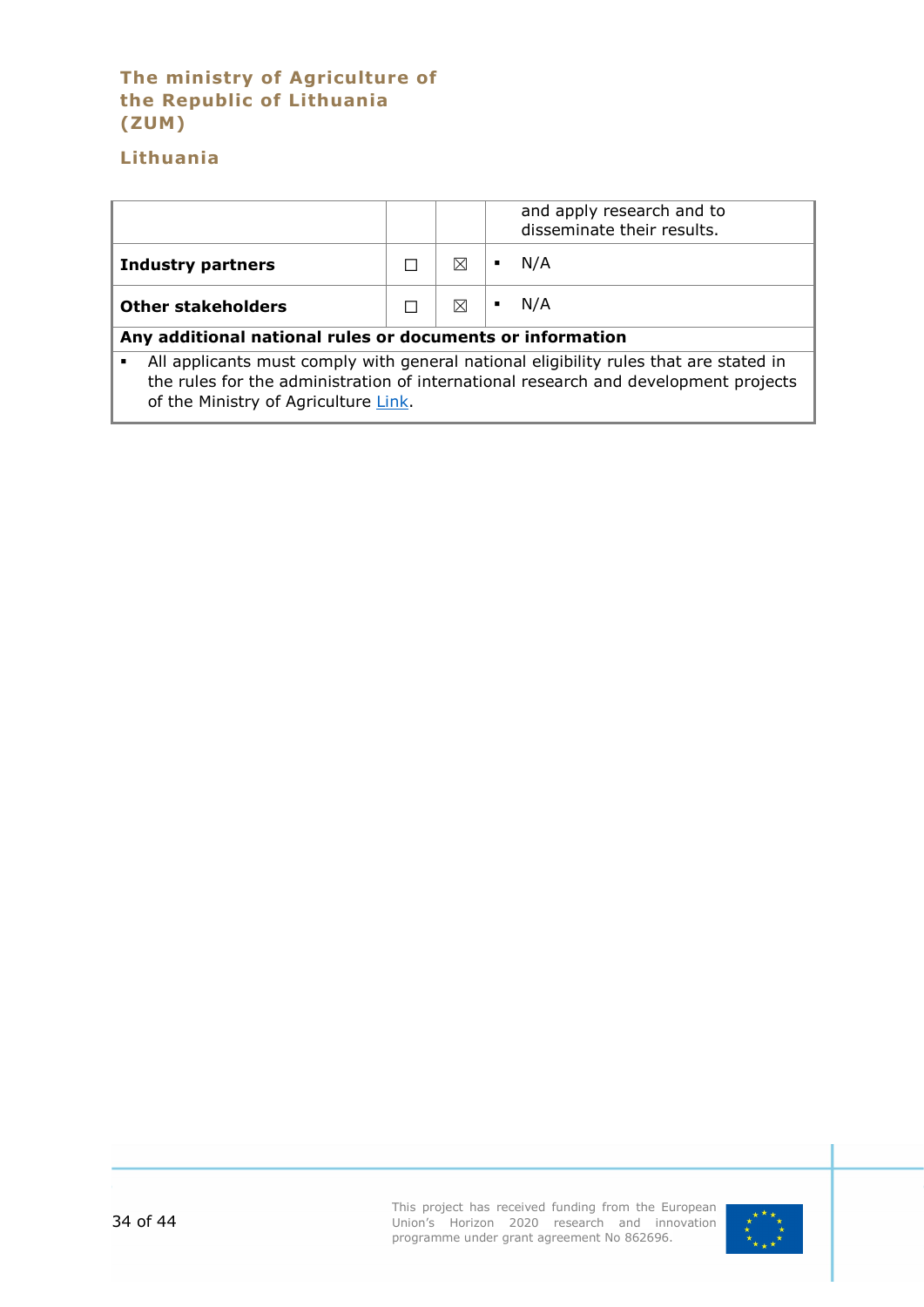# **The ministry of Agriculture of the Republic of Lithuania (ZUM)**

# **Lithuania**

|                                                                                                                                                                              |  |   | and apply research and to<br>disseminate their results. |  |
|------------------------------------------------------------------------------------------------------------------------------------------------------------------------------|--|---|---------------------------------------------------------|--|
| <b>Industry partners</b>                                                                                                                                                     |  | ⊠ | N/A                                                     |  |
| <b>Other stakeholders</b>                                                                                                                                                    |  | ⊠ | N/A                                                     |  |
| Any additional national rules or documents or information                                                                                                                    |  |   |                                                         |  |
| All applicants must comply with general national eligibility rules that are stated in<br>the rules for the administration of international research and development projects |  |   |                                                         |  |

of the Ministry of Agriculture [Link.](https://www.e-tar.lt/portal/lt/legalAct/6f95c3c0f25711e4927fda1d051299fb/asr)

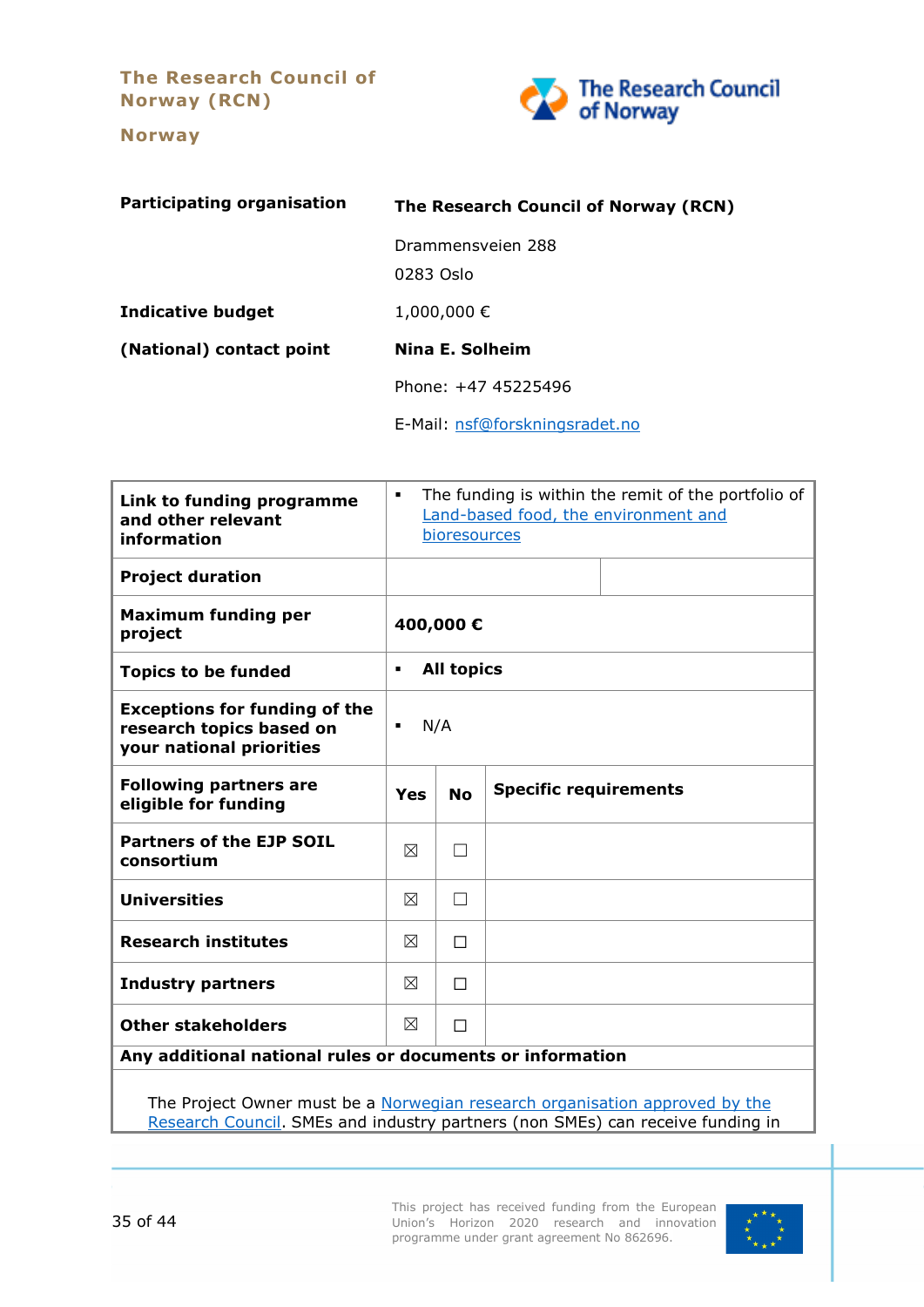**The Research Council of Norway (RCN)**

**Norway**

<span id="page-34-0"></span>

| <b>Participating organisation</b> | The Research Council of Norway (RCN) |
|-----------------------------------|--------------------------------------|
|                                   | Drammensveien 288<br>0283 Oslo       |
| <b>Indicative budget</b>          | 1,000,000€                           |
| (National) contact point          | Nina E. Solheim                      |
|                                   | Phone: +47 45225496                  |
|                                   | E-Mail: nsf@forskningsradet.no       |

| Link to funding programme<br>and other relevant<br>information                               | The funding is within the remit of the portfolio of<br>$\blacksquare$<br>Land-based food, the environment and<br>bioresources |                   |                              |  |  |
|----------------------------------------------------------------------------------------------|-------------------------------------------------------------------------------------------------------------------------------|-------------------|------------------------------|--|--|
| <b>Project duration</b>                                                                      |                                                                                                                               |                   |                              |  |  |
| <b>Maximum funding per</b><br>project                                                        |                                                                                                                               | 400,000€          |                              |  |  |
| <b>Topics to be funded</b>                                                                   | $\blacksquare$                                                                                                                | <b>All topics</b> |                              |  |  |
| <b>Exceptions for funding of the</b><br>research topics based on<br>your national priorities | N/A<br>$\blacksquare$                                                                                                         |                   |                              |  |  |
| <b>Following partners are</b><br>eligible for funding                                        | Yes                                                                                                                           | <b>No</b>         | <b>Specific requirements</b> |  |  |
| <b>Partners of the EJP SOIL</b><br>consortium                                                | ⊠                                                                                                                             |                   |                              |  |  |
| <b>Universities</b>                                                                          | ⊠                                                                                                                             | П                 |                              |  |  |
| <b>Research institutes</b>                                                                   | ⊠                                                                                                                             | П                 |                              |  |  |
| <b>Industry partners</b>                                                                     | ⊠                                                                                                                             | П                 |                              |  |  |
| <b>Other stakeholders</b>                                                                    | ⊠                                                                                                                             | П                 |                              |  |  |
| Any additional national rules or documents or information                                    |                                                                                                                               |                   |                              |  |  |

The Project Owner must be a Norwegian research organisation approved by the [Research Council.](https://www.forskningsradet.no/en/apply-for-funding/who-can-apply-for-funding/research-organisations/approved-research-organisations/) SMEs and industry partners (non SMEs) can receive funding in

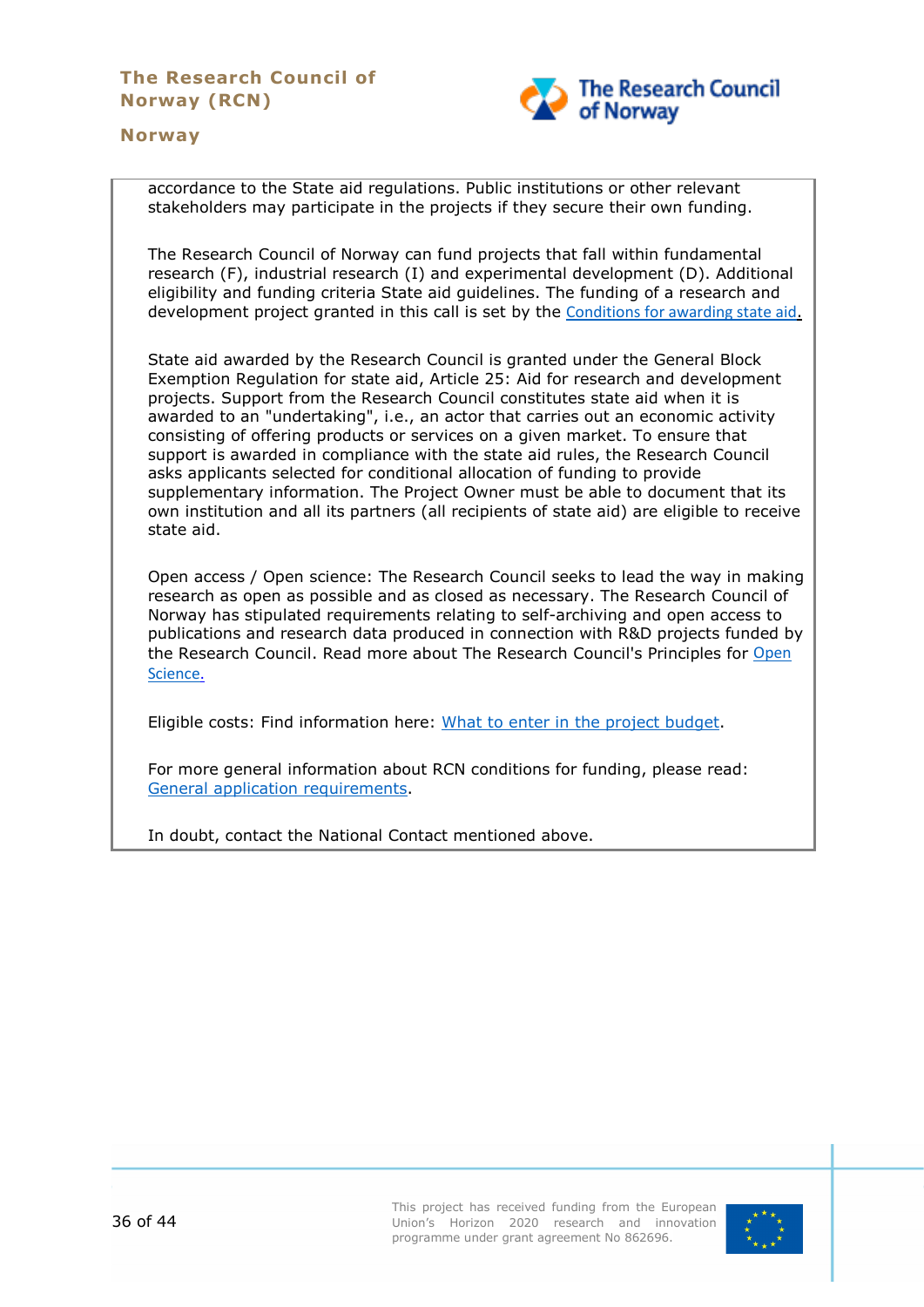

#### **Norway**

accordance to the State aid regulations. Public institutions or other relevant stakeholders may participate in the projects if they secure their own funding.

The Research Council of Norway can fund projects that fall within fundamental research (F), industrial research (I) and experimental development (D). Additional eligibility and funding criteria State aid guidelines. The funding of a research and development project granted in this call is set by the [Conditions for awarding state aid](https://www.forskningsradet.no/en/apply-for-funding/funding-from-the-research-council/Conditions-for-awarding-state-aid/).

State aid awarded by the Research Council is granted under the General Block Exemption Regulation for state aid, Article 25: Aid for research and development projects. Support from the Research Council constitutes state aid when it is awarded to an "undertaking", i.e., an actor that carries out an economic activity consisting of offering products or services on a given market. To ensure that support is awarded in compliance with the state aid rules, the Research Council asks applicants selected for conditional allocation of funding to provide supplementary information. The Project Owner must be able to document that its own institution and all its partners (all recipients of state aid) are eligible to receive state aid.

Open access / Open science: The Research Council seeks to lead the way in making research as open as possible and as closed as necessary. The Research Council of Norway has stipulated requirements relating to self-archiving and open access to publications and research data produced in connection with R&D projects funded by the Research Council. Read more about The Research Council's Principles for [Open](https://www.forskningsradet.no/en/Adviser-research-policy/open-science/)  [Science.](https://www.forskningsradet.no/en/Adviser-research-policy/open-science/)

Eligible costs: Find information here: [What to enter in the project budget.](https://www.forskningsradet.no/en/apply-for-funding/Budget/what-to-enter-in-the-project-budget/)

For more general information about RCN conditions for funding, please read: [General application requirements.](https://www.forskningsradet.no/en/apply-for-funding/writing-grant-applications/general-application-requirements/)

In doubt, contact the National Contact mentioned above.

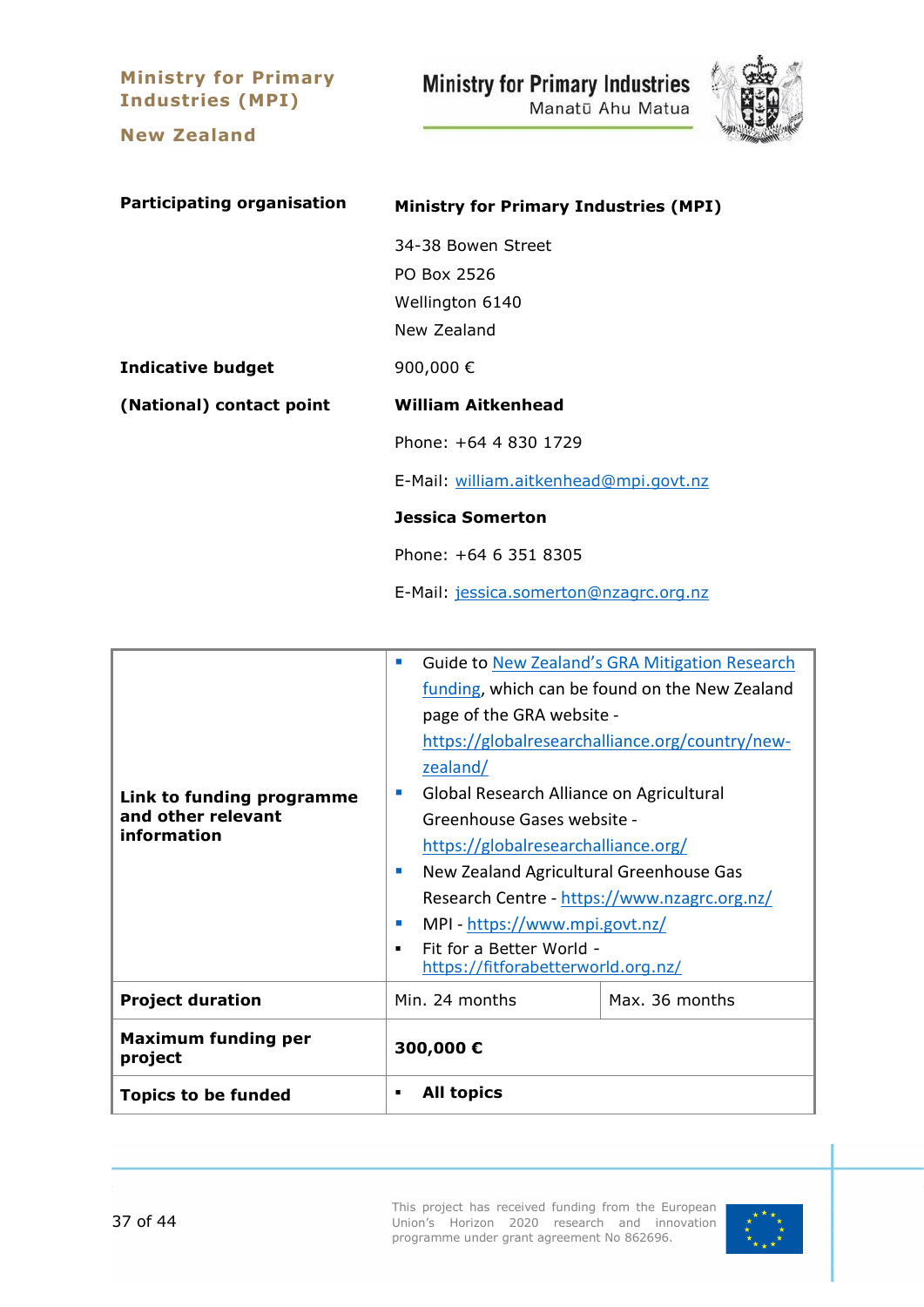**Ministry for Primary Industries (MPI)**

**New Zealand**

<span id="page-36-0"></span>**Ministry for Primary Industries** 

Manatū Ahu Matua



**Participating organisation Ministry for Primary Industries (MPI)** 34-38 Bowen Street PO Box 2526 Wellington 6140 New Zealand **Indicative budget** 900,000 € **(National) contact point William Aitkenhead** Phone: +64 4 830 1729 E-Mail: [william.aitkenhead@mpi.govt.nz](mailto:william.aitkenhead@mpi.govt.nz) **Jessica Somerton** Phone: +64 6 351 8305 E-Mail: [jessica.somerton@nzagrc.org.nz](mailto:jessica.somerton@nzagrc.org.nz)

| Link to funding programme<br>and other relevant<br>information | $\mathbb{Z}$                                                                                           | Guide to New Zealand's GRA Mitigation Research  |  |  |  |
|----------------------------------------------------------------|--------------------------------------------------------------------------------------------------------|-------------------------------------------------|--|--|--|
|                                                                |                                                                                                        | funding, which can be found on the New Zealand  |  |  |  |
|                                                                |                                                                                                        | page of the GRA website -                       |  |  |  |
|                                                                |                                                                                                        | https://globalresearchalliance.org/country/new- |  |  |  |
|                                                                | zealand/                                                                                               |                                                 |  |  |  |
|                                                                | m.                                                                                                     | Global Research Alliance on Agricultural        |  |  |  |
|                                                                |                                                                                                        | Greenhouse Gases website -                      |  |  |  |
|                                                                |                                                                                                        | https://globalresearchalliance.org/             |  |  |  |
|                                                                | п                                                                                                      | New Zealand Agricultural Greenhouse Gas         |  |  |  |
|                                                                |                                                                                                        | Research Centre - https://www.nzagrc.org.nz/    |  |  |  |
|                                                                | MPI - https://www.mpi.govt.nz/<br>m.<br>Fit for a Better World -<br>https://fitforabetterworld.org.nz/ |                                                 |  |  |  |
|                                                                |                                                                                                        |                                                 |  |  |  |
|                                                                |                                                                                                        |                                                 |  |  |  |
| <b>Project duration</b>                                        | Min. 24 months                                                                                         | Max. 36 months                                  |  |  |  |
| <b>Maximum funding per</b><br>project                          | 300,000€                                                                                               |                                                 |  |  |  |
| <b>Topics to be funded</b>                                     | <b>All topics</b><br>٠                                                                                 |                                                 |  |  |  |

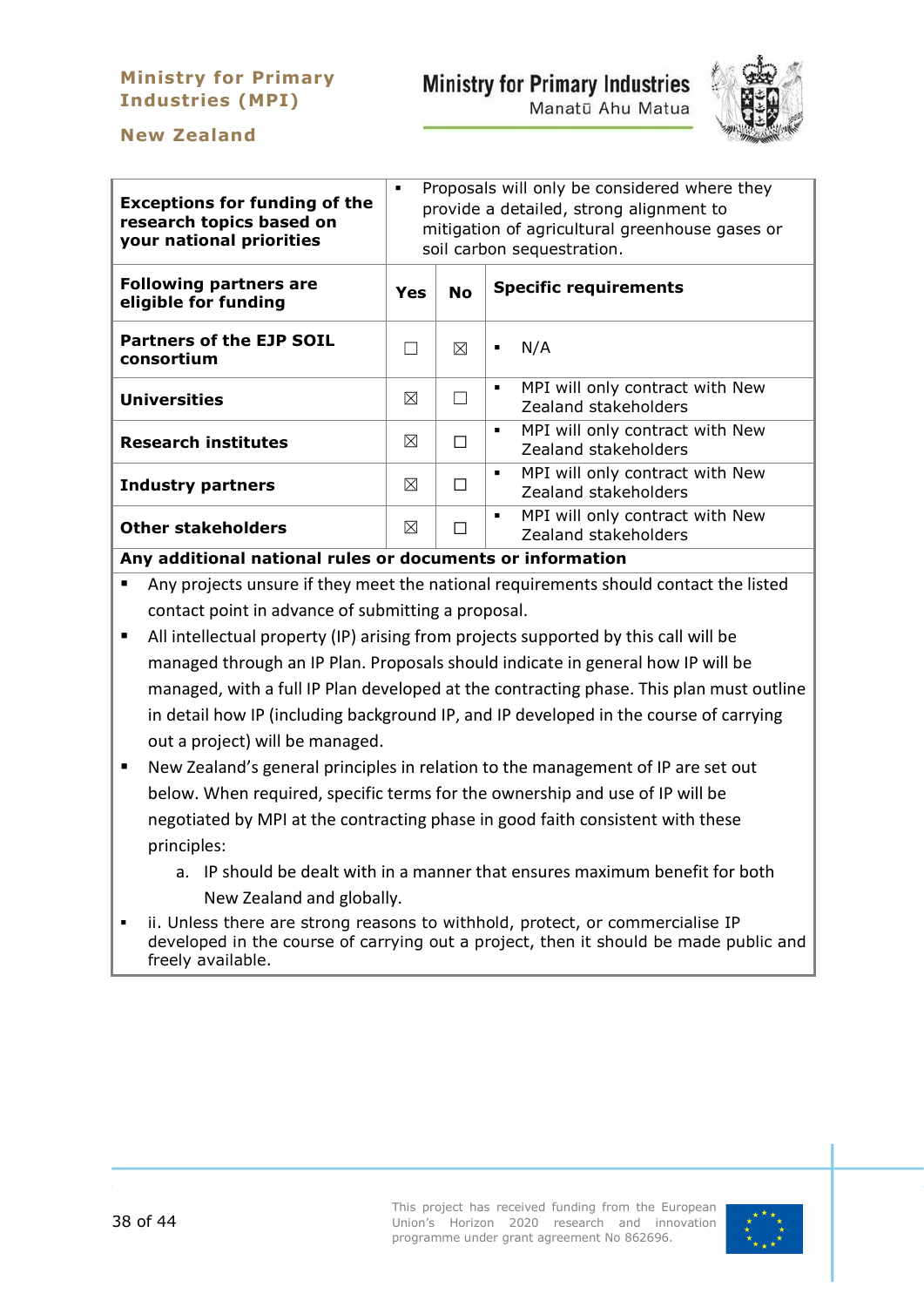# **Ministry for Primary Industries (MPI)**

# **Ministry for Primary Industries**

Manatū Ahu Matua



# **New Zealand**

| Proposals will only be considered where they<br>٠<br>provide a detailed, strong alignment to<br>mitigation of agricultural greenhouse gases or<br>soil carbon sequestration. |           |                                                              |
|------------------------------------------------------------------------------------------------------------------------------------------------------------------------------|-----------|--------------------------------------------------------------|
| Yes                                                                                                                                                                          | <b>No</b> | <b>Specific requirements</b>                                 |
|                                                                                                                                                                              | ⊠         | N/A<br>٠                                                     |
| ⊠                                                                                                                                                                            |           | MPI will only contract with New<br>٠<br>Zealand stakeholders |
| ⊠                                                                                                                                                                            |           | MPI will only contract with New<br>٠<br>Zealand stakeholders |
| ⊠                                                                                                                                                                            |           | MPI will only contract with New<br>٠<br>Zealand stakeholders |
| ⊠                                                                                                                                                                            |           | MPI will only contract with New<br>٠<br>Zealand stakeholders |
|                                                                                                                                                                              |           |                                                              |

**Any additional national rules or documents or information**

- Any projects unsure if they meet the national requirements should contact the listed contact point in advance of submitting a proposal.
- All intellectual property (IP) arising from projects supported by this call will be managed through an IP Plan. Proposals should indicate in general how IP will be managed, with a full IP Plan developed at the contracting phase. This plan must outline in detail how IP (including background IP, and IP developed in the course of carrying out a project) will be managed.
- New Zealand's general principles in relation to the management of IP are set out below. When required, specific terms for the ownership and use of IP will be negotiated by MPI at the contracting phase in good faith consistent with these principles:
	- a. IP should be dealt with in a manner that ensures maximum benefit for both New Zealand and globally.
- ii. Unless there are strong reasons to withhold, protect, or commercialise IP developed in the course of carrying out a project, then it should be made public and freely available.

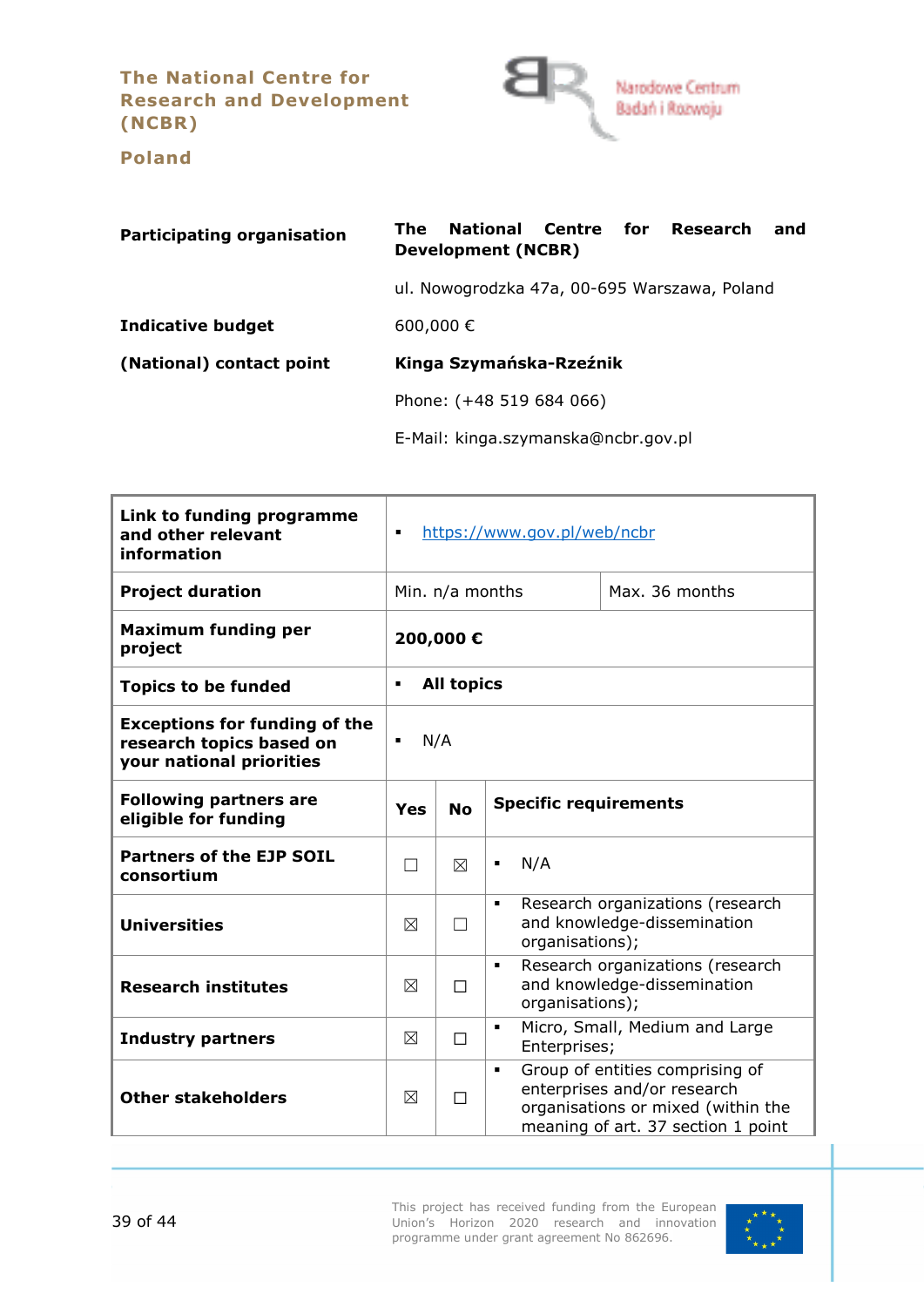**The National Centre for Research and Development (NCBR)**

<span id="page-38-0"></span>

**Poland**

| <b>Participating organisation</b> | National Centre for Research<br>The<br>and<br>Development (NCBR) |  |  |  |
|-----------------------------------|------------------------------------------------------------------|--|--|--|
|                                   | ul. Nowogrodzka 47a, 00-695 Warszawa, Poland                     |  |  |  |
| <b>Indicative budget</b>          | 600,000€                                                         |  |  |  |
| (National) contact point          | Kinga Szymańska-Rzeźnik                                          |  |  |  |
|                                   | Phone: (+48 519 684 066)                                         |  |  |  |
|                                   | E-Mail: kinga.szymanska@ncbr.gov.pl                              |  |  |  |

| Link to funding programme<br>and other relevant<br>information                               | https://www.gov.pl/web/ncbr<br>$\blacksquare$ |   |                                                                                                                                                              |
|----------------------------------------------------------------------------------------------|-----------------------------------------------|---|--------------------------------------------------------------------------------------------------------------------------------------------------------------|
| <b>Project duration</b>                                                                      | Min. n/a months<br>Max. 36 months             |   |                                                                                                                                                              |
| <b>Maximum funding per</b><br>project                                                        | 200,000€                                      |   |                                                                                                                                                              |
| <b>Topics to be funded</b>                                                                   | <b>All topics</b><br>$\blacksquare$           |   |                                                                                                                                                              |
| <b>Exceptions for funding of the</b><br>research topics based on<br>your national priorities | N/A<br>$\blacksquare$                         |   |                                                                                                                                                              |
| <b>Following partners are</b><br>eligible for funding                                        | <b>No</b><br>Yes                              |   | <b>Specific requirements</b>                                                                                                                                 |
| <b>Partners of the EJP SOIL</b><br>consortium                                                | $\vert \ \ \vert$                             | ⊠ | N/A<br>$\blacksquare$                                                                                                                                        |
| <b>Universities</b>                                                                          | $\boxtimes$                                   |   | Research organizations (research<br>$\blacksquare$<br>and knowledge-dissemination<br>organisations);                                                         |
| <b>Research institutes</b>                                                                   | ⊠                                             | П | Research organizations (research<br>$\blacksquare$<br>and knowledge-dissemination<br>organisations);                                                         |
| <b>Industry partners</b>                                                                     | ⊠                                             | П | Micro, Small, Medium and Large<br>$\blacksquare$<br>Enterprises;                                                                                             |
| <b>Other stakeholders</b>                                                                    | ⊠                                             | П | Group of entities comprising of<br>$\blacksquare$<br>enterprises and/or research<br>organisations or mixed (within the<br>meaning of art. 37 section 1 point |

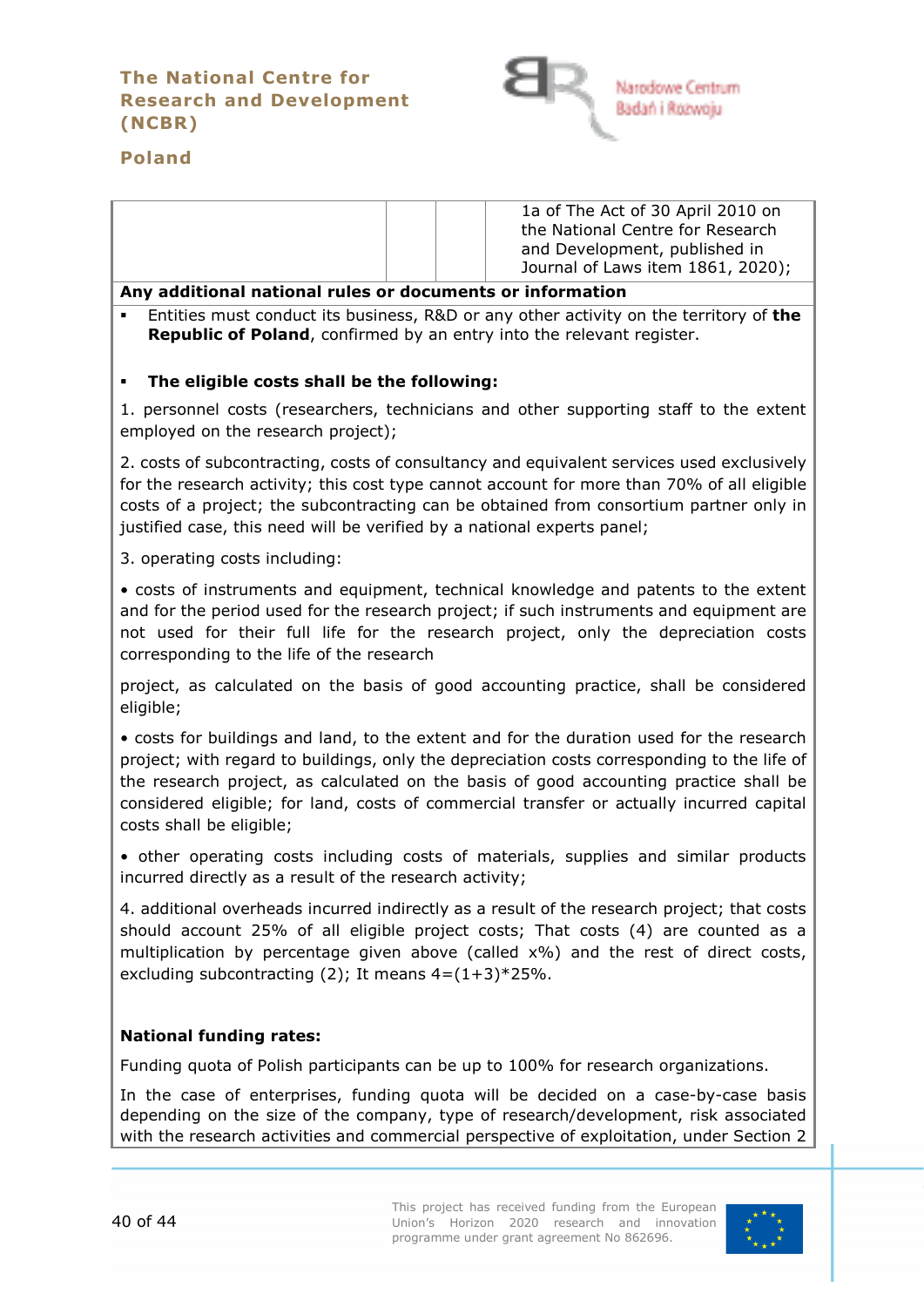# **The National Centre for Research and Development (NCBR)**



# **Poland**

| 1a of The Act of 30 April 2010 on |
|-----------------------------------|
| the National Centre for Research  |
| and Development, published in     |
| Journal of Laws item 1861, 2020); |

#### **Any additional national rules or documents or information**

 Entities must conduct its business, R&D or any other activity on the territory of **the Republic of Poland**, confirmed by an entry into the relevant register.

#### **The eligible costs shall be the following:**

1. personnel costs (researchers, technicians and other supporting staff to the extent employed on the research project);

2. costs of subcontracting, costs of consultancy and equivalent services used exclusively for the research activity; this cost type cannot account for more than 70% of all eligible costs of a project; the subcontracting can be obtained from consortium partner only in justified case, this need will be verified by a national experts panel;

3. operating costs including:

• costs of instruments and equipment, technical knowledge and patents to the extent and for the period used for the research project; if such instruments and equipment are not used for their full life for the research project, only the depreciation costs corresponding to the life of the research

project, as calculated on the basis of good accounting practice, shall be considered eligible;

• costs for buildings and land, to the extent and for the duration used for the research project; with regard to buildings, only the depreciation costs corresponding to the life of the research project, as calculated on the basis of good accounting practice shall be considered eligible; for land, costs of commercial transfer or actually incurred capital costs shall be eligible;

• other operating costs including costs of materials, supplies and similar products incurred directly as a result of the research activity;

4. additional overheads incurred indirectly as a result of the research project; that costs should account 25% of all eligible project costs; That costs (4) are counted as a multiplication by percentage given above (called x%) and the rest of direct costs, excluding subcontracting (2); It means  $4=(1+3)*25\%$ .

#### **National funding rates:**

Funding quota of Polish participants can be up to 100% for research organizations.

In the case of enterprises, funding quota will be decided on a case-by-case basis depending on the size of the company, type of research/development, risk associated with the research activities and commercial perspective of exploitation, under Section 2

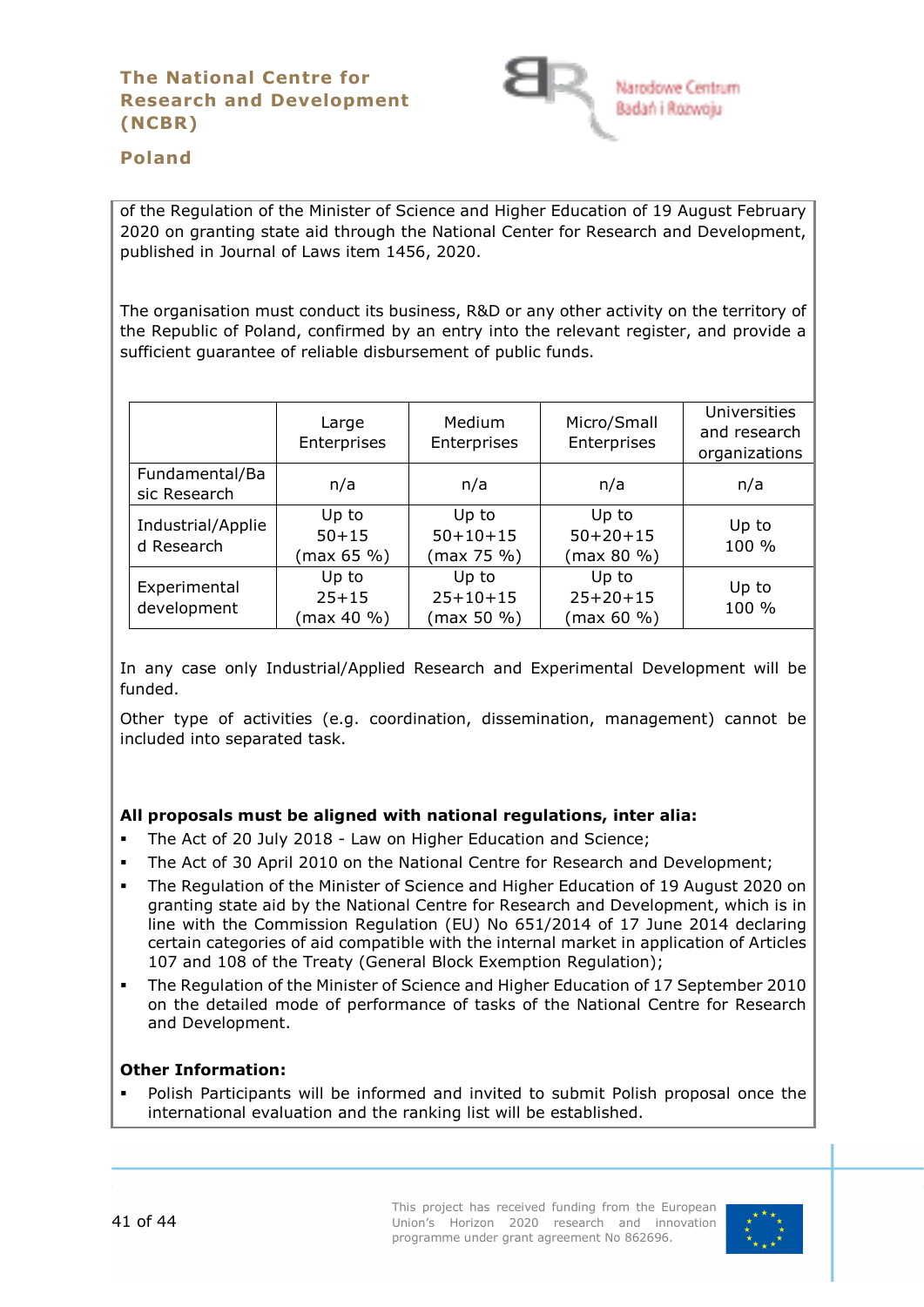

# **Poland**

of the Regulation of the Minister of Science and Higher Education of 19 August February 2020 on granting state aid through the National Center for Research and Development, published in Journal of Laws item 1456, 2020.

The organisation must conduct its business, R&D or any other activity on the territory of the Republic of Poland, confirmed by an entry into the relevant register, and provide a sufficient guarantee of reliable disbursement of public funds.

|                                 | Large<br>Enterprises             | Medium<br>Enterprises                 | Micro/Small<br>Enterprises        | Universities<br>and research<br>organizations |
|---------------------------------|----------------------------------|---------------------------------------|-----------------------------------|-----------------------------------------------|
| Fundamental/Ba<br>sic Research  | n/a                              | n/a                                   | n/a                               | n/a                                           |
| Industrial/Applie<br>d Research | Up to<br>$50 + 15$<br>(max 65 %  | Up to<br>$50 + 10 + 15$<br>(max 75 %) | Up to<br>$50+20+15$<br>(max 80 %) | Up to<br>100 %                                |
| Experimental<br>development     | Up to<br>$25 + 15$<br>(max 40 %) | Up to<br>$25 + 10 + 15$<br>(max 50 %) | Up to<br>$25+20+15$<br>(max 60 %) | Up to<br>100 %                                |

In any case only Industrial/Applied Research and Experimental Development will be funded.

Other type of activities (e.g. coordination, dissemination, management) cannot be included into separated task.

#### **All proposals must be aligned with national regulations, inter alia:**

- The Act of 20 July 2018 Law on Higher Education and Science;
- The Act of 30 April 2010 on the National Centre for Research and Development;
- The Regulation of the Minister of Science and Higher Education of 19 August 2020 on granting state aid by the National Centre for Research and Development, which is in line with the Commission Regulation (EU) No 651/2014 of 17 June 2014 declaring certain categories of aid compatible with the internal market in application of Articles 107 and 108 of the Treaty (General Block Exemption Regulation);
- The Regulation of the Minister of Science and Higher Education of 17 September 2010 on the detailed mode of performance of tasks of the National Centre for Research and Development.

#### **Other Information:**

 Polish Participants will be informed and invited to submit Polish proposal once the international evaluation and the ranking list will be established.

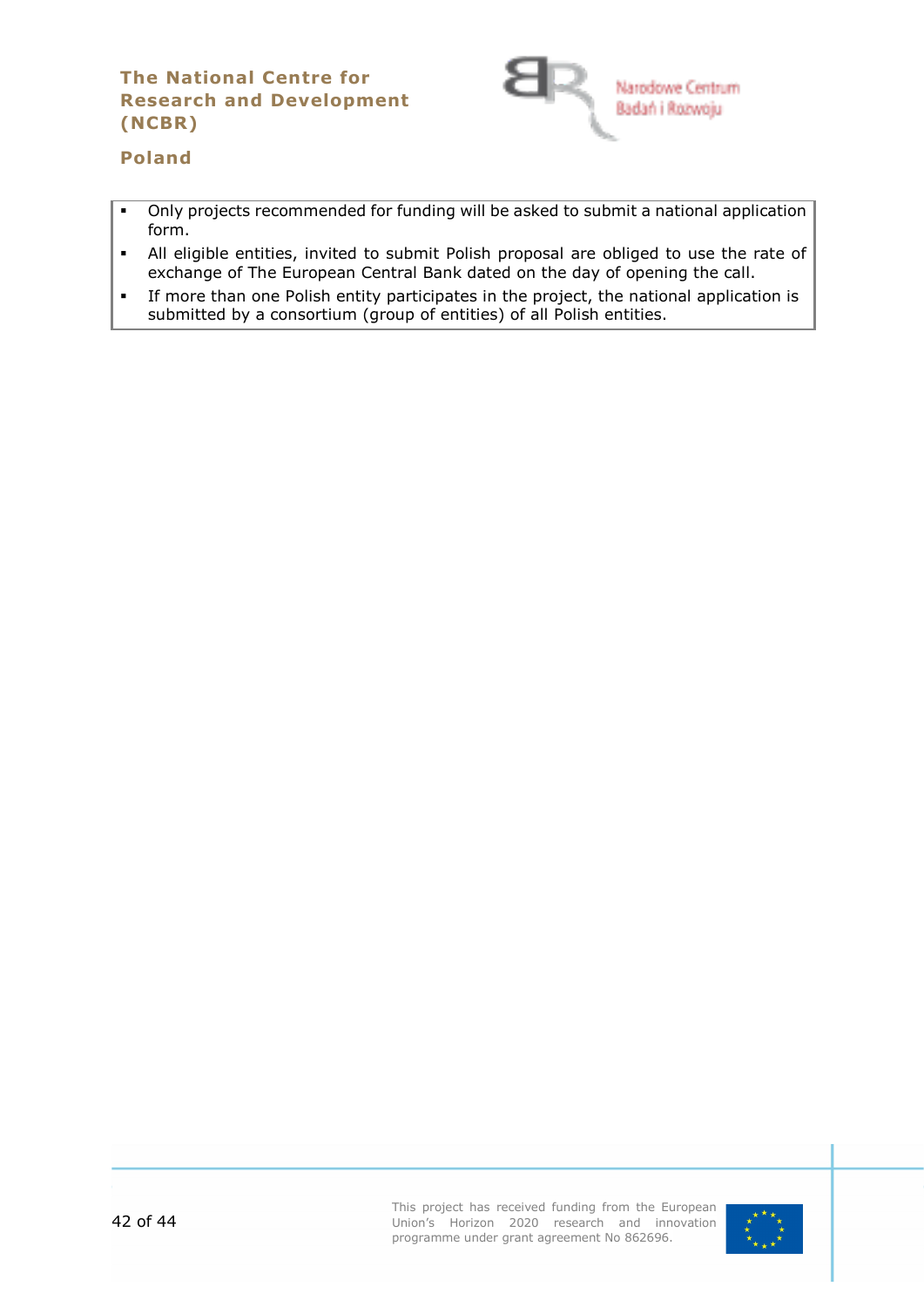# **The National Centre for Research and Development (NCBR)**



# **Poland**

- Only projects recommended for funding will be asked to submit a national application form.
- All eligible entities, invited to submit Polish proposal are obliged to use the rate of exchange of The European Central Bank dated on the day of opening the call.
- If more than one Polish entity participates in the project, the national application is submitted by a consortium (group of entities) of all Polish entities.

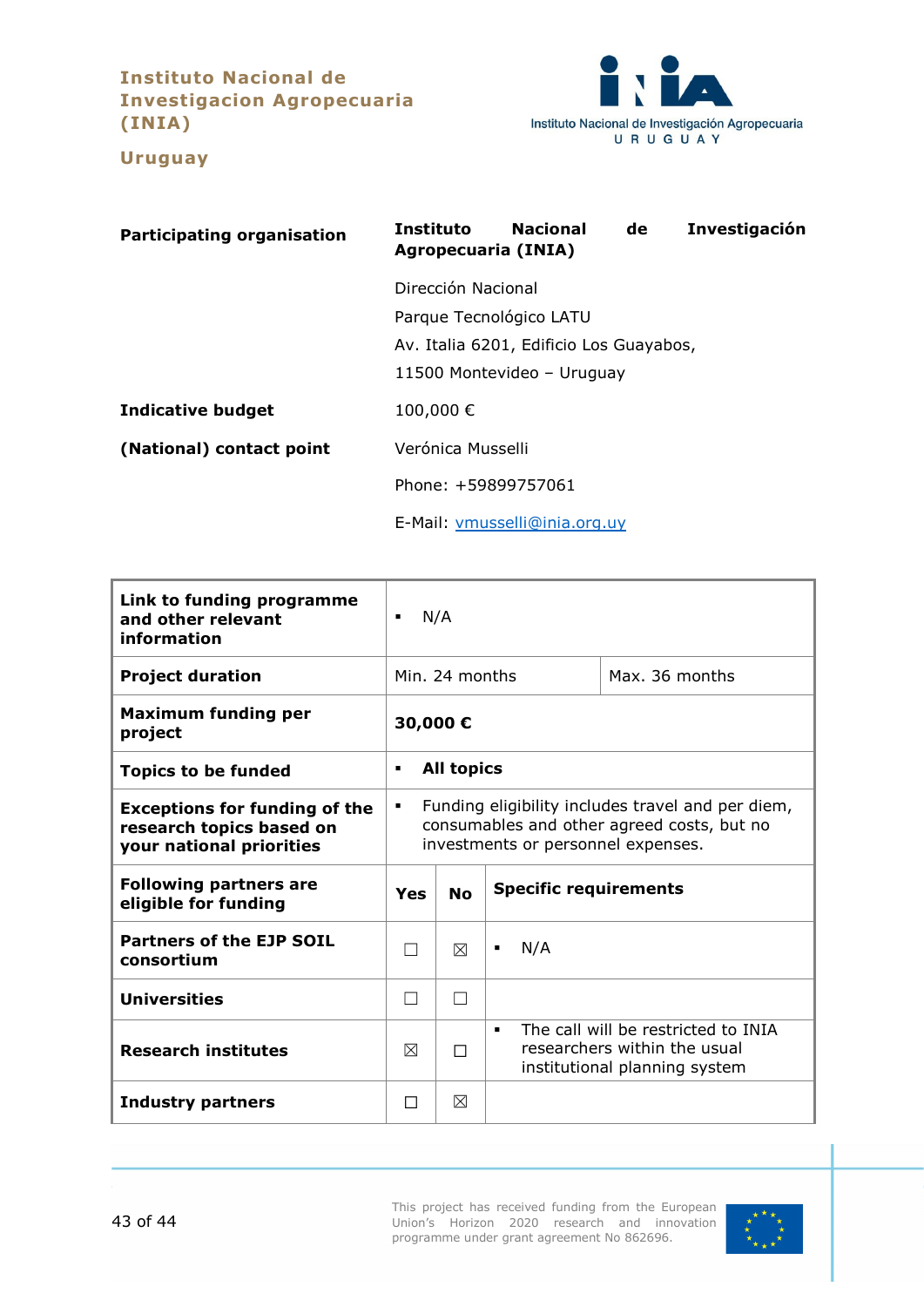**Instituto Nacional de Investigacion Agropecuaria (INIA)**

<span id="page-42-0"></span>

**Uruguay**

| <b>Participating organisation</b> | Instituto<br><b>Nacional</b><br>Investigación<br>de<br>Agropecuaria (INIA)                                             |  |  |  |
|-----------------------------------|------------------------------------------------------------------------------------------------------------------------|--|--|--|
|                                   | Dirección Nacional<br>Parque Tecnológico LATU<br>Av. Italia 6201, Edificio Los Guayabos,<br>11500 Montevideo - Uruguay |  |  |  |
| <b>Indicative budget</b>          | 100,000€                                                                                                               |  |  |  |
| (National) contact point          | Verónica Musselli                                                                                                      |  |  |  |
|                                   | Phone: +59899757061                                                                                                    |  |  |  |
|                                   | E-Mail: vmusselli@inia.org.uy                                                                                          |  |  |  |

| Link to funding programme<br>and other relevant<br>information                               | N/A<br>$\blacksquare$                                                                                                                      |   |                                                                                                      |
|----------------------------------------------------------------------------------------------|--------------------------------------------------------------------------------------------------------------------------------------------|---|------------------------------------------------------------------------------------------------------|
| <b>Project duration</b>                                                                      | Min. 24 months                                                                                                                             |   | Max. 36 months                                                                                       |
| <b>Maximum funding per</b><br>project                                                        | 30,000€                                                                                                                                    |   |                                                                                                      |
| <b>Topics to be funded</b>                                                                   | <b>All topics</b><br>٠                                                                                                                     |   |                                                                                                      |
| <b>Exceptions for funding of the</b><br>research topics based on<br>your national priorities | Funding eligibility includes travel and per diem,<br>٠<br>consumables and other agreed costs, but no<br>investments or personnel expenses. |   |                                                                                                      |
| <b>Following partners are</b><br>eligible for funding                                        | <b>Specific requirements</b><br><b>No</b><br>Yes                                                                                           |   |                                                                                                      |
| <b>Partners of the EJP SOIL</b><br>consortium                                                | $\overline{\phantom{a}}$                                                                                                                   | ⊠ | N/A<br>٠                                                                                             |
| <b>Universities</b>                                                                          | $\Box$                                                                                                                                     |   |                                                                                                      |
| <b>Research institutes</b>                                                                   | ⊠                                                                                                                                          | П | The call will be restricted to INIA<br>researchers within the usual<br>institutional planning system |
| <b>Industry partners</b>                                                                     | П                                                                                                                                          | ⊠ |                                                                                                      |